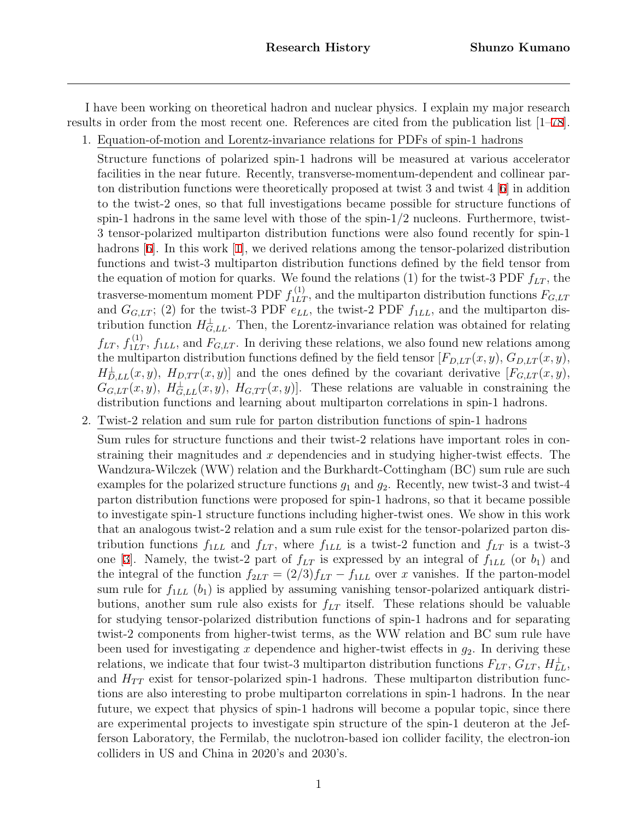I have been working on theoretical hadron and nuclear physics. I explain my major research results in order from the most recent one. References are cited from the publication list [1–[78](#page-41-0)].

1. Equation-of-motion and Lorentz-invariance relations for PDFs of spin-1 hadrons

Structure functions of polarized spin-1 hadrons will be measured at various accelerator facilities in the near future. Recently, transverse-momentum-dependent and collinear parton distribution functions were theoretically proposed at twist 3 and twist  $4 \times 4$  [[6](#page-36-0)] in addition to the twist-2 ones, so that full investigations became possible for structure functions of spin-1 hadrons in the same level with those of the spin- $1/2$  nucleons. Furthermore, twist-3 tensor-polarized multiparton distribution functions were also found recently for spin-1 hadrons [\[6](#page-36-0)]. In this work [\[1](#page-36-1)], we derived relations among the tensor-polarized distribution functions and twist-3 multiparton distribution functions defined by the field tensor from the equation of motion for quarks. We found the relations (1) for the twist-3 PDF  $f_{LT}$ , the trasverse-momentum moment PDF  $f_{1LT}^{(1)}$ , and the multiparton distribution functions  $F_{G,LT}$ and  $G_{G,LT}$ ; (2) for the twist-3 PDF  $e_{LL}$ , the twist-2 PDF  $f_{1LL}$ , and the multiparton distribution function  $H_{G,LL}^{\perp}$ . Then, the Lorentz-invariance relation was obtained for relating  $f_{LT}$ ,  $f_{1LT}^{(1)}$ ,  $f_{1LL}$ , and  $F_{G,LT}$ . In deriving these relations, we also found new relations among the multiparton distribution functions defined by the field tensor  $[F_{D,LT}(x, y), G_{D,LT}(x, y),$  $H_{D,LL}^{\perp}(x, y)$ ,  $H_{D,TT}(x, y)$ ] and the ones defined by the covariant derivative  $[F_{G,LT}(x, y),$  $G_{G,LT}(x, y)$ ,  $H_{G,LL}^{\perp}(x, y)$ ,  $H_{G,TT}(x, y)$ . These relations are valuable in constraining the distribution functions and learning about multiparton correlations in spin-1 hadrons.

2. Twist-2 relation and sum rule for parton distribution functions of spin-1 hadrons

Sum rules for structure functions and their twist-2 relations have important roles in constraining their magnitudes and *x* dependencies and in studying higher-twist effects. The Wandzura-Wilczek (WW) relation and the Burkhardt-Cottingham (BC) sum rule are such examples for the polarized structure functions *g*<sup>1</sup> and *g*2. Recently, new twist-3 and twist-4 parton distribution functions were proposed for spin-1 hadrons, so that it became possible to investigate spin-1 structure functions including higher-twist ones. We show in this work that an analogous twist-2 relation and a sum rule exist for the tensor-polarized parton distribution functions  $f_{1LL}$  and  $f_{LT}$ , where  $f_{1LL}$  is a twist-2 function and  $f_{LT}$  is a twist-3 one [[3](#page-36-2)]. Namely, the twist-2 part of  $f_{LT}$  is expressed by an integral of  $f_{1LL}$  (or  $b_1$ ) and the integral of the function  $f_{2LT} = (2/3)f_{LT} - f_{1LL}$  over *x* vanishes. If the parton-model sum rule for  $f_{1LL}$   $(b_1)$  is applied by assuming vanishing tensor-polarized antiquark distributions, another sum rule also exists for *fLT* itself. These relations should be valuable for studying tensor-polarized distribution functions of spin-1 hadrons and for separating twist-2 components from higher-twist terms, as the WW relation and BC sum rule have been used for investigating *x* dependence and higher-twist effects in *g*2. In deriving these relations, we indicate that four twist-3 multiparton distribution functions  $F_{LT}$ ,  $G_{LT}$ ,  $H_{LL}^{\perp}$ , and  $H_{TT}$  exist for tensor-polarized spin-1 hadrons. These multiparton distribution functions are also interesting to probe multiparton correlations in spin-1 hadrons. In the near future, we expect that physics of spin-1 hadrons will become a popular topic, since there are experimental projects to investigate spin structure of the spin-1 deuteron at the Jefferson Laboratory, the Fermilab, the nuclotron-based ion collider facility, the electron-ion colliders in US and China in 2020's and 2030's.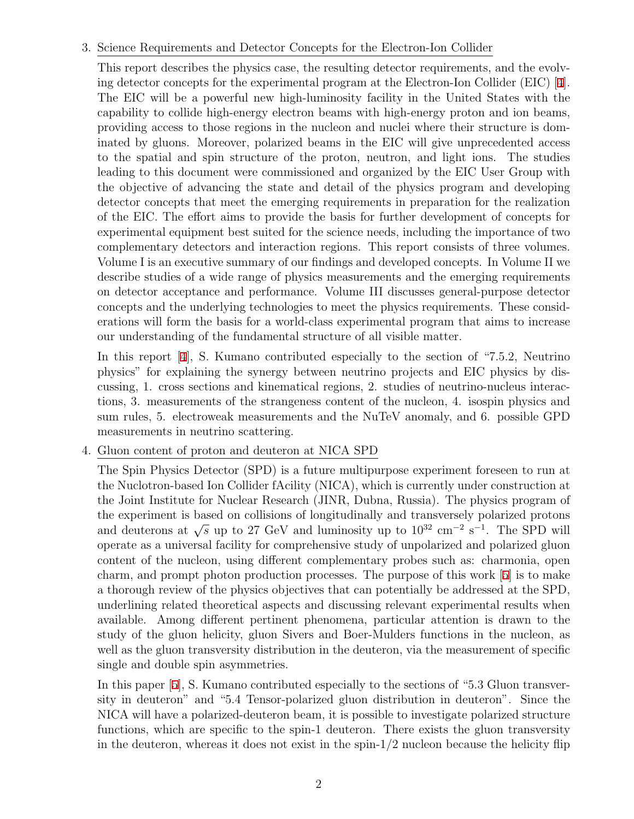### 3. Science Requirements and Detector Concepts for the Electron-Ion Collider

This report describes the physics case, the resulting detector requirements, and the evolving detector concepts for the experimental program at the Electron-Ion Collider (EIC) [\[4](#page-36-3)]. The EIC will be a powerful new high-luminosity facility in the United States with the capability to collide high-energy electron beams with high-energy proton and ion beams, providing access to those regions in the nucleon and nuclei where their structure is dominated by gluons. Moreover, polarized beams in the EIC will give unprecedented access to the spatial and spin structure of the proton, neutron, and light ions. The studies leading to this document were commissioned and organized by the EIC User Group with the objective of advancing the state and detail of the physics program and developing detector concepts that meet the emerging requirements in preparation for the realization of the EIC. The effort aims to provide the basis for further development of concepts for experimental equipment best suited for the science needs, including the importance of two complementary detectors and interaction regions. This report consists of three volumes. Volume I is an executive summary of our findings and developed concepts. In Volume II we describe studies of a wide range of physics measurements and the emerging requirements on detector acceptance and performance. Volume III discusses general-purpose detector concepts and the underlying technologies to meet the physics requirements. These considerations will form the basis for a world-class experimental program that aims to increase our understanding of the fundamental structure of all visible matter.

In this report [\[4](#page-36-3)], S. Kumano contributed especially to the section of "7.5.2, Neutrino physics" for explaining the synergy between neutrino projects and EIC physics by discussing, 1. cross sections and kinematical regions, 2. studies of neutrino-nucleus interactions, 3. measurements of the strangeness content of the nucleon, 4. isospin physics and sum rules, 5. electroweak measurements and the NuTeV anomaly, and 6. possible GPD measurements in neutrino scattering.

### 4. Gluon content of proton and deuteron at NICA SPD

The Spin Physics Detector (SPD) is a future multipurpose experiment foreseen to run at the Nuclotron-based Ion Collider fAcility (NICA), which is currently under construction at the Joint Institute for Nuclear Research (JINR, Dubna, Russia). The physics program of the experiment is based on collisions of longitudinally and transversely polarized protons and deuterons at  $\sqrt{s}$  up to 27 GeV and luminosity up to 10<sup>32</sup> cm<sup>−2</sup> s<sup>-1</sup>. The SPD will operate as a universal facility for comprehensive study of unpolarized and polarized gluon content of the nucleon, using different complementary probes such as: charmonia, open charm, and prompt photon production processes. The purpose of this work [[5](#page-36-4)] is to make a thorough review of the physics objectives that can potentially be addressed at the SPD, underlining related theoretical aspects and discussing relevant experimental results when available. Among different pertinent phenomena, particular attention is drawn to the study of the gluon helicity, gluon Sivers and Boer-Mulders functions in the nucleon, as well as the gluon transversity distribution in the deuteron, via the measurement of specific single and double spin asymmetries.

In this paper [\[5](#page-36-4)], S. Kumano contributed especially to the sections of "5.3 Gluon transversity in deuteron" and "5.4 Tensor-polarized gluon distribution in deuteron". Since the NICA will have a polarized-deuteron beam, it is possible to investigate polarized structure functions, which are specific to the spin-1 deuteron. There exists the gluon transversity in the deuteron, whereas it does not exist in the spin- $1/2$  nucleon because the helicity flip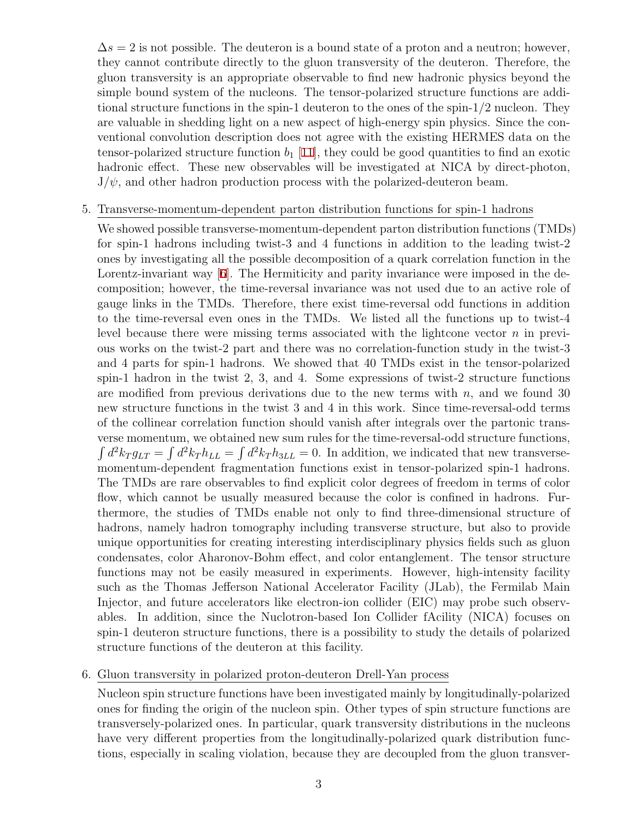$\Delta s = 2$  is not possible. The deuteron is a bound state of a proton and a neutron; however, they cannot contribute directly to the gluon transversity of the deuteron. Therefore, the gluon transversity is an appropriate observable to find new hadronic physics beyond the simple bound system of the nucleons. The tensor-polarized structure functions are additional structure functions in the spin-1 deuteron to the ones of the spin-1/2 nucleon. They are valuable in shedding light on a new aspect of high-energy spin physics. Since the conventional convolution description does not agree with the existing HERMES data on the tensor-polarized structure function  $b_1$  [\[11\]](#page-36-5), they could be good quantities to find an exotic hadronic effect. These new observables will be investigated at NICA by direct-photon,  $J/\psi$ , and other hadron production process with the polarized-deuteron beam.

#### 5. Transverse-momentum-dependent parton distribution functions for spin-1 hadrons

We showed possible transverse-momentum-dependent parton distribution functions (TMDs) for spin-1 hadrons including twist-3 and 4 functions in addition to the leading twist-2 ones by investigating all the possible decomposition of a quark correlation function in the Lorentz-invariant way [[6\]](#page-36-0). The Hermiticity and parity invariance were imposed in the decomposition; however, the time-reversal invariance was not used due to an active role of gauge links in the TMDs. Therefore, there exist time-reversal odd functions in addition to the time-reversal even ones in the TMDs. We listed all the functions up to twist-4 level because there were missing terms associated with the lightcone vector *n* in previous works on the twist-2 part and there was no correlation-function study in the twist-3 and 4 parts for spin-1 hadrons. We showed that 40 TMDs exist in the tensor-polarized spin-1 hadron in the twist 2, 3, and 4. Some expressions of twist-2 structure functions are modified from previous derivations due to the new terms with  $n$ , and we found 30 new structure functions in the twist 3 and 4 in this work. Since time-reversal-odd terms of the collinear correlation function should vanish after integrals over the partonic transverse momentum, we obtained new sum rules for the time-reversal-odd structure functions,  $\int d^2k_T g_{LT} = \int d^2k_T h_{LL} = \int d^2k_T h_{3LL} = 0$ . In addition, we indicated that new transversemomentum-dependent fragmentation functions exist in tensor-polarized spin-1 hadrons. The TMDs are rare observables to find explicit color degrees of freedom in terms of color flow, which cannot be usually measured because the color is confined in hadrons. Furthermore, the studies of TMDs enable not only to find three-dimensional structure of hadrons, namely hadron tomography including transverse structure, but also to provide unique opportunities for creating interesting interdisciplinary physics fields such as gluon condensates, color Aharonov-Bohm effect, and color entanglement. The tensor structure functions may not be easily measured in experiments. However, high-intensity facility such as the Thomas Jefferson National Accelerator Facility (JLab), the Fermilab Main Injector, and future accelerators like electron-ion collider (EIC) may probe such observables. In addition, since the Nuclotron-based Ion Collider fAcility (NICA) focuses on spin-1 deuteron structure functions, there is a possibility to study the details of polarized structure functions of the deuteron at this facility.

### <span id="page-2-0"></span>6. Gluon transversity in polarized proton-deuteron Drell-Yan process

Nucleon spin structure functions have been investigated mainly by longitudinally-polarized ones for finding the origin of the nucleon spin. Other types of spin structure functions are transversely-polarized ones. In particular, quark transversity distributions in the nucleons have very different properties from the longitudinally-polarized quark distribution functions, especially in scaling violation, because they are decoupled from the gluon transver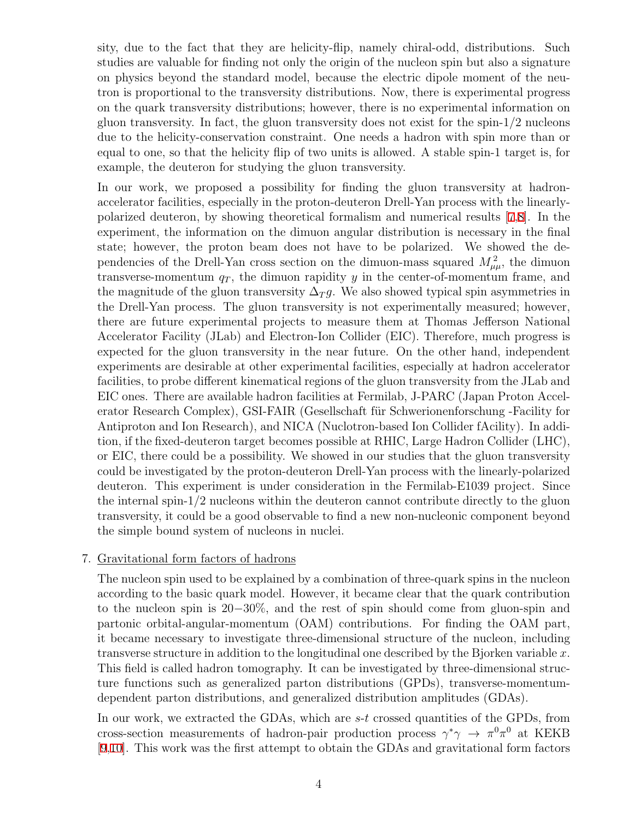sity, due to the fact that they are helicity-flip, namely chiral-odd, distributions. Such studies are valuable for finding not only the origin of the nucleon spin but also a signature on physics beyond the standard model, because the electric dipole moment of the neutron is proportional to the transversity distributions. Now, there is experimental progress on the quark transversity distributions; however, there is no experimental information on gluon transversity. In fact, the gluon transversity does not exist for the spin-1/2 nucleons due to the helicity-conservation constraint. One needs a hadron with spin more than or equal to one, so that the helicity flip of two units is allowed. A stable spin-1 target is, for example, the deuteron for studying the gluon transversity.

In our work, we proposed a possibility for finding the gluon transversity at hadronaccelerator facilities, especially in the proton-deuteron Drell-Yan process with the linearlypolarized deuteron, by showing theoretical formalism and numerical results [[7](#page-36-6)[,8](#page-36-7)]. In the experiment, the information on the dimuon angular distribution is necessary in the final state; however, the proton beam does not have to be polarized. We showed the dependencies of the Drell-Yan cross section on the dimuon-mass squared  $M_{\mu\mu}^2$ , the dimuon transverse-momentum  $q_T$ , the dimuon rapidity  $y$  in the center-of-momentum frame, and the magnitude of the gluon transversity  $\Delta_T g$ . We also showed typical spin asymmetries in the Drell-Yan process. The gluon transversity is not experimentally measured; however, there are future experimental projects to measure them at Thomas Jefferson National Accelerator Facility (JLab) and Electron-Ion Collider (EIC). Therefore, much progress is expected for the gluon transversity in the near future. On the other hand, independent experiments are desirable at other experimental facilities, especially at hadron accelerator facilities, to probe different kinematical regions of the gluon transversity from the JLab and EIC ones. There are available hadron facilities at Fermilab, J-PARC (Japan Proton Accelerator Research Complex), GSI-FAIR (Gesellschaft für Schwerionenforschung -Facility for Antiproton and Ion Research), and NICA (Nuclotron-based Ion Collider fAcility). In addition, if the fixed-deuteron target becomes possible at RHIC, Large Hadron Collider (LHC), or EIC, there could be a possibility. We showed in our studies that the gluon transversity could be investigated by the proton-deuteron Drell-Yan process with the linearly-polarized deuteron. This experiment is under consideration in the Fermilab-E1039 project. Since the internal spin-1/2 nucleons within the deuteron cannot contribute directly to the gluon transversity, it could be a good observable to find a new non-nucleonic component beyond the simple bound system of nucleons in nuclei.

#### 7. Gravitational form factors of hadrons

The nucleon spin used to be explained by a combination of three-quark spins in the nucleon according to the basic quark model. However, it became clear that the quark contribution to the nucleon spin is 20*−*30%, and the rest of spin should come from gluon-spin and partonic orbital-angular-momentum (OAM) contributions. For finding the OAM part, it became necessary to investigate three-dimensional structure of the nucleon, including transverse structure in addition to the longitudinal one described by the Bjorken variable *x*. This field is called hadron tomography. It can be investigated by three-dimensional structure functions such as generalized parton distributions (GPDs), transverse-momentumdependent parton distributions, and generalized distribution amplitudes (GDAs).

In our work, we extracted the GDAs, which are *s*-*t* crossed quantities of the GPDs, from cross-section measurements of hadron-pair production process  $\gamma^* \gamma \to \pi^0 \pi^0$  at KEKB [\[9](#page-36-8)[,10](#page-36-9)]. This work was the first attempt to obtain the GDAs and gravitational form factors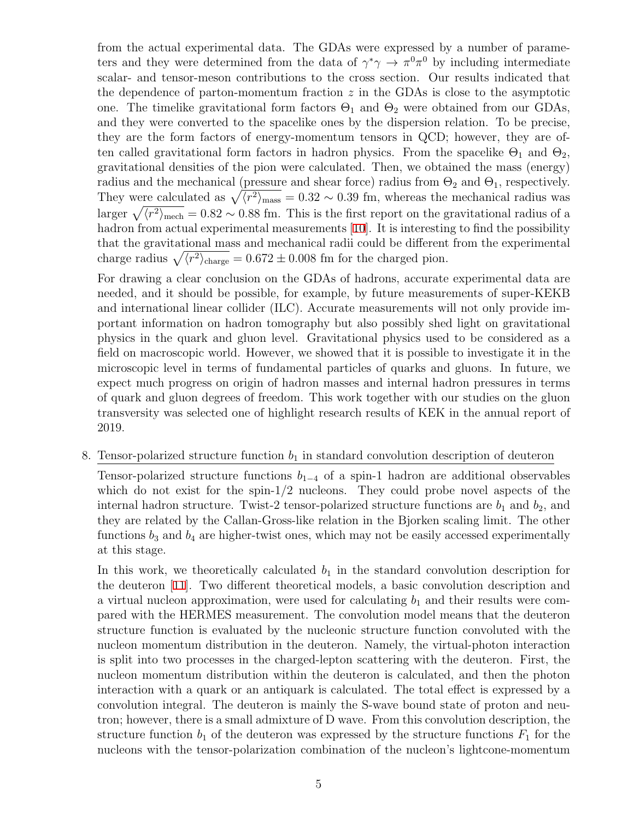from the actual experimental data. The GDAs were expressed by a number of parameters and they were determined from the data of  $\gamma^* \gamma \to \pi^0 \pi^0$  by including intermediate scalar- and tensor-meson contributions to the cross section. Our results indicated that the dependence of parton-momentum fraction *z* in the GDAs is close to the asymptotic one. The timelike gravitational form factors  $\Theta_1$  and  $\Theta_2$  were obtained from our GDAs, and they were converted to the spacelike ones by the dispersion relation. To be precise, they are the form factors of energy-momentum tensors in QCD; however, they are often called gravitational form factors in hadron physics. From the spacelike  $\Theta_1$  and  $\Theta_2$ , gravitational densities of the pion were calculated. Then, we obtained the mass (energy) radius and the mechanical (pressure and shear force) radius from  $\Theta_2$  and  $\Theta_1$ , respectively. They were calculated as  $\sqrt{\langle r^2 \rangle_{\text{mass}}} = 0.32 \sim 0.39$  fm, whereas the mechanical radius was larger  $\sqrt{\langle r^2 \rangle_{\text{mech}}} = 0.82 \sim 0.88$  fm. This is the first report on the gravitational radius of a hadron from actual experimental measurements [\[10\]](#page-36-9). It is interesting to find the possibility that the gravitational mass and mechanical radii could be different from the experimental charge radius  $\sqrt{\langle r^2 \rangle_{\text{charge}}} = 0.672 \pm 0.008$  fm for the charged pion.

For drawing a clear conclusion on the GDAs of hadrons, accurate experimental data are needed, and it should be possible, for example, by future measurements of super-KEKB and international linear collider (ILC). Accurate measurements will not only provide important information on hadron tomography but also possibly shed light on gravitational physics in the quark and gluon level. Gravitational physics used to be considered as a field on macroscopic world. However, we showed that it is possible to investigate it in the microscopic level in terms of fundamental particles of quarks and gluons. In future, we expect much progress on origin of hadron masses and internal hadron pressures in terms of quark and gluon degrees of freedom. This work together with our studies on the gluon transversity was selected one of highlight research results of KEK in the annual report of 2019.

#### 8. Tensor-polarized structure function  $b_1$  in standard convolution description of deuteron

Tensor-polarized structure functions  $b_{1-4}$  of a spin-1 hadron are additional observables which do not exist for the spin- $1/2$  nucleons. They could probe novel aspects of the internal hadron structure. Twist-2 tensor-polarized structure functions are  $b_1$  and  $b_2$ , and they are related by the Callan-Gross-like relation in the Bjorken scaling limit. The other functions  $b_3$  and  $b_4$  are higher-twist ones, which may not be easily accessed experimentally at this stage.

In this work, we theoretically calculated  $b<sub>1</sub>$  in the standard convolution description for the deuteron [\[11](#page-36-5)]. Two different theoretical models, a basic convolution description and a virtual nucleon approximation, were used for calculating  $b_1$  and their results were compared with the HERMES measurement. The convolution model means that the deuteron structure function is evaluated by the nucleonic structure function convoluted with the nucleon momentum distribution in the deuteron. Namely, the virtual-photon interaction is split into two processes in the charged-lepton scattering with the deuteron. First, the nucleon momentum distribution within the deuteron is calculated, and then the photon interaction with a quark or an antiquark is calculated. The total effect is expressed by a convolution integral. The deuteron is mainly the S-wave bound state of proton and neutron; however, there is a small admixture of D wave. From this convolution description, the structure function  $b_1$  of the deuteron was expressed by the structure functions  $F_1$  for the nucleons with the tensor-polarization combination of the nucleon's lightcone-momentum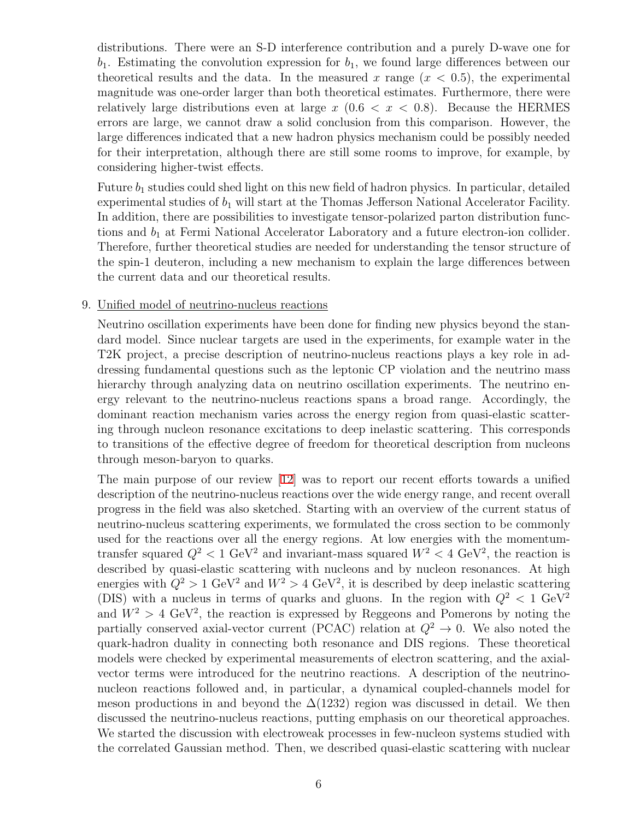distributions. There were an S-D interference contribution and a purely D-wave one for  $b_1$ . Estimating the convolution expression for  $b_1$ , we found large differences between our theoretical results and the data. In the measured  $x$  range  $(x < 0.5)$ , the experimental magnitude was one-order larger than both theoretical estimates. Furthermore, there were relatively large distributions even at large  $x$  (0.6  $\lt x \lt 0.8$ ). Because the HERMES errors are large, we cannot draw a solid conclusion from this comparison. However, the large differences indicated that a new hadron physics mechanism could be possibly needed for their interpretation, although there are still some rooms to improve, for example, by considering higher-twist effects.

Future *b*<sup>1</sup> studies could shed light on this new field of hadron physics. In particular, detailed experimental studies of *b*<sup>1</sup> will start at the Thomas Jefferson National Accelerator Facility. In addition, there are possibilities to investigate tensor-polarized parton distribution functions and  $b_1$  at Fermi National Accelerator Laboratory and a future electron-ion collider. Therefore, further theoretical studies are needed for understanding the tensor structure of the spin-1 deuteron, including a new mechanism to explain the large differences between the current data and our theoretical results.

### 9. Unified model of neutrino-nucleus reactions

Neutrino oscillation experiments have been done for finding new physics beyond the standard model. Since nuclear targets are used in the experiments, for example water in the T2K project, a precise description of neutrino-nucleus reactions plays a key role in addressing fundamental questions such as the leptonic CP violation and the neutrino mass hierarchy through analyzing data on neutrino oscillation experiments. The neutrino energy relevant to the neutrino-nucleus reactions spans a broad range. Accordingly, the dominant reaction mechanism varies across the energy region from quasi-elastic scattering through nucleon resonance excitations to deep inelastic scattering. This corresponds to transitions of the effective degree of freedom for theoretical description from nucleons through meson-baryon to quarks.

The main purpose of our review [[12](#page-37-0)] was to report our recent efforts towards a unified description of the neutrino-nucleus reactions over the wide energy range, and recent overall progress in the field was also sketched. Starting with an overview of the current status of neutrino-nucleus scattering experiments, we formulated the cross section to be commonly used for the reactions over all the energy regions. At low energies with the momentumtransfer squared  $Q^2 < 1$  GeV<sup>2</sup> and invariant-mass squared  $W^2 < 4$  GeV<sup>2</sup>, the reaction is described by quasi-elastic scattering with nucleons and by nucleon resonances. At high energies with  $Q^2 > 1$  GeV<sup>2</sup> and  $W^2 > 4$  GeV<sup>2</sup>, it is described by deep inelastic scattering (DIS) with a nucleus in terms of quarks and gluons. In the region with  $Q^2 < 1 \text{ GeV}^2$ and  $W^2 > 4$  GeV<sup>2</sup>, the reaction is expressed by Reggeons and Pomerons by noting the partially conserved axial-vector current (PCAC) relation at  $Q^2 \rightarrow 0$ . We also noted the quark-hadron duality in connecting both resonance and DIS regions. These theoretical models were checked by experimental measurements of electron scattering, and the axialvector terms were introduced for the neutrino reactions. A description of the neutrinonucleon reactions followed and, in particular, a dynamical coupled-channels model for meson productions in and beyond the  $\Delta(1232)$  region was discussed in detail. We then discussed the neutrino-nucleus reactions, putting emphasis on our theoretical approaches. We started the discussion with electroweak processes in few-nucleon systems studied with the correlated Gaussian method. Then, we described quasi-elastic scattering with nuclear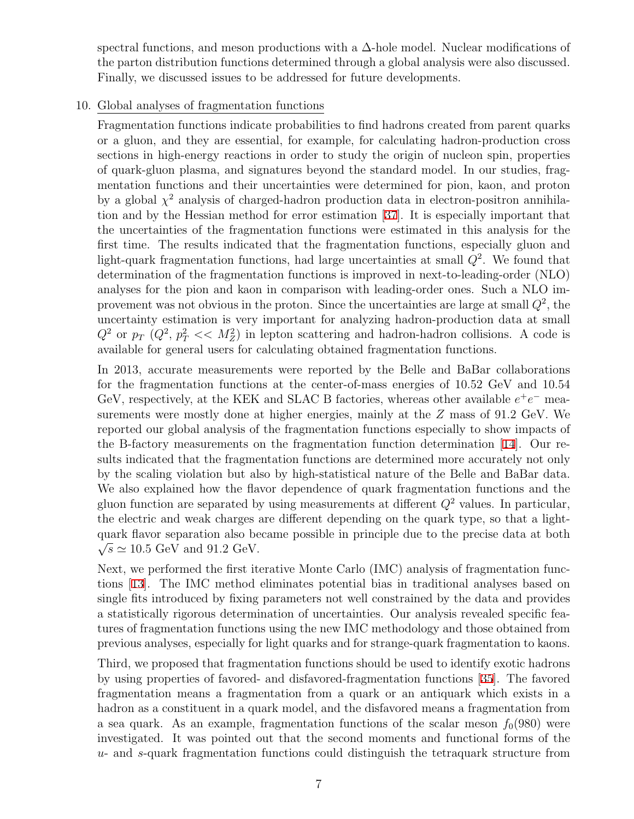spectral functions, and meson productions with a  $\Delta$ -hole model. Nuclear modifications of the parton distribution functions determined through a global analysis were also discussed. Finally, we discussed issues to be addressed for future developments.

### 10. Global analyses of fragmentation functions

Fragmentation functions indicate probabilities to find hadrons created from parent quarks or a gluon, and they are essential, for example, for calculating hadron-production cross sections in high-energy reactions in order to study the origin of nucleon spin, properties of quark-gluon plasma, and signatures beyond the standard model. In our studies, fragmentation functions and their uncertainties were determined for pion, kaon, and proton by a global  $\chi^2$  analysis of charged-hadron production data in electron-positron annihilation and by the Hessian method for error estimation [[37\]](#page-38-0). It is especially important that the uncertainties of the fragmentation functions were estimated in this analysis for the first time. The results indicated that the fragmentation functions, especially gluon and light-quark fragmentation functions, had large uncertainties at small *Q*<sup>2</sup> . We found that determination of the fragmentation functions is improved in next-to-leading-order (NLO) analyses for the pion and kaon in comparison with leading-order ones. Such a NLO improvement was not obvious in the proton. Since the uncertainties are large at small  $Q^2$ , the uncertainty estimation is very important for analyzing hadron-production data at small  $Q^2$  or  $p_T$   $(Q^2, p_T^2 \ll M_Z^2)$  in lepton scattering and hadron-hadron collisions. A code is available for general users for calculating obtained fragmentation functions.

In 2013, accurate measurements were reported by the Belle and BaBar collaborations for the fragmentation functions at the center-of-mass energies of 10.52 GeV and 10.54 GeV, respectively, at the KEK and SLAC B factories, whereas other available  $e^+e^-$  measurements were mostly done at higher energies, mainly at the *Z* mass of 91.2 GeV. We reported our global analysis of the fragmentation functions especially to show impacts of the B-factory measurements on the fragmentation function determination [[14\]](#page-37-1). Our results indicated that the fragmentation functions are determined more accurately not only by the scaling violation but also by high-statistical nature of the Belle and BaBar data. We also explained how the flavor dependence of quark fragmentation functions and the gluon function are separated by using measurements at different  $Q^2$  values. In particular, the electric and weak charges are different depending on the quark type, so that a lightquark flavor separation also became possible in principle due to the precise data at both  $\sqrt{s}$  ≈ 10.5 GeV and 91.2 GeV.

Next, we performed the first iterative Monte Carlo (IMC) analysis of fragmentation functions [\[13\]](#page-37-2). The IMC method eliminates potential bias in traditional analyses based on single fits introduced by fixing parameters not well constrained by the data and provides a statistically rigorous determination of uncertainties. Our analysis revealed specific features of fragmentation functions using the new IMC methodology and those obtained from previous analyses, especially for light quarks and for strange-quark fragmentation to kaons.

Third, we proposed that fragmentation functions should be used to identify exotic hadrons by using properties of favored- and disfavored-fragmentation functions [[35](#page-38-1)]. The favored fragmentation means a fragmentation from a quark or an antiquark which exists in a hadron as a constituent in a quark model, and the disfavored means a fragmentation from a sea quark. As an example, fragmentation functions of the scalar meson  $f_0(980)$  were investigated. It was pointed out that the second moments and functional forms of the *u*- and *s*-quark fragmentation functions could distinguish the tetraquark structure from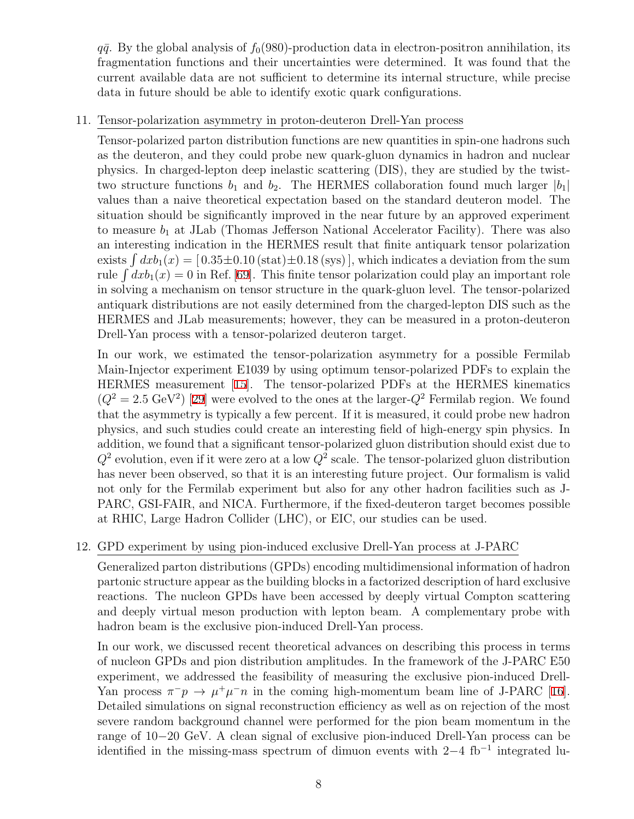$q\bar{q}$ . By the global analysis of  $f_0(980)$ -production data in electron-positron annihilation, its fragmentation functions and their uncertainties were determined. It was found that the current available data are not sufficient to determine its internal structure, while precise data in future should be able to identify exotic quark configurations.

### 11. Tensor-polarization asymmetry in proton-deuteron Drell-Yan process

Tensor-polarized parton distribution functions are new quantities in spin-one hadrons such as the deuteron, and they could probe new quark-gluon dynamics in hadron and nuclear physics. In charged-lepton deep inelastic scattering (DIS), they are studied by the twisttwo structure functions  $b_1$  and  $b_2$ . The HERMES collaboration found much larger  $|b_1|$ values than a naive theoretical expectation based on the standard deuteron model. The situation should be significantly improved in the near future by an approved experiment to measure  $b_1$  at JLab (Thomas Jefferson National Accelerator Facility). There was also an interesting indication in the HERMES result that finite antiquark tensor polarization exists  $\int dx b_1(x) = [0.35 \pm 0.10 \text{ (stat)} \pm 0.18 \text{ (sys)}]$ , which indicates a deviation from the sum rule  $\int dx b_1(x) = 0$  in Ref. [[69\]](#page-41-1). This finite tensor polarization could play an important role in solving a mechanism on tensor structure in the quark-gluon level. The tensor-polarized antiquark distributions are not easily determined from the charged-lepton DIS such as the HERMES and JLab measurements; however, they can be measured in a proton-deuteron Drell-Yan process with a tensor-polarized deuteron target.

In our work, we estimated the tensor-polarization asymmetry for a possible Fermilab Main-Injector experiment E1039 by using optimum tensor-polarized PDFs to explain the HERMES measurement [\[15](#page-37-3)]. The tensor-polarized PDFs at the HERMES kinematics  $(Q^2 = 2.5 \text{ GeV}^2)$  [[29](#page-38-2)] were evolved to the ones at the larger- $Q^2$  Fermilab region. We found that the asymmetry is typically a few percent. If it is measured, it could probe new hadron physics, and such studies could create an interesting field of high-energy spin physics. In addition, we found that a significant tensor-polarized gluon distribution should exist due to  $Q^2$  evolution, even if it were zero at a low  $Q^2$  scale. The tensor-polarized gluon distribution has never been observed, so that it is an interesting future project. Our formalism is valid not only for the Fermilab experiment but also for any other hadron facilities such as J-PARC, GSI-FAIR, and NICA. Furthermore, if the fixed-deuteron target becomes possible at RHIC, Large Hadron Collider (LHC), or EIC, our studies can be used.

### 12. GPD experiment by using pion-induced exclusive Drell-Yan process at J-PARC

Generalized parton distributions (GPDs) encoding multidimensional information of hadron partonic structure appear as the building blocks in a factorized description of hard exclusive reactions. The nucleon GPDs have been accessed by deeply virtual Compton scattering and deeply virtual meson production with lepton beam. A complementary probe with hadron beam is the exclusive pion-induced Drell-Yan process.

In our work, we discussed recent theoretical advances on describing this process in terms of nucleon GPDs and pion distribution amplitudes. In the framework of the J-PARC E50 experiment, we addressed the feasibility of measuring the exclusive pion-induced Drell-Yan process  $\pi^- p \to \mu^+ \mu^- n$  in the coming high-momentum beam line of J-PARC [[16](#page-37-4)]. Detailed simulations on signal reconstruction efficiency as well as on rejection of the most severe random background channel were performed for the pion beam momentum in the range of 10*−*20 GeV. A clean signal of exclusive pion-induced Drell-Yan process can be identified in the missing-mass spectrum of dimuon events with 2*−*4 fb*−*<sup>1</sup> integrated lu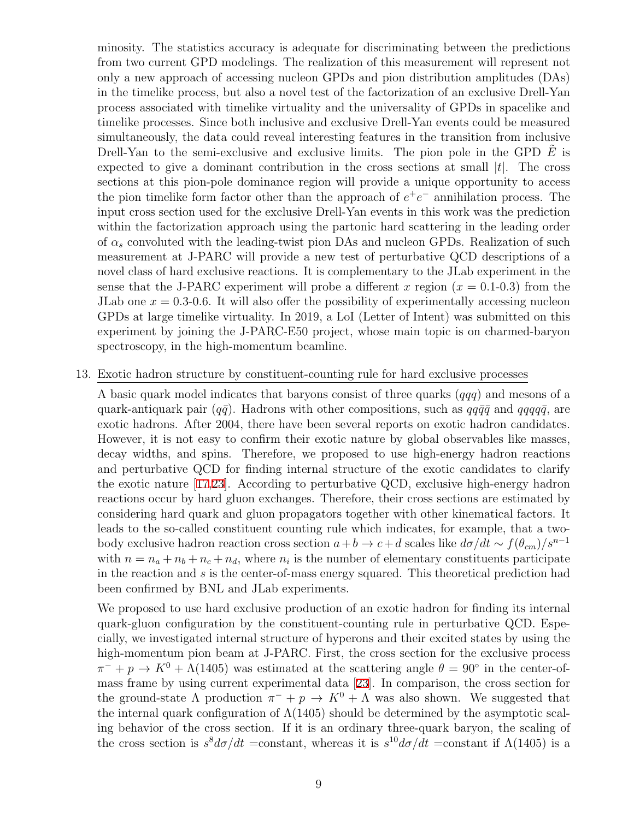minosity. The statistics accuracy is adequate for discriminating between the predictions from two current GPD modelings. The realization of this measurement will represent not only a new approach of accessing nucleon GPDs and pion distribution amplitudes (DAs) in the timelike process, but also a novel test of the factorization of an exclusive Drell-Yan process associated with timelike virtuality and the universality of GPDs in spacelike and timelike processes. Since both inclusive and exclusive Drell-Yan events could be measured simultaneously, the data could reveal interesting features in the transition from inclusive Drell-Yan to the semi-exclusive and exclusive limits. The pion pole in the GPD  $\tilde{E}$  is expected to give a dominant contribution in the cross sections at small *|t|*. The cross sections at this pion-pole dominance region will provide a unique opportunity to access the pion timelike form factor other than the approach of  $e^+e^-$  annihilation process. The input cross section used for the exclusive Drell-Yan events in this work was the prediction within the factorization approach using the partonic hard scattering in the leading order of *α<sup>s</sup>* convoluted with the leading-twist pion DAs and nucleon GPDs. Realization of such measurement at J-PARC will provide a new test of perturbative QCD descriptions of a novel class of hard exclusive reactions. It is complementary to the JLab experiment in the sense that the J-PARC experiment will probe a different x region  $(x = 0.1-0.3)$  from the JLab one  $x = 0.3$ -0.6. It will also offer the possibility of experimentally accessing nucleon GPDs at large timelike virtuality. In 2019, a LoI (Letter of Intent) was submitted on this experiment by joining the J-PARC-E50 project, whose main topic is on charmed-baryon spectroscopy, in the high-momentum beamline.

#### 13. Exotic hadron structure by constituent-counting rule for hard exclusive processes

A basic quark model indicates that baryons consist of three quarks (*qqq*) and mesons of a quark-antiquark pair ( $q\bar{q}$ ). Hadrons with other compositions, such as  $qq\bar{q}\bar{q}$  and  $qqqq\bar{q}$ , are exotic hadrons. After 2004, there have been several reports on exotic hadron candidates. However, it is not easy to confirm their exotic nature by global observables like masses, decay widths, and spins. Therefore, we proposed to use high-energy hadron reactions and perturbative QCD for finding internal structure of the exotic candidates to clarify the exotic nature [[17,](#page-37-5)[23](#page-37-6)]. According to perturbative QCD, exclusive high-energy hadron reactions occur by hard gluon exchanges. Therefore, their cross sections are estimated by considering hard quark and gluon propagators together with other kinematical factors. It leads to the so-called constituent counting rule which indicates, for example, that a twobody exclusive hadron reaction cross section  $a + b \to c + d$  scales like  $d\sigma/dt \sim f(\theta_{cm})/s^{n-1}$ with  $n = n_a + n_b + n_c + n_d$ , where  $n_i$  is the number of elementary constituents participate in the reaction and *s* is the center-of-mass energy squared. This theoretical prediction had been confirmed by BNL and JLab experiments.

We proposed to use hard exclusive production of an exotic hadron for finding its internal quark-gluon configuration by the constituent-counting rule in perturbative QCD. Especially, we investigated internal structure of hyperons and their excited states by using the high-momentum pion beam at J-PARC. First, the cross section for the exclusive process  $\pi^- + p \rightarrow K^0 + \Lambda(1405)$  was estimated at the scattering angle  $\theta = 90^\circ$  in the center-ofmass frame by using current experimental data [\[23\]](#page-37-6). In comparison, the cross section for the ground-state  $\Lambda$  production  $\pi^- + p \to K^0 + \Lambda$  was also shown. We suggested that the internal quark configuration of  $\Lambda(1405)$  should be determined by the asymptotic scaling behavior of the cross section. If it is an ordinary three-quark baryon, the scaling of the cross section is  $s^8 d\sigma/dt$  =constant, whereas it is  $s^{10} d\sigma/dt$  =constant if  $\Lambda$ (1405) is a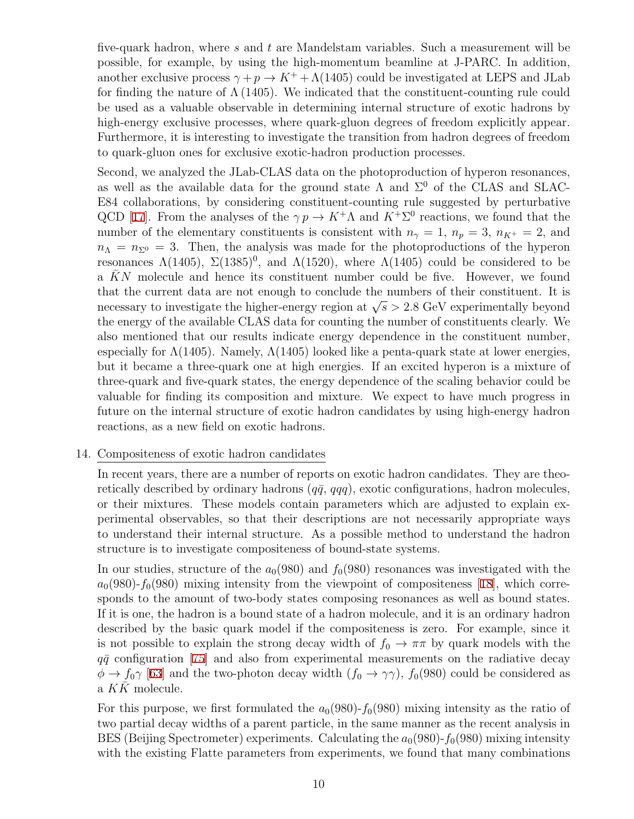five-quark hadron, where *s* and *t* are Mandelstam variables. Such a measurement will be possible, for example, by using the high-momentum beamline at J-PARC. In addition, another exclusive process  $\gamma + p \rightarrow K^+ + \Lambda(1405)$  could be investigated at LEPS and JLab for finding the nature of  $\Lambda$  (1405). We indicated that the constituent-counting rule could be used as a valuable observable in determining internal structure of exotic hadrons by high-energy exclusive processes, where quark-gluon degrees of freedom explicitly appear. Furthermore, it is interesting to investigate the transition from hadron degrees of freedom to quark-gluon ones for exclusive exotic-hadron production processes.

Second, we analyzed the JLab-CLAS data on the photoproduction of hyperon resonances, as well as the available data for the ground state  $\Lambda$  and  $\Sigma^0$  of the CLAS and SLAC-E84 collaborations, by considering constituent-counting rule suggested by perturbative QCD [[17\]](#page-37-5). From the analyses of the  $\gamma p \to K^+ \Lambda$  and  $K^+ \Sigma^0$  reactions, we found that the number of the elementary constituents is consistent with  $n<sub>\gamma</sub> = 1$ ,  $n<sub>p</sub> = 3$ ,  $n<sub>K</sub> + 2$ , and  $n_{\Lambda} = n_{\Sigma^0} = 3$ . Then, the analysis was made for the photoproductions of the hyperon resonances  $\Lambda(1405)$ ,  $\Sigma(1385)^0$ , and  $\Lambda(1520)$ , where  $\Lambda(1405)$  could be considered to be a  $\bar{K}N$  molecule and hence its constituent number could be five. However, we found that the current data are not enough to conclude the numbers of their constituent. It is necessary to investigate the higher-energy region at  $\sqrt{s}$  > 2.8 GeV experimentally beyond the energy of the available CLAS data for counting the number of constituents clearly. We also mentioned that our results indicate energy dependence in the constituent number, especially for  $\Lambda(1405)$ . Namely,  $\Lambda(1405)$  looked like a penta-quark state at lower energies, but it became a three-quark one at high energies. If an excited hyperon is a mixture of three-quark and five-quark states, the energy dependence of the scaling behavior could be valuable for finding its composition and mixture. We expect to have much progress in future on the internal structure of exotic hadron candidates by using high-energy hadron reactions, as a new field on exotic hadrons.

### 14. Compositeness of exotic hadron candidates

In recent years, there are a number of reports on exotic hadron candidates. They are theoretically described by ordinary hadrons  $(q\bar{q}, qqq)$ , exotic configurations, hadron molecules, or their mixtures. These models contain parameters which are adjusted to explain experimental observables, so that their descriptions are not necessarily appropriate ways to understand their internal structure. As a possible method to understand the hadron structure is to investigate compositeness of bound-state systems.

In our studies, structure of the  $a_0(980)$  and  $f_0(980)$  resonances was investigated with the  $a_0(980)$ - $f_0(980)$  mixing intensity from the viewpoint of compositeness [[18\]](#page-37-7), which corresponds to the amount of two-body states composing resonances as well as bound states. If it is one, the hadron is a bound state of a hadron molecule, and it is an ordinary hadron described by the basic quark model if the compositeness is zero. For example, since it is not possible to explain the strong decay width of  $f_0 \to \pi\pi$  by quark models with the  $q\bar{q}$  configuration [\[75\]](#page-41-2) and also from experimental measurements on the radiative decay  $\phi \rightarrow f_0 \gamma$  [[63](#page-40-0)] and the two-photon decay width  $(f_0 \rightarrow \gamma \gamma)$ ,  $f_0(980)$  could be considered as a  $KK$  molecule.

For this purpose, we first formulated the  $a_0(980)$ - $f_0(980)$  mixing intensity as the ratio of two partial decay widths of a parent particle, in the same manner as the recent analysis in BES (Beijing Spectrometer) experiments. Calculating the  $a_0(980)$ - $f_0(980)$  mixing intensity with the existing Flatte parameters from experiments, we found that many combinations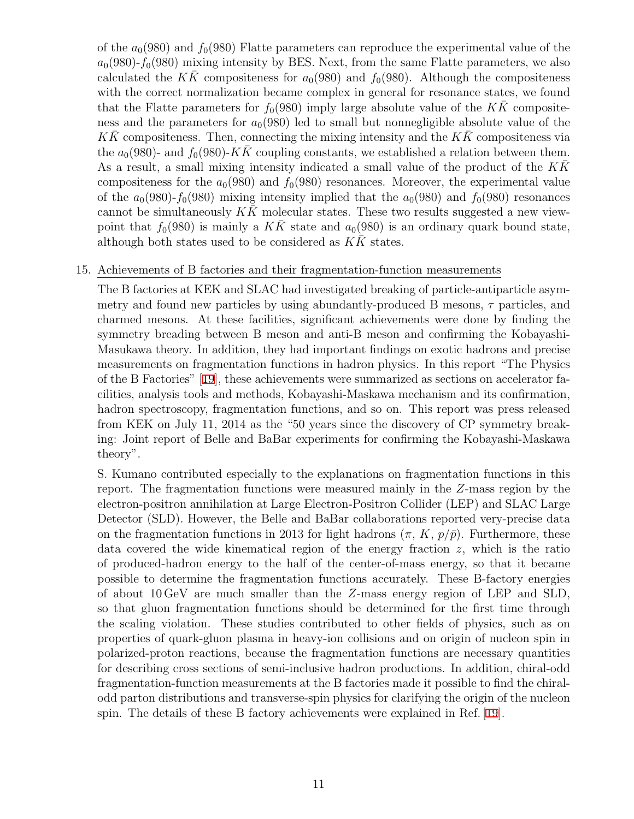of the  $a_0(980)$  and  $f_0(980)$  Flatte parameters can reproduce the experimental value of the  $a_0(980)$ - $f_0(980)$  mixing intensity by BES. Next, from the same Flatte parameters, we also calculated the *KK* compositeness for  $a_0(980)$  and  $f_0(980)$ . Although the compositeness with the correct normalization became complex in general for resonance states, we found that the Flatte parameters for  $f_0(980)$  imply large absolute value of the KK compositeness and the parameters for  $a_0(980)$  led to small but nonnegligible absolute value of the  $KK$  compositeness. Then, connecting the mixing intensity and the  $K\bar{K}$  compositeness via the  $a_0(980)$ - and  $f_0(980)$ -*KK* coupling constants, we established a relation between them. As a result, a small mixing intensity indicated a small value of the product of the *KK*¯ compositeness for the  $a_0(980)$  and  $f_0(980)$  resonances. Moreover, the experimental value of the  $a_0(980)$ - $f_0(980)$  mixing intensity implied that the  $a_0(980)$  and  $f_0(980)$  resonances cannot be simultaneously  $K\bar{K}$  molecular states. These two results suggested a new viewpoint that  $f_0(980)$  is mainly a KK state and  $a_0(980)$  is an ordinary quark bound state, although both states used to be considered as  $K\bar{K}$  states.

### 15. Achievements of B factories and their fragmentation-function measurements

The B factories at KEK and SLAC had investigated breaking of particle-antiparticle asymmetry and found new particles by using abundantly-produced B mesons, *τ* particles, and charmed mesons. At these facilities, significant achievements were done by finding the symmetry breading between B meson and anti-B meson and confirming the Kobayashi-Masukawa theory. In addition, they had important findings on exotic hadrons and precise measurements on fragmentation functions in hadron physics. In this report "The Physics of the B Factories" [\[19](#page-37-8)], these achievements were summarized as sections on accelerator facilities, analysis tools and methods, Kobayashi-Maskawa mechanism and its confirmation, hadron spectroscopy, fragmentation functions, and so on. This report was press released from KEK on July 11, 2014 as the "50 years since the discovery of CP symmetry breaking: Joint report of Belle and BaBar experiments for confirming the Kobayashi-Maskawa theory".

S. Kumano contributed especially to the explanations on fragmentation functions in this report. The fragmentation functions were measured mainly in the *Z*-mass region by the electron-positron annihilation at Large Electron-Positron Collider (LEP) and SLAC Large Detector (SLD). However, the Belle and BaBar collaborations reported very-precise data on the fragmentation functions in 2013 for light hadrons  $(\pi, K, p/\bar{p})$ . Furthermore, these data covered the wide kinematical region of the energy fraction *z*, which is the ratio of produced-hadron energy to the half of the center-of-mass energy, so that it became possible to determine the fragmentation functions accurately. These B-factory energies of about 10 GeV are much smaller than the *Z*-mass energy region of LEP and SLD, so that gluon fragmentation functions should be determined for the first time through the scaling violation. These studies contributed to other fields of physics, such as on properties of quark-gluon plasma in heavy-ion collisions and on origin of nucleon spin in polarized-proton reactions, because the fragmentation functions are necessary quantities for describing cross sections of semi-inclusive hadron productions. In addition, chiral-odd fragmentation-function measurements at the B factories made it possible to find the chiralodd parton distributions and transverse-spin physics for clarifying the origin of the nucleon spin. The details of these B factory achievements were explained in Ref. [[19](#page-37-8)].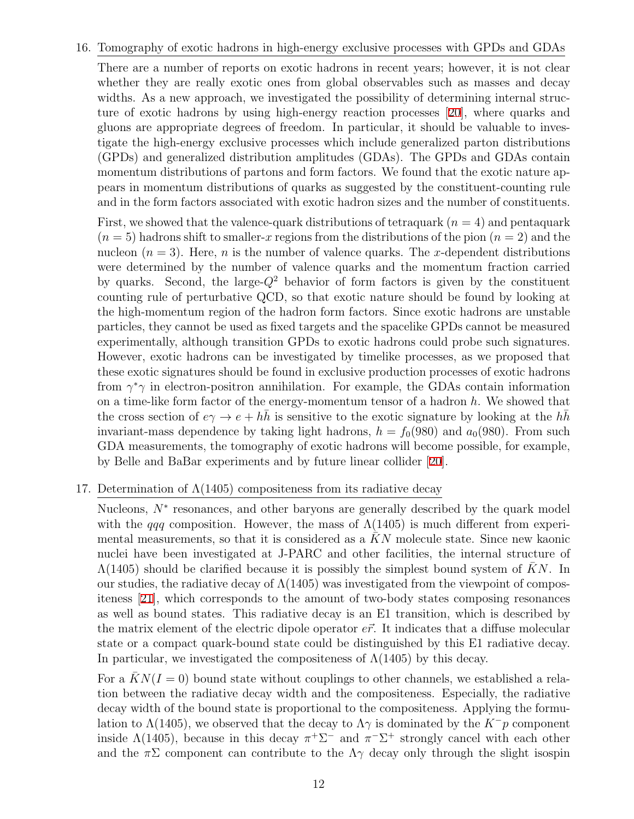#### 16. Tomography of exotic hadrons in high-energy exclusive processes with GPDs and GDAs

There are a number of reports on exotic hadrons in recent years; however, it is not clear whether they are really exotic ones from global observables such as masses and decay widths. As a new approach, we investigated the possibility of determining internal structure of exotic hadrons by using high-energy reaction processes [\[20\]](#page-37-9), where quarks and gluons are appropriate degrees of freedom. In particular, it should be valuable to investigate the high-energy exclusive processes which include generalized parton distributions (GPDs) and generalized distribution amplitudes (GDAs). The GPDs and GDAs contain momentum distributions of partons and form factors. We found that the exotic nature appears in momentum distributions of quarks as suggested by the constituent-counting rule and in the form factors associated with exotic hadron sizes and the number of constituents.

First, we showed that the valence-quark distributions of tetraquark  $(n = 4)$  and pentaquark  $(n = 5)$  hadrons shift to smaller-x regions from the distributions of the pion  $(n = 2)$  and the nucleon  $(n = 3)$ . Here, *n* is the number of valence quarks. The *x*-dependent distributions were determined by the number of valence quarks and the momentum fraction carried by quarks. Second, the large-*Q*<sup>2</sup> behavior of form factors is given by the constituent counting rule of perturbative QCD, so that exotic nature should be found by looking at the high-momentum region of the hadron form factors. Since exotic hadrons are unstable particles, they cannot be used as fixed targets and the spacelike GPDs cannot be measured experimentally, although transition GPDs to exotic hadrons could probe such signatures. However, exotic hadrons can be investigated by timelike processes, as we proposed that these exotic signatures should be found in exclusive production processes of exotic hadrons from *γ <sup>∗</sup>γ* in electron-positron annihilation. For example, the GDAs contain information on a time-like form factor of the energy-momentum tensor of a hadron *h*. We showed that the cross section of  $e\gamma \rightarrow e + h\bar{h}$  is sensitive to the exotic signature by looking at the  $h\bar{h}$ invariant-mass dependence by taking light hadrons,  $h = f_0(980)$  and  $a_0(980)$ . From such GDA measurements, the tomography of exotic hadrons will become possible, for example, by Belle and BaBar experiments and by future linear collider [[20\]](#page-37-9).

### 17. Determination of  $\Lambda(1405)$  compositeness from its radiative decay

Nucleons,  $N^*$  resonances, and other baryons are generally described by the quark model with the *qqq* composition. However, the mass of  $\Lambda(1405)$  is much different from experimental measurements, so that it is considered as a KN molecule state. Since new kaonic nuclei have been investigated at J-PARC and other facilities, the internal structure of  $\Lambda(1405)$  should be clarified because it is possibly the simplest bound system of KN. In our studies, the radiative decay of  $\Lambda(1405)$  was investigated from the viewpoint of compositeness [[21\]](#page-37-10), which corresponds to the amount of two-body states composing resonances as well as bound states. This radiative decay is an E1 transition, which is described by the matrix element of the electric dipole operator  $e\vec{r}$ . It indicates that a diffuse molecular state or a compact quark-bound state could be distinguished by this E1 radiative decay. In particular, we investigated the compositeness of  $\Lambda(1405)$  by this decay.

For a  $KN(I = 0)$  bound state without couplings to other channels, we established a relation between the radiative decay width and the compositeness. Especially, the radiative decay width of the bound state is proportional to the compositeness. Applying the formulation to  $\Lambda$ (1405), we observed that the decay to  $\Lambda\gamma$  is dominated by the  $K^-\rho$  component inside  $\Lambda(1405)$ , because in this decay  $\pi^+\Sigma^-$  and  $\pi^-\Sigma^+$  strongly cancel with each other and the  $\pi\Sigma$  component can contribute to the  $\Lambda\gamma$  decay only through the slight isospin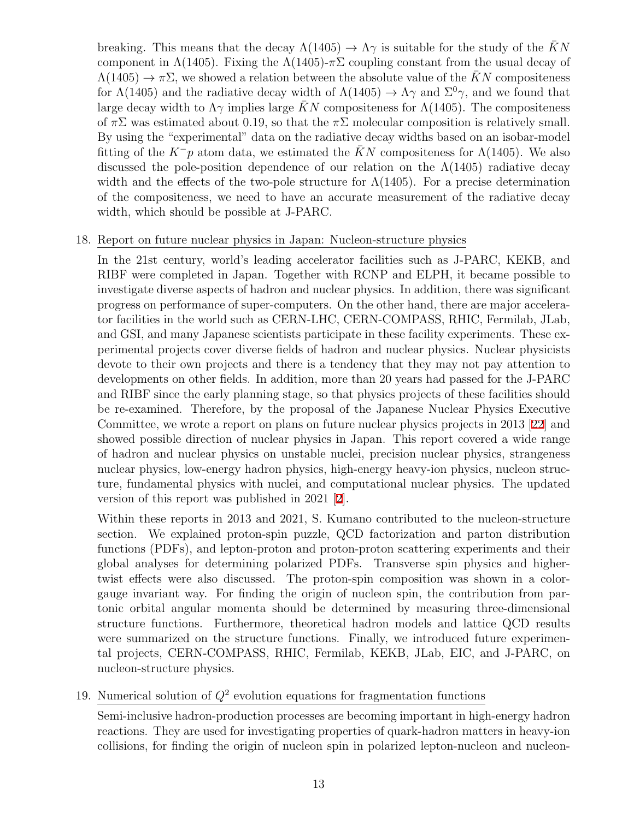breaking. This means that the decay  $\Lambda(1405) \rightarrow \Lambda \gamma$  is suitable for the study of the KN component in  $\Lambda(1405)$ . Fixing the  $\Lambda(1405)$ - $\pi\Sigma$  coupling constant from the usual decay of  $\Lambda(1405) \rightarrow \pi \Sigma$ , we showed a relation between the absolute value of the *KN* compositeness for  $\Lambda(1405)$  and the radiative decay width of  $\Lambda(1405) \rightarrow \Lambda \gamma$  and  $\Sigma^0 \gamma$ , and we found that large decay width to  $\Lambda\gamma$  implies large KN compositeness for  $\Lambda(1405)$ . The compositeness of  $\pi\Sigma$  was estimated about 0.19, so that the  $\pi\Sigma$  molecular composition is relatively small. By using the "experimental" data on the radiative decay widths based on an isobar-model fitting of the  $K^-\mathfrak{p}$  atom data, we estimated the  $KN$  compositeness for  $\Lambda(1405)$ . We also discussed the pole-position dependence of our relation on the  $\Lambda(1405)$  radiative decay width and the effects of the two-pole structure for  $\Lambda(1405)$ . For a precise determination of the compositeness, we need to have an accurate measurement of the radiative decay width, which should be possible at J-PARC.

### 18. Report on future nuclear physics in Japan: Nucleon-structure physics

In the 21st century, world's leading accelerator facilities such as J-PARC, KEKB, and RIBF were completed in Japan. Together with RCNP and ELPH, it became possible to investigate diverse aspects of hadron and nuclear physics. In addition, there was significant progress on performance of super-computers. On the other hand, there are major accelerator facilities in the world such as CERN-LHC, CERN-COMPASS, RHIC, Fermilab, JLab, and GSI, and many Japanese scientists participate in these facility experiments. These experimental projects cover diverse fields of hadron and nuclear physics. Nuclear physicists devote to their own projects and there is a tendency that they may not pay attention to developments on other fields. In addition, more than 20 years had passed for the J-PARC and RIBF since the early planning stage, so that physics projects of these facilities should be re-examined. Therefore, by the proposal of the Japanese Nuclear Physics Executive Committee, we wrote a report on plans on future nuclear physics projects in 2013 [[22](#page-37-11)] and showed possible direction of nuclear physics in Japan. This report covered a wide range of hadron and nuclear physics on unstable nuclei, precision nuclear physics, strangeness nuclear physics, low-energy hadron physics, high-energy heavy-ion physics, nucleon structure, fundamental physics with nuclei, and computational nuclear physics. The updated version of this report was published in 2021 [[2\]](#page-36-10).

Within these reports in 2013 and 2021, S. Kumano contributed to the nucleon-structure section. We explained proton-spin puzzle, QCD factorization and parton distribution functions (PDFs), and lepton-proton and proton-proton scattering experiments and their global analyses for determining polarized PDFs. Transverse spin physics and highertwist effects were also discussed. The proton-spin composition was shown in a colorgauge invariant way. For finding the origin of nucleon spin, the contribution from partonic orbital angular momenta should be determined by measuring three-dimensional structure functions. Furthermore, theoretical hadron models and lattice QCD results were summarized on the structure functions. Finally, we introduced future experimental projects, CERN-COMPASS, RHIC, Fermilab, KEKB, JLab, EIC, and J-PARC, on nucleon-structure physics.

## 19. Numerical solution of  $Q^2$  evolution equations for fragmentation functions

Semi-inclusive hadron-production processes are becoming important in high-energy hadron reactions. They are used for investigating properties of quark-hadron matters in heavy-ion collisions, for finding the origin of nucleon spin in polarized lepton-nucleon and nucleon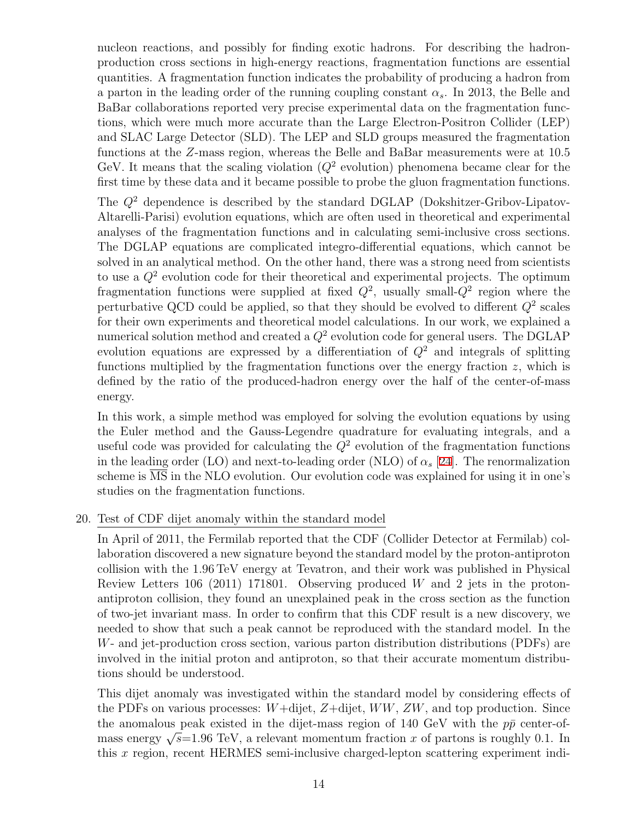nucleon reactions, and possibly for finding exotic hadrons. For describing the hadronproduction cross sections in high-energy reactions, fragmentation functions are essential quantities. A fragmentation function indicates the probability of producing a hadron from a parton in the leading order of the running coupling constant  $\alpha_s$ . In 2013, the Belle and BaBar collaborations reported very precise experimental data on the fragmentation functions, which were much more accurate than the Large Electron-Positron Collider (LEP) and SLAC Large Detector (SLD). The LEP and SLD groups measured the fragmentation functions at the *Z*-mass region, whereas the Belle and BaBar measurements were at 10.5 GeV. It means that the scaling violation  $(Q^2 \text{ evolution})$  phenomena became clear for the first time by these data and it became possible to probe the gluon fragmentation functions.

The *Q*<sup>2</sup> dependence is described by the standard DGLAP (Dokshitzer-Gribov-Lipatov-Altarelli-Parisi) evolution equations, which are often used in theoretical and experimental analyses of the fragmentation functions and in calculating semi-inclusive cross sections. The DGLAP equations are complicated integro-differential equations, which cannot be solved in an analytical method. On the other hand, there was a strong need from scientists to use a *Q*<sup>2</sup> evolution code for their theoretical and experimental projects. The optimum fragmentation functions were supplied at fixed  $Q^2$ , usually small- $Q^2$  region where the perturbative QCD could be applied, so that they should be evolved to different *Q*<sup>2</sup> scales for their own experiments and theoretical model calculations. In our work, we explained a numerical solution method and created a  $Q^2$  evolution code for general users. The DGLAP evolution equations are expressed by a differentiation of  $Q^2$  and integrals of splitting functions multiplied by the fragmentation functions over the energy fraction *z*, which is defined by the ratio of the produced-hadron energy over the half of the center-of-mass energy.

In this work, a simple method was employed for solving the evolution equations by using the Euler method and the Gauss-Legendre quadrature for evaluating integrals, and a useful code was provided for calculating the *Q*<sup>2</sup> evolution of the fragmentation functions in the leading order (LO) and next-to-leading order (NLO) of  $\alpha_s$  [\[24](#page-38-3)]. The renormalization scheme is MS in the NLO evolution. Our evolution code was explained for using it in one's studies on the fragmentation functions.

20. Test of CDF dijet anomaly within the standard model

In April of 2011, the Fermilab reported that the CDF (Collider Detector at Fermilab) collaboration discovered a new signature beyond the standard model by the proton-antiproton collision with the 1.96 TeV energy at Tevatron, and their work was published in Physical Review Letters 106 (2011) 171801. Observing produced *W* and 2 jets in the protonantiproton collision, they found an unexplained peak in the cross section as the function of two-jet invariant mass. In order to confirm that this CDF result is a new discovery, we needed to show that such a peak cannot be reproduced with the standard model. In the *W*- and jet-production cross section, various parton distribution distributions (PDFs) are involved in the initial proton and antiproton, so that their accurate momentum distributions should be understood.

This dijet anomaly was investigated within the standard model by considering effects of the PDFs on various processes: *W*+dijet, *Z*+dijet, *WW*, *ZW*, and top production. Since the anomalous peak existed in the dijet-mass region of  $140 \text{ GeV}$  with the  $p\bar{p}$  center-ofmass energy  $\sqrt{s}$ =1.96 TeV, a relevant momentum fraction *x* of partons is roughly 0.1. In this *x* region, recent HERMES semi-inclusive charged-lepton scattering experiment indi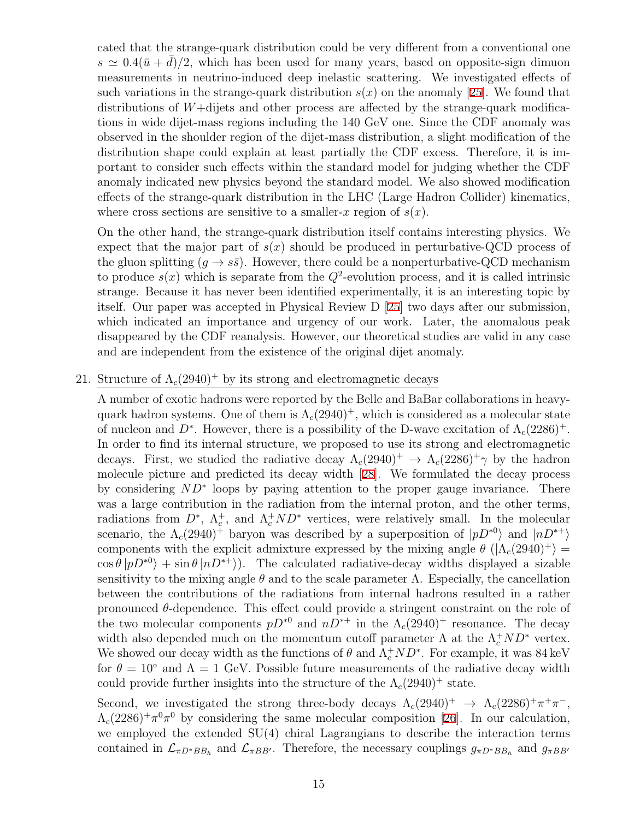cated that the strange-quark distribution could be very different from a conventional one  $s \simeq 0.4(\bar{u} + d)/2$ , which has been used for many years, based on opposite-sign dimuon measurements in neutrino-induced deep inelastic scattering. We investigated effects of such variations in the strange-quark distribution  $s(x)$  on the anomaly [[25\]](#page-38-4). We found that distributions of *W*+dijets and other process are affected by the strange-quark modifications in wide dijet-mass regions including the 140 GeV one. Since the CDF anomaly was observed in the shoulder region of the dijet-mass distribution, a slight modification of the distribution shape could explain at least partially the CDF excess. Therefore, it is important to consider such effects within the standard model for judging whether the CDF anomaly indicated new physics beyond the standard model. We also showed modification effects of the strange-quark distribution in the LHC (Large Hadron Collider) kinematics, where cross sections are sensitive to a smaller-*x* region of  $s(x)$ .

On the other hand, the strange-quark distribution itself contains interesting physics. We expect that the major part of  $s(x)$  should be produced in perturbative-QCD process of the gluon splitting  $(q \rightarrow s\bar{s})$ . However, there could be a nonperturbative-QCD mechanism to produce  $s(x)$  which is separate from the  $Q^2$ -evolution process, and it is called intrinsic strange. Because it has never been identified experimentally, it is an interesting topic by itself. Our paper was accepted in Physical Review D [[25](#page-38-4)] two days after our submission, which indicated an importance and urgency of our work. Later, the anomalous peak disappeared by the CDF reanalysis. However, our theoretical studies are valid in any case and are independent from the existence of the original dijet anomaly.

21. Structure of  $\Lambda_c(2940)^+$  by its strong and electromagnetic decays

A number of exotic hadrons were reported by the Belle and BaBar collaborations in heavyquark hadron systems. One of them is  $\Lambda_c(2940)^+$ , which is considered as a molecular state of nucleon and  $D^*$ . However, there is a possibility of the D-wave excitation of  $\Lambda_c(2286)^+$ . In order to find its internal structure, we proposed to use its strong and electromagnetic decays. First, we studied the radiative decay  $\Lambda_c(2940)^+$   $\to \Lambda_c(2286)^+$ *γ* by the hadron molecule picture and predicted its decay width [[28\]](#page-38-5). We formulated the decay process by considering *ND<sup>∗</sup>* loops by paying attention to the proper gauge invariance. There was a large contribution in the radiation from the internal proton, and the other terms, radiations from  $D^*$ ,  $\Lambda_c^+$ , and  $\Lambda_c^+ ND^*$  vertices, were relatively small. In the molecular scenario, the  $\Lambda_c(2940)^+$  baryon was described by a superposition of  $|pD^{*0}\rangle$  and  $|nD^{*+}\rangle$ components with the explicit admixture expressed by the mixing angle  $\theta$  ( $|\Lambda_c(2940)^+\rangle$  =  $\cos \theta |pD^{*0}\rangle + \sin \theta |nD^{*+}\rangle$ ). The calculated radiative-decay widths displayed a sizable sensitivity to the mixing angle  $\theta$  and to the scale parameter  $\Lambda$ . Especially, the cancellation between the contributions of the radiations from internal hadrons resulted in a rather pronounced *θ*-dependence. This effect could provide a stringent constraint on the role of the two molecular components  $pD^{*0}$  and  $nD^{*+}$  in the  $\Lambda_c(2940)^+$  resonance. The decay width also depended much on the momentum cutoff parameter  $\Lambda$  at the  $\Lambda_c^+ ND^*$  vertex. We showed our decay width as the functions of  $\theta$  and  $\Lambda_c^+ ND^*$ . For example, it was 84 keV for  $\theta = 10^{\circ}$  and  $\Lambda = 1$  GeV. Possible future measurements of the radiative decay width could provide further insights into the structure of the  $\Lambda_c(2940)^+$  state.

Second, we investigated the strong three-body decays  $\Lambda_c(2940)^+$   $\to \Lambda_c(2286)^+ \pi^+ \pi^-$ ,  $\Lambda_c(2286)^+\pi^0\pi^0$  by considering the same molecular composition [[26\]](#page-38-6). In our calculation, we employed the extended SU(4) chiral Lagrangians to describe the interaction terms contained in  $\mathcal{L}_{\pi D^*BB_h}$  and  $\mathcal{L}_{\pi BB'}$ . Therefore, the necessary couplings  $g_{\pi D^*BB_h}$  and  $g_{\pi BB'}$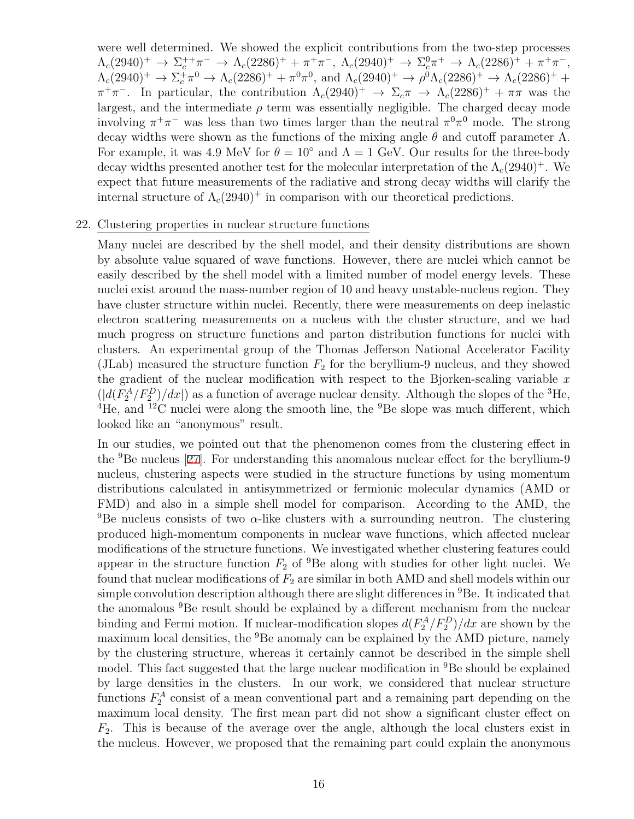were well determined. We showed the explicit contributions from the two-step processes  $\Lambda_c(2940)^+$   $\to \Sigma_c^{++} \pi^ \to \Lambda_c(2286)^+$  +  $\pi^+ \pi^-$ ,  $\Lambda_c(2940)^+$   $\to \Sigma_c^0 \pi^+$   $\to \Lambda_c(2286)^+$  +  $\pi^+ \pi^-$ ,  $\Lambda_c(2940)^+$   $\to \Sigma_c^+\pi^0 \to \Lambda_c(2286)^+ + \pi^0\pi^0$ , and  $\Lambda_c(2940)^+$   $\to \rho^0\Lambda_c(2286)^+$   $\to \Lambda_c(2286)^+$  +  $\pi^+\pi^-$ . In particular, the contribution  $\Lambda_c(2940)^+$   $\to \Sigma_c \pi \to \Lambda_c(2286)^+ + \pi \pi$  was the largest, and the intermediate  $\rho$  term was essentially negligible. The charged decay mode involving  $\pi^+\pi^-$  was less than two times larger than the neutral  $\pi^0\pi^0$  mode. The strong decay widths were shown as the functions of the mixing angle  $\theta$  and cutoff parameter  $\Lambda$ . For example, it was 4.9 MeV for  $\theta = 10^{\circ}$  and  $\Lambda = 1$  GeV. Our results for the three-body decay widths presented another test for the molecular interpretation of the  $\Lambda_c(2940)^+$ . We expect that future measurements of the radiative and strong decay widths will clarify the internal structure of  $\Lambda_c(2940)^+$  in comparison with our theoretical predictions.

#### 22. Clustering properties in nuclear structure functions

Many nuclei are described by the shell model, and their density distributions are shown by absolute value squared of wave functions. However, there are nuclei which cannot be easily described by the shell model with a limited number of model energy levels. These nuclei exist around the mass-number region of 10 and heavy unstable-nucleus region. They have cluster structure within nuclei. Recently, there were measurements on deep inelastic electron scattering measurements on a nucleus with the cluster structure, and we had much progress on structure functions and parton distribution functions for nuclei with clusters. An experimental group of the Thomas Jefferson National Accelerator Facility (JLab) measured the structure function  $F_2$  for the beryllium-9 nucleus, and they showed the gradient of the nuclear modification with respect to the Bjorken-scaling variable *x*  $(|d(F_2^A/F_2^D)/dx|)$  as a function of average nuclear density. Although the slopes of the <sup>3</sup>He, <sup>4</sup>He, and <sup>12</sup>C nuclei were along the smooth line, the <sup>9</sup>Be slope was much different, which looked like an "anonymous" result.

In our studies, we pointed out that the phenomenon comes from the clustering effect in the  $9B$ e nucleus [[27\]](#page-38-7). For understanding this anomalous nuclear effect for the beryllium-9 nucleus, clustering aspects were studied in the structure functions by using momentum distributions calculated in antisymmetrized or fermionic molecular dynamics (AMD or FMD) and also in a simple shell model for comparison. According to the AMD, the <sup>9</sup>Be nucleus consists of two  $\alpha$ -like clusters with a surrounding neutron. The clustering produced high-momentum components in nuclear wave functions, which affected nuclear modifications of the structure functions. We investigated whether clustering features could appear in the structure function  $F_2$  of <sup>9</sup>Be along with studies for other light nuclei. We found that nuclear modifications of  $F_2$  are similar in both AMD and shell models within our simple convolution description although there are slight differences in  ${}^{9}$ Be. It indicated that the anomalous <sup>9</sup>Be result should be explained by a different mechanism from the nuclear binding and Fermi motion. If nuclear-modification slopes  $d(F_2^A/F_2^D)/dx$  are shown by the maximum local densities, the <sup>9</sup>Be anomaly can be explained by the AMD picture, namely by the clustering structure, whereas it certainly cannot be described in the simple shell model. This fact suggested that the large nuclear modification in <sup>9</sup>Be should be explained by large densities in the clusters. In our work, we considered that nuclear structure functions  $F_2^A$  consist of a mean conventional part and a remaining part depending on the maximum local density. The first mean part did not show a significant cluster effect on *F*2. This is because of the average over the angle, although the local clusters exist in the nucleus. However, we proposed that the remaining part could explain the anonymous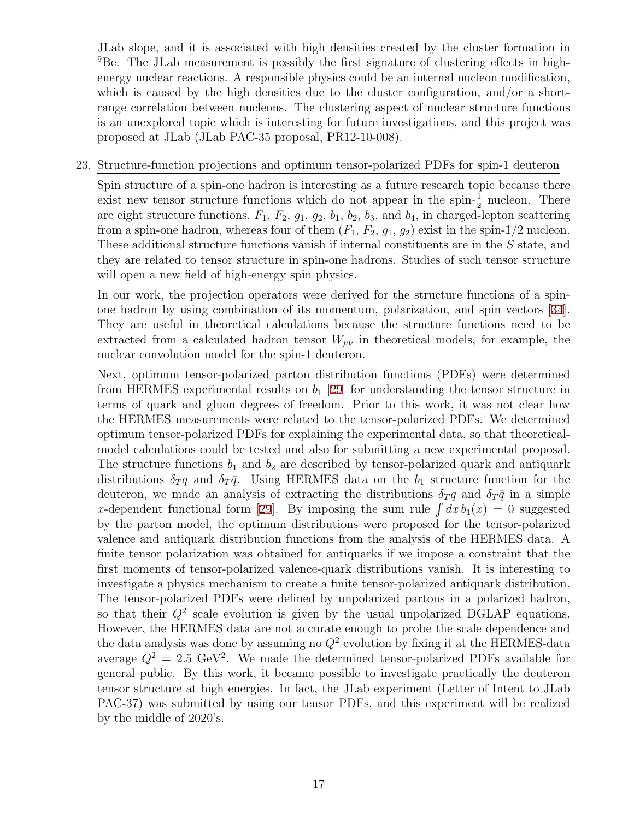JLab slope, and it is associated with high densities created by the cluster formation in <sup>9</sup>Be. The JLab measurement is possibly the first signature of clustering effects in highenergy nuclear reactions. A responsible physics could be an internal nucleon modification, which is caused by the high densities due to the cluster configuration, and/or a shortrange correlation between nucleons. The clustering aspect of nuclear structure functions is an unexplored topic which is interesting for future investigations, and this project was proposed at JLab (JLab PAC-35 proposal, PR12-10-008).

#### 23. Structure-function projections and optimum tensor-polarized PDFs for spin-1 deuteron

Spin structure of a spin-one hadron is interesting as a future research topic because there exist new tensor structure functions which do not appear in the spin- $\frac{1}{2}$  nucleon. There are eight structure functions, *F*1, *F*2, *g*1, *g*2, *b*1, *b*2, *b*3, and *b*4, in charged-lepton scattering from a spin-one hadron, whereas four of them  $(F_1, F_2, g_1, g_2)$  exist in the spin-1/2 nucleon. These additional structure functions vanish if internal constituents are in the *S* state, and they are related to tensor structure in spin-one hadrons. Studies of such tensor structure will open a new field of high-energy spin physics.

In our work, the projection operators were derived for the structure functions of a spinone hadron by using combination of its momentum, polarization, and spin vectors [[34](#page-38-8)]. They are useful in theoretical calculations because the structure functions need to be extracted from a calculated hadron tensor  $W_{\mu\nu}$  in theoretical models, for example, the nuclear convolution model for the spin-1 deuteron.

Next, optimum tensor-polarized parton distribution functions (PDFs) were determined from HERMES experimental results on  $b_1$  [\[29\]](#page-38-2) for understanding the tensor structure in terms of quark and gluon degrees of freedom. Prior to this work, it was not clear how the HERMES measurements were related to the tensor-polarized PDFs. We determined optimum tensor-polarized PDFs for explaining the experimental data, so that theoreticalmodel calculations could be tested and also for submitting a new experimental proposal. The structure functions  $b_1$  and  $b_2$  are described by tensor-polarized quark and antiquark distributions  $\delta_T q$  and  $\delta_T \bar{q}$ . Using HERMES data on the  $b_1$  structure function for the deuteron, we made an analysis of extracting the distributions  $\delta_T q$  and  $\delta_T \bar{q}$  in a simple *x*-dependent functional form [[29](#page-38-2)]. By imposing the sum rule  $\int dx b_1(x) = 0$  suggested by the parton model, the optimum distributions were proposed for the tensor-polarized valence and antiquark distribution functions from the analysis of the HERMES data. A finite tensor polarization was obtained for antiquarks if we impose a constraint that the first moments of tensor-polarized valence-quark distributions vanish. It is interesting to investigate a physics mechanism to create a finite tensor-polarized antiquark distribution. The tensor-polarized PDFs were defined by unpolarized partons in a polarized hadron, so that their  $Q^2$  scale evolution is given by the usual unpolarized DGLAP equations. However, the HERMES data are not accurate enough to probe the scale dependence and the data analysis was done by assuming no  $Q^2$  evolution by fixing it at the HERMES-data average  $Q^2 = 2.5 \text{ GeV}^2$ . We made the determined tensor-polarized PDFs available for general public. By this work, it became possible to investigate practically the deuteron tensor structure at high energies. In fact, the JLab experiment (Letter of Intent to JLab PAC-37) was submitted by using our tensor PDFs, and this experiment will be realized by the middle of 2020's.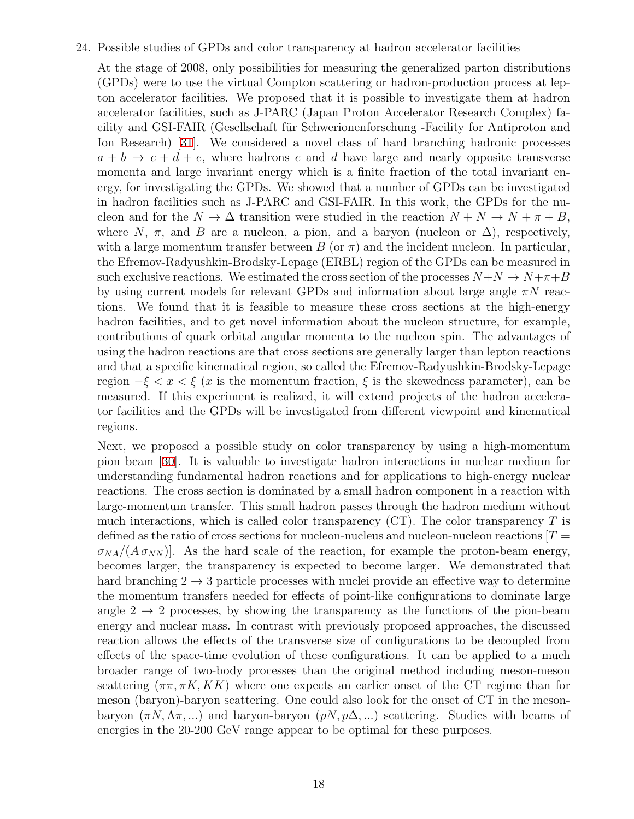#### 24. Possible studies of GPDs and color transparency at hadron accelerator facilities

At the stage of 2008, only possibilities for measuring the generalized parton distributions (GPDs) were to use the virtual Compton scattering or hadron-production process at lepton accelerator facilities. We proposed that it is possible to investigate them at hadron accelerator facilities, such as J-PARC (Japan Proton Accelerator Research Complex) facility and GSI-FAIR (Gesellschaft für Schwerionenforschung -Facility for Antiproton and Ion Research) [[31](#page-38-9)]. We considered a novel class of hard branching hadronic processes  $a + b \rightarrow c + d + e$ , where hadrons *c* and *d* have large and nearly opposite transverse momenta and large invariant energy which is a finite fraction of the total invariant energy, for investigating the GPDs. We showed that a number of GPDs can be investigated in hadron facilities such as J-PARC and GSI-FAIR. In this work, the GPDs for the nucleon and for the  $N \to \Delta$  transition were studied in the reaction  $N + N \to N + \pi + B$ , where  $N$ ,  $\pi$ , and *B* are a nucleon, a pion, and a baryon (nucleon or  $\Delta$ ), respectively, with a large momentum transfer between *B* (or  $\pi$ ) and the incident nucleon. In particular, the Efremov-Radyushkin-Brodsky-Lepage (ERBL) region of the GPDs can be measured in such exclusive reactions. We estimated the cross section of the processes  $N+N \to N+\pi+B$ by using current models for relevant GPDs and information about large angle *πN* reactions. We found that it is feasible to measure these cross sections at the high-energy hadron facilities, and to get novel information about the nucleon structure, for example, contributions of quark orbital angular momenta to the nucleon spin. The advantages of using the hadron reactions are that cross sections are generally larger than lepton reactions and that a specific kinematical region, so called the Efremov-Radyushkin-Brodsky-Lepage region  $-\xi < x < \xi$  (*x* is the momentum fraction,  $\xi$  is the skewedness parameter), can be measured. If this experiment is realized, it will extend projects of the hadron accelerator facilities and the GPDs will be investigated from different viewpoint and kinematical regions.

Next, we proposed a possible study on color transparency by using a high-momentum pion beam [[30](#page-38-10)]. It is valuable to investigate hadron interactions in nuclear medium for understanding fundamental hadron reactions and for applications to high-energy nuclear reactions. The cross section is dominated by a small hadron component in a reaction with large-momentum transfer. This small hadron passes through the hadron medium without much interactions, which is called color transparency (CT). The color transparency *T* is defined as the ratio of cross sections for nucleon-nucleus and nucleon-nucleon reactions  $T =$  $\sigma_{NA}/(A \sigma_{NN})$ . As the hard scale of the reaction, for example the proton-beam energy, becomes larger, the transparency is expected to become larger. We demonstrated that hard branching  $2 \rightarrow 3$  particle processes with nuclei provide an effective way to determine the momentum transfers needed for effects of point-like configurations to dominate large angle  $2 \rightarrow 2$  processes, by showing the transparency as the functions of the pion-beam energy and nuclear mass. In contrast with previously proposed approaches, the discussed reaction allows the effects of the transverse size of configurations to be decoupled from effects of the space-time evolution of these configurations. It can be applied to a much broader range of two-body processes than the original method including meson-meson scattering  $(\pi \pi, \pi K, KK)$  where one expects an earlier onset of the CT regime than for meson (baryon)-baryon scattering. One could also look for the onset of CT in the mesonbaryon  $(\pi N, \Lambda \pi, ...)$  and baryon-baryon  $(pN, p\Delta, ...)$  scattering. Studies with beams of energies in the 20-200 GeV range appear to be optimal for these purposes.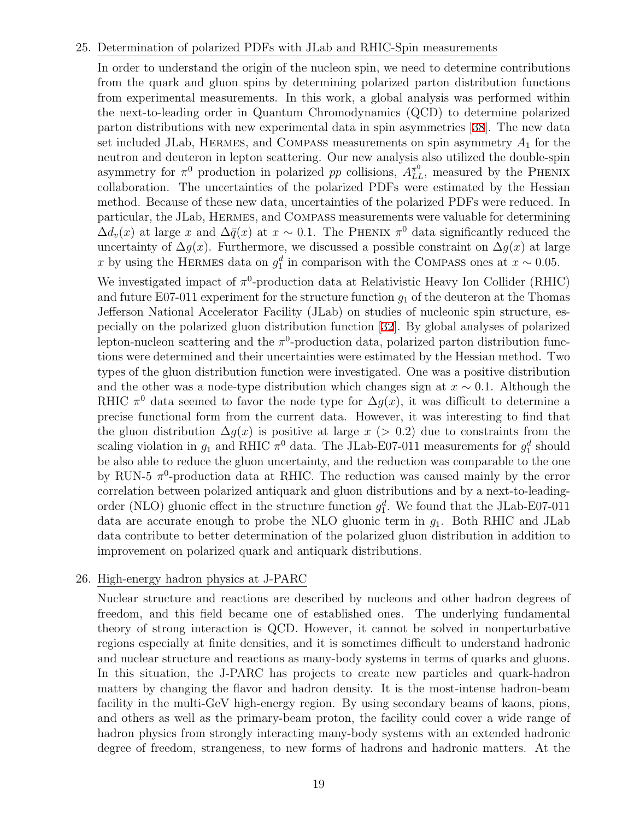#### 25. Determination of polarized PDFs with JLab and RHIC-Spin measurements

In order to understand the origin of the nucleon spin, we need to determine contributions from the quark and gluon spins by determining polarized parton distribution functions from experimental measurements. In this work, a global analysis was performed within the next-to-leading order in Quantum Chromodynamics (QCD) to determine polarized parton distributions with new experimental data in spin asymmetries [[38](#page-39-0)]. The new data set included JLab, HERMES, and COMPASS measurements on spin asymmetry  $A_1$  for the neutron and deuteron in lepton scattering. Our new analysis also utilized the double-spin asymmetry for  $\pi^0$  production in polarized *pp* collisions,  $A_{LL}^{\pi^0}$ , measured by the PHENIX collaboration. The uncertainties of the polarized PDFs were estimated by the Hessian method. Because of these new data, uncertainties of the polarized PDFs were reduced. In particular, the JLab, Hermes, and Compass measurements were valuable for determining  $\Delta d_v(x)$  at large *x* and  $\Delta \bar{q}(x)$  at  $x \sim 0.1$ . The PHENIX  $\pi^0$  data significantly reduced the uncertainty of  $\Delta g(x)$ . Furthermore, we discussed a possible constraint on  $\Delta g(x)$  at large *x* by using the HERMES data on  $g_1^d$  in comparison with the COMPASS ones at  $x \sim 0.05$ .

We investigated impact of  $\pi^0$ -production data at Relativistic Heavy Ion Collider (RHIC) and future E07-011 experiment for the structure function  $g_1$  of the deuteron at the Thomas Jefferson National Accelerator Facility (JLab) on studies of nucleonic spin structure, especially on the polarized gluon distribution function [[32](#page-38-11)]. By global analyses of polarized lepton-nucleon scattering and the  $\pi^0$ -production data, polarized parton distribution functions were determined and their uncertainties were estimated by the Hessian method. Two types of the gluon distribution function were investigated. One was a positive distribution and the other was a node-type distribution which changes sign at  $x \sim 0.1$ . Although the RHIC  $\pi^0$  data seemed to favor the node type for  $\Delta g(x)$ , it was difficult to determine a precise functional form from the current data. However, it was interesting to find that the gluon distribution  $\Delta g(x)$  is positive at large  $x$  (> 0.2) due to constraints from the scaling violation in  $g_1$  and RHIC  $\pi^0$  data. The JLab-E07-011 measurements for  $g_1^d$  should be also able to reduce the gluon uncertainty, and the reduction was comparable to the one by RUN-5  $\pi$ <sup>0</sup>-production data at RHIC. The reduction was caused mainly by the error correlation between polarized antiquark and gluon distributions and by a next-to-leadingorder (NLO) gluonic effect in the structure function  $g_1^d$ . We found that the JLab-E07-011 data are accurate enough to probe the NLO gluonic term in *g*1. Both RHIC and JLab data contribute to better determination of the polarized gluon distribution in addition to improvement on polarized quark and antiquark distributions.

#### 26. High-energy hadron physics at J-PARC

Nuclear structure and reactions are described by nucleons and other hadron degrees of freedom, and this field became one of established ones. The underlying fundamental theory of strong interaction is QCD. However, it cannot be solved in nonperturbative regions especially at finite densities, and it is sometimes difficult to understand hadronic and nuclear structure and reactions as many-body systems in terms of quarks and gluons. In this situation, the J-PARC has projects to create new particles and quark-hadron matters by changing the flavor and hadron density. It is the most-intense hadron-beam facility in the multi-GeV high-energy region. By using secondary beams of kaons, pions, and others as well as the primary-beam proton, the facility could cover a wide range of hadron physics from strongly interacting many-body systems with an extended hadronic degree of freedom, strangeness, to new forms of hadrons and hadronic matters. At the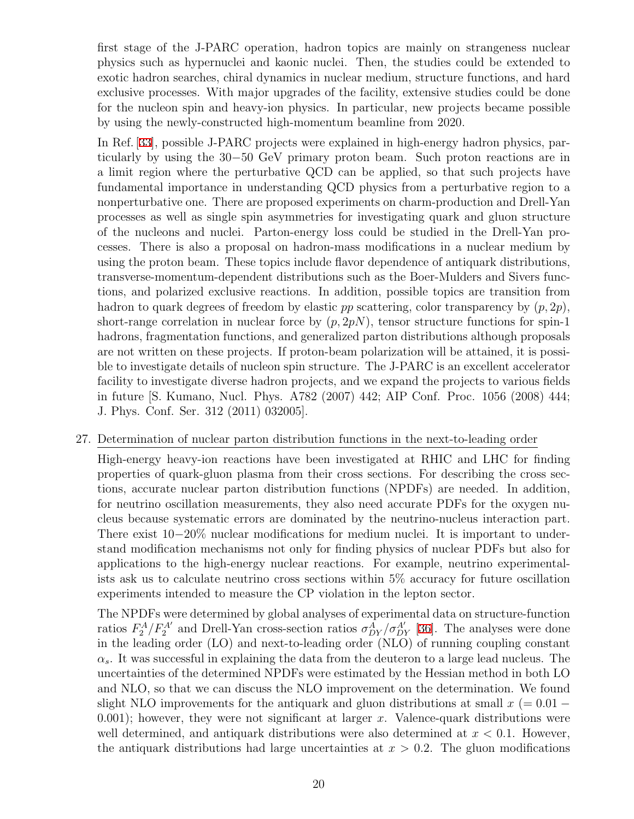first stage of the J-PARC operation, hadron topics are mainly on strangeness nuclear physics such as hypernuclei and kaonic nuclei. Then, the studies could be extended to exotic hadron searches, chiral dynamics in nuclear medium, structure functions, and hard exclusive processes. With major upgrades of the facility, extensive studies could be done for the nucleon spin and heavy-ion physics. In particular, new projects became possible by using the newly-constructed high-momentum beamline from 2020.

In Ref. [\[33](#page-38-12)], possible J-PARC projects were explained in high-energy hadron physics, particularly by using the 30*−*50 GeV primary proton beam. Such proton reactions are in a limit region where the perturbative QCD can be applied, so that such projects have fundamental importance in understanding QCD physics from a perturbative region to a nonperturbative one. There are proposed experiments on charm-production and Drell-Yan processes as well as single spin asymmetries for investigating quark and gluon structure of the nucleons and nuclei. Parton-energy loss could be studied in the Drell-Yan processes. There is also a proposal on hadron-mass modifications in a nuclear medium by using the proton beam. These topics include flavor dependence of antiquark distributions, transverse-momentum-dependent distributions such as the Boer-Mulders and Sivers functions, and polarized exclusive reactions. In addition, possible topics are transition from hadron to quark degrees of freedom by elastic *pp* scattering, color transparency by (*p,* 2*p*), short-range correlation in nuclear force by  $(p, 2pN)$ , tensor structure functions for spin-1 hadrons, fragmentation functions, and generalized parton distributions although proposals are not written on these projects. If proton-beam polarization will be attained, it is possible to investigate details of nucleon spin structure. The J-PARC is an excellent accelerator facility to investigate diverse hadron projects, and we expand the projects to various fields in future [S. Kumano, Nucl. Phys. A782 (2007) 442; AIP Conf. Proc. 1056 (2008) 444; J. Phys. Conf. Ser. 312 (2011) 032005].

#### 27. Determination of nuclear parton distribution functions in the next-to-leading order

High-energy heavy-ion reactions have been investigated at RHIC and LHC for finding properties of quark-gluon plasma from their cross sections. For describing the cross sections, accurate nuclear parton distribution functions (NPDFs) are needed. In addition, for neutrino oscillation measurements, they also need accurate PDFs for the oxygen nucleus because systematic errors are dominated by the neutrino-nucleus interaction part. There exist 10−20% nuclear modifications for medium nuclei. It is important to understand modification mechanisms not only for finding physics of nuclear PDFs but also for applications to the high-energy nuclear reactions. For example, neutrino experimentalists ask us to calculate neutrino cross sections within 5% accuracy for future oscillation experiments intended to measure the CP violation in the lepton sector.

The NPDFs were determined by global analyses of experimental data on structure-function ratios  $F_2^A/F_2^A'$  and Drell-Yan cross-section ratios  $\sigma_{DY}^A/\sigma_{DY}^{A'}$  [[36](#page-38-13)]. The analyses were done in the leading order (LO) and next-to-leading order (NLO) of running coupling constant  $\alpha_s$ . It was successful in explaining the data from the deuteron to a large lead nucleus. The uncertainties of the determined NPDFs were estimated by the Hessian method in both LO and NLO, so that we can discuss the NLO improvement on the determination. We found slight NLO improvements for the antiquark and gluon distributions at small  $x = 0.01 - 1$ 0*.*001); however, they were not significant at larger *x*. Valence-quark distributions were well determined, and antiquark distributions were also determined at *x <* 0*.*1. However, the antiquark distributions had large uncertainties at *x >* 0*.*2. The gluon modifications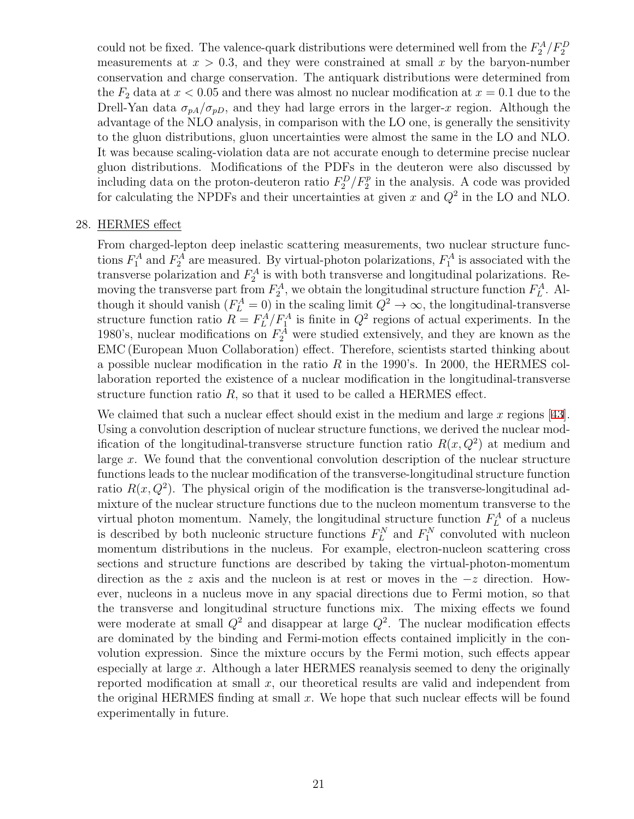could not be fixed. The valence-quark distributions were determined well from the  $F_2^A/F_2^D$ measurements at  $x > 0.3$ , and they were constrained at small x by the baryon-number conservation and charge conservation. The antiquark distributions were determined from the  $F_2$  data at  $x < 0.05$  and there was almost no nuclear modification at  $x = 0.1$  due to the Drell-Yan data  $\sigma_{pA}/\sigma_{pD}$ , and they had large errors in the larger-*x* region. Although the advantage of the NLO analysis, in comparison with the LO one, is generally the sensitivity to the gluon distributions, gluon uncertainties were almost the same in the LO and NLO. It was because scaling-violation data are not accurate enough to determine precise nuclear gluon distributions. Modifications of the PDFs in the deuteron were also discussed by including data on the proton-deuteron ratio  $F_2^D/F_2^p$  in the analysis. A code was provided for calculating the NPDFs and their uncertainties at given *x* and *Q*<sup>2</sup> in the LO and NLO.

#### 28. HERMES effect

From charged-lepton deep inelastic scattering measurements, two nuclear structure functions  $F_1^A$  and  $F_2^A$  are measured. By virtual-photon polarizations,  $F_1^A$  is associated with the transverse polarization and  $F_2^A$  is with both transverse and longitudinal polarizations. Removing the transverse part from  $F_2^A$ , we obtain the longitudinal structure function  $F_L^A$ . Although it should vanish  $(F_L^A = 0)$  in the scaling limit  $Q^2 \to \infty$ , the longitudinal-transverse structure function ratio  $R = F_L^A/F_1^A$  is finite in  $Q^2$  regions of actual experiments. In the 1980's, nuclear modifications on  $F_2^A$  were studied extensively, and they are known as the EMC (European Muon Collaboration) effect. Therefore, scientists started thinking about a possible nuclear modification in the ratio *R* in the 1990's. In 2000, the HERMES collaboration reported the existence of a nuclear modification in the longitudinal-transverse structure function ratio *R*, so that it used to be called a HERMES effect.

We claimed that such a nuclear effect should exist in the medium and large *x* regions [[43](#page-39-1)]. Using a convolution description of nuclear structure functions, we derived the nuclear modification of the longitudinal-transverse structure function ratio  $R(x, Q^2)$  at medium and large *x*. We found that the conventional convolution description of the nuclear structure functions leads to the nuclear modification of the transverse-longitudinal structure function ratio  $R(x, Q^2)$ . The physical origin of the modification is the transverse-longitudinal admixture of the nuclear structure functions due to the nucleon momentum transverse to the virtual photon momentum. Namely, the longitudinal structure function  $F_L^A$  of a nucleus is described by both nucleonic structure functions  $F_L^N$  and  $F_1^N$  convoluted with nucleon momentum distributions in the nucleus. For example, electron-nucleon scattering cross sections and structure functions are described by taking the virtual-photon-momentum direction as the *z* axis and the nucleon is at rest or moves in the *−z* direction. However, nucleons in a nucleus move in any spacial directions due to Fermi motion, so that the transverse and longitudinal structure functions mix. The mixing effects we found were moderate at small  $Q^2$  and disappear at large  $Q^2$ . The nuclear modification effects are dominated by the binding and Fermi-motion effects contained implicitly in the convolution expression. Since the mixture occurs by the Fermi motion, such effects appear especially at large *x*. Although a later HERMES reanalysis seemed to deny the originally reported modification at small *x*, our theoretical results are valid and independent from the original HERMES finding at small *x*. We hope that such nuclear effects will be found experimentally in future.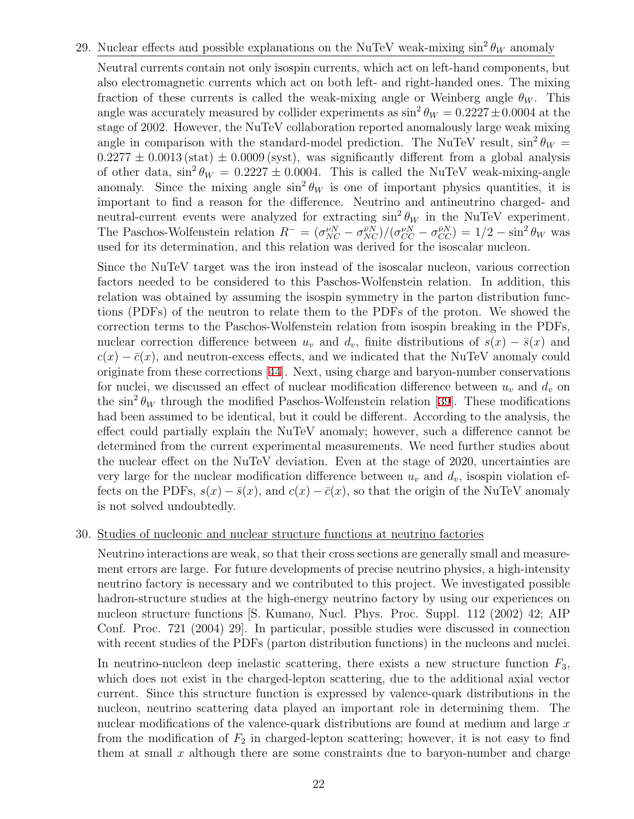## 29. Nuclear effects and possible explanations on the NuTeV weak-mixing  $\sin^2 \theta_W$  anomaly

Neutral currents contain not only isospin currents, which act on left-hand components, but also electromagnetic currents which act on both left- and right-handed ones. The mixing fraction of these currents is called the weak-mixing angle or Weinberg angle  $\theta_W$ . This angle was accurately measured by collider experiments as  $\sin^2 \theta_W = 0.2227 \pm 0.0004$  at the stage of 2002. However, the NuTeV collaboration reported anomalously large weak mixing angle in comparison with the standard-model prediction. The NuTeV result,  $\sin^2 \theta_W =$  $0.2277 \pm 0.0013$  (stat)  $\pm 0.0009$  (syst), was significantly different from a global analysis of other data,  $\sin^2 \theta_W = 0.2227 \pm 0.0004$ . This is called the NuTeV weak-mixing-angle anomaly. Since the mixing angle  $\sin^2 \theta_W$  is one of important physics quantities, it is important to find a reason for the difference. Neutrino and antineutrino charged- and neutral-current events were analyzed for extracting  $\sin^2 \theta_W$  in the NuTeV experiment. The Paschos-Wolfenstein relation  $R^- = (\sigma_{NC}^{\nu N} - \sigma_{NC}^{\bar{\nu}N})/(\sigma_{CC}^{\nu N} - \sigma_{CC}^{\bar{\nu}N}) = 1/2 - \sin^2 \theta_W$  was used for its determination, and this relation was derived for the isoscalar nucleon.

Since the NuTeV target was the iron instead of the isoscalar nucleon, various correction factors needed to be considered to this Paschos-Wolfenstein relation. In addition, this relation was obtained by assuming the isospin symmetry in the parton distribution functions (PDFs) of the neutron to relate them to the PDFs of the proton. We showed the correction terms to the Paschos-Wolfenstein relation from isospin breaking in the PDFs, nuclear correction difference between  $u<sub>v</sub>$  and  $d<sub>v</sub>$ , finite distributions of  $s(x) - \bar{s}(x)$  and  $c(x) - \bar{c}(x)$ , and neutron-excess effects, and we indicated that the NuTeV anomaly could originate from these corrections [[44](#page-39-2)]. Next, using charge and baryon-number conservations for nuclei, we discussed an effect of nuclear modification difference between  $u<sub>v</sub>$  and  $d<sub>v</sub>$  on the  $\sin^2 \theta_W$  through the modified Paschos-Wolfenstein relation [\[39](#page-39-3)]. These modifications had been assumed to be identical, but it could be different. According to the analysis, the effect could partially explain the NuTeV anomaly; however, such a difference cannot be determined from the current experimental measurements. We need further studies about the nuclear effect on the NuTeV deviation. Even at the stage of 2020, uncertainties are very large for the nuclear modification difference between  $u<sub>v</sub>$  and  $d<sub>v</sub>$ , isospin violation effects on the PDFs,  $s(x) - \bar{s}(x)$ , and  $c(x) - \bar{c}(x)$ , so that the origin of the NuTeV anomaly is not solved undoubtedly.

#### 30. Studies of nucleonic and nuclear structure functions at neutrino factories

Neutrino interactions are weak, so that their cross sections are generally small and measurement errors are large. For future developments of precise neutrino physics, a high-intensity neutrino factory is necessary and we contributed to this project. We investigated possible hadron-structure studies at the high-energy neutrino factory by using our experiences on nucleon structure functions [S. Kumano, Nucl. Phys. Proc. Suppl. 112 (2002) 42; AIP Conf. Proc. 721 (2004) 29]. In particular, possible studies were discussed in connection with recent studies of the PDFs (parton distribution functions) in the nucleons and nuclei.

In neutrino-nucleon deep inelastic scattering, there exists a new structure function *F*3, which does not exist in the charged-lepton scattering, due to the additional axial vector current. Since this structure function is expressed by valence-quark distributions in the nucleon, neutrino scattering data played an important role in determining them. The nuclear modifications of the valence-quark distributions are found at medium and large *x* from the modification of  $F_2$  in charged-lepton scattering; however, it is not easy to find them at small *x* although there are some constraints due to baryon-number and charge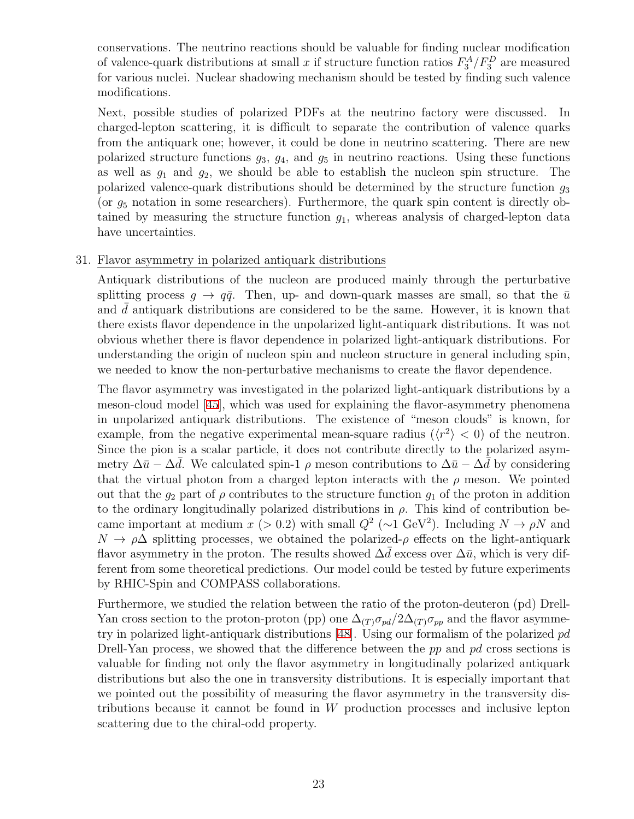conservations. The neutrino reactions should be valuable for finding nuclear modification of valence-quark distributions at small *x* if structure function ratios  $F_3^A/F_3^D$  are measured for various nuclei. Nuclear shadowing mechanism should be tested by finding such valence modifications.

Next, possible studies of polarized PDFs at the neutrino factory were discussed. In charged-lepton scattering, it is difficult to separate the contribution of valence quarks from the antiquark one; however, it could be done in neutrino scattering. There are new polarized structure functions  $g_3$ ,  $g_4$ , and  $g_5$  in neutrino reactions. Using these functions as well as *g*<sup>1</sup> and *g*2, we should be able to establish the nucleon spin structure. The polarized valence-quark distributions should be determined by the structure function *g*<sup>3</sup> (or *g*<sup>5</sup> notation in some researchers). Furthermore, the quark spin content is directly obtained by measuring the structure function *g*1, whereas analysis of charged-lepton data have uncertainties.

#### 31. Flavor asymmetry in polarized antiquark distributions

Antiquark distributions of the nucleon are produced mainly through the perturbative splitting process  $g \to q\bar{q}$ . Then, up- and down-quark masses are small, so that the  $\bar{u}$ and d antiquark distributions are considered to be the same. However, it is known that there exists flavor dependence in the unpolarized light-antiquark distributions. It was not obvious whether there is flavor dependence in polarized light-antiquark distributions. For understanding the origin of nucleon spin and nucleon structure in general including spin, we needed to know the non-perturbative mechanisms to create the flavor dependence.

The flavor asymmetry was investigated in the polarized light-antiquark distributions by a meson-cloud model [[45](#page-39-4)], which was used for explaining the flavor-asymmetry phenomena in unpolarized antiquark distributions. The existence of "meson clouds" is known, for example, from the negative experimental mean-square radius ( $\langle r^2 \rangle$  < 0) of the neutron. Since the pion is a scalar particle, it does not contribute directly to the polarized asymmetry  $\Delta \bar{u} - \Delta d$ . We calculated spin-1  $\rho$  meson contributions to  $\Delta \bar{u} - \Delta d$  by considering that the virtual photon from a charged lepton interacts with the  $\rho$  meson. We pointed out that the  $g_2$  part of  $\rho$  contributes to the structure function  $g_1$  of the proton in addition to the ordinary longitudinally polarized distributions in  $\rho$ . This kind of contribution became important at medium *x* (*>* 0.2) with small  $Q^2$  ( $\sim$ 1 GeV<sup>2</sup>). Including  $N \to \rho N$  and  $N \to \rho\Delta$  splitting processes, we obtained the polarized- $\rho$  effects on the light-antiquark flavor asymmetry in the proton. The results showed  $\Delta d$  excess over  $\Delta \bar{u}$ , which is very different from some theoretical predictions. Our model could be tested by future experiments by RHIC-Spin and COMPASS collaborations.

Furthermore, we studied the relation between the ratio of the proton-deuteron (pd) Drell-Yan cross section to the proton-proton (pp) one  $\Delta_{(T)}\sigma_{pd}/2\Delta_{(T)}\sigma_{pp}$  and the flavor asymmetry in polarized light-antiquark distributions [[48](#page-39-5)]. Using our formalism of the polarized *pd* Drell-Yan process, we showed that the difference between the *pp* and *pd* cross sections is valuable for finding not only the flavor asymmetry in longitudinally polarized antiquark distributions but also the one in transversity distributions. It is especially important that we pointed out the possibility of measuring the flavor asymmetry in the transversity distributions because it cannot be found in *W* production processes and inclusive lepton scattering due to the chiral-odd property.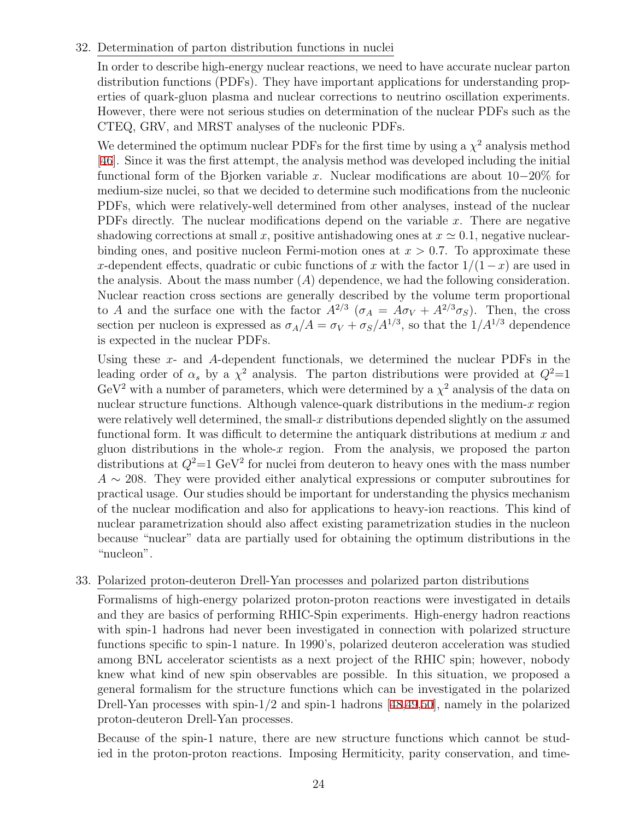### 32. Determination of parton distribution functions in nuclei

In order to describe high-energy nuclear reactions, we need to have accurate nuclear parton distribution functions (PDFs). They have important applications for understanding properties of quark-gluon plasma and nuclear corrections to neutrino oscillation experiments. However, there were not serious studies on determination of the nuclear PDFs such as the CTEQ, GRV, and MRST analyses of the nucleonic PDFs.

We determined the optimum nuclear PDFs for the first time by using a  $\chi^2$  analysis method [\[46](#page-39-6)]. Since it was the first attempt, the analysis method was developed including the initial functional form of the Bjorken variable *x*. Nuclear modifications are about 10*−*20% for medium-size nuclei, so that we decided to determine such modifications from the nucleonic PDFs, which were relatively-well determined from other analyses, instead of the nuclear PDFs directly. The nuclear modifications depend on the variable *x*. There are negative shadowing corrections at small *x*, positive antishadowing ones at  $x \approx 0.1$ , negative nuclearbinding ones, and positive nucleon Fermi-motion ones at  $x > 0.7$ . To approximate these *x*-dependent effects, quadratic or cubic functions of *x* with the factor 1*/*(1*−x*) are used in the analysis. About the mass number (*A*) dependence, we had the following consideration. Nuclear reaction cross sections are generally described by the volume term proportional to *A* and the surface one with the factor  $A^{2/3}$  ( $\sigma_A = A \sigma_V + A^{2/3} \sigma_S$ ). Then, the cross section per nucleon is expressed as  $\sigma_A/A = \sigma_V + \sigma_S/A^{1/3}$ , so that the  $1/A^{1/3}$  dependence is expected in the nuclear PDFs.

Using these *x*- and *A*-dependent functionals, we determined the nuclear PDFs in the leading order of  $\alpha_s$  by a  $\chi^2$  analysis. The parton distributions were provided at  $Q^2=1$  $GeV<sup>2</sup>$  with a number of parameters, which were determined by a  $\chi<sup>2</sup>$  analysis of the data on nuclear structure functions. Although valence-quark distributions in the medium-*x* region were relatively well determined, the small-*x* distributions depended slightly on the assumed functional form. It was difficult to determine the antiquark distributions at medium *x* and gluon distributions in the whole- $x$  region. From the analysis, we proposed the parton distributions at  $Q^2$ =1 GeV<sup>2</sup> for nuclei from deuteron to heavy ones with the mass number *A ∼* 208. They were provided either analytical expressions or computer subroutines for practical usage. Our studies should be important for understanding the physics mechanism of the nuclear modification and also for applications to heavy-ion reactions. This kind of nuclear parametrization should also affect existing parametrization studies in the nucleon because "nuclear" data are partially used for obtaining the optimum distributions in the "nucleon".

## 33. Polarized proton-deuteron Drell-Yan processes and polarized parton distributions

Formalisms of high-energy polarized proton-proton reactions were investigated in details and they are basics of performing RHIC-Spin experiments. High-energy hadron reactions with spin-1 hadrons had never been investigated in connection with polarized structure functions specific to spin-1 nature. In 1990's, polarized deuteron acceleration was studied among BNL accelerator scientists as a next project of the RHIC spin; however, nobody knew what kind of new spin observables are possible. In this situation, we proposed a general formalism for the structure functions which can be investigated in the polarized Drell-Yan processes with spin-1/2 and spin-1 hadrons [[48,](#page-39-5)[49,](#page-39-7)[50\]](#page-39-8), namely in the polarized proton-deuteron Drell-Yan processes.

Because of the spin-1 nature, there are new structure functions which cannot be studied in the proton-proton reactions. Imposing Hermiticity, parity conservation, and time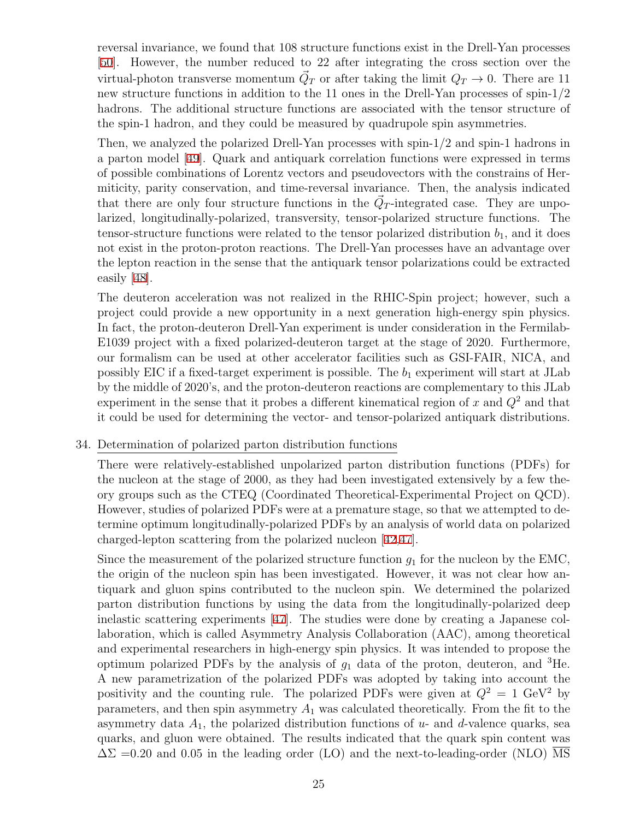reversal invariance, we found that 108 structure functions exist in the Drell-Yan processes [\[50](#page-39-8)]. However, the number reduced to 22 after integrating the cross section over the virtual-photon transverse momentum  $\vec{Q}_T$  or after taking the limit  $Q_T \to 0$ . There are 11 new structure functions in addition to the 11 ones in the Drell-Yan processes of spin-1/2 hadrons. The additional structure functions are associated with the tensor structure of the spin-1 hadron, and they could be measured by quadrupole spin asymmetries.

Then, we analyzed the polarized Drell-Yan processes with spin-1/2 and spin-1 hadrons in a parton model [[49](#page-39-7)]. Quark and antiquark correlation functions were expressed in terms of possible combinations of Lorentz vectors and pseudovectors with the constrains of Hermiticity, parity conservation, and time-reversal invariance. Then, the analysis indicated that there are only four structure functions in the  $\vec{Q}_T$ -integrated case. They are unpolarized, longitudinally-polarized, transversity, tensor-polarized structure functions. The tensor-structure functions were related to the tensor polarized distribution  $b_1$ , and it does not exist in the proton-proton reactions. The Drell-Yan processes have an advantage over the lepton reaction in the sense that the antiquark tensor polarizations could be extracted easily [[48](#page-39-5)].

The deuteron acceleration was not realized in the RHIC-Spin project; however, such a project could provide a new opportunity in a next generation high-energy spin physics. In fact, the proton-deuteron Drell-Yan experiment is under consideration in the Fermilab-E1039 project with a fixed polarized-deuteron target at the stage of 2020. Furthermore, our formalism can be used at other accelerator facilities such as GSI-FAIR, NICA, and possibly EIC if a fixed-target experiment is possible. The  $b_1$  experiment will start at JLab by the middle of 2020's, and the proton-deuteron reactions are complementary to this JLab experiment in the sense that it probes a different kinematical region of *x* and *Q*<sup>2</sup> and that it could be used for determining the vector- and tensor-polarized antiquark distributions.

#### 34. Determination of polarized parton distribution functions

There were relatively-established unpolarized parton distribution functions (PDFs) for the nucleon at the stage of 2000, as they had been investigated extensively by a few theory groups such as the CTEQ (Coordinated Theoretical-Experimental Project on QCD). However, studies of polarized PDFs were at a premature stage, so that we attempted to determine optimum longitudinally-polarized PDFs by an analysis of world data on polarized charged-lepton scattering from the polarized nucleon [\[42](#page-39-9)[,47\]](#page-39-10).

Since the measurement of the polarized structure function  $g_1$  for the nucleon by the EMC, the origin of the nucleon spin has been investigated. However, it was not clear how antiquark and gluon spins contributed to the nucleon spin. We determined the polarized parton distribution functions by using the data from the longitudinally-polarized deep inelastic scattering experiments [[47\]](#page-39-10). The studies were done by creating a Japanese collaboration, which is called Asymmetry Analysis Collaboration (AAC), among theoretical and experimental researchers in high-energy spin physics. It was intended to propose the optimum polarized PDFs by the analysis of *g*<sup>1</sup> data of the proton, deuteron, and <sup>3</sup>He. A new parametrization of the polarized PDFs was adopted by taking into account the positivity and the counting rule. The polarized PDFs were given at  $Q^2 = 1 \text{ GeV}^2$  by parameters, and then spin asymmetry  $A_1$  was calculated theoretically. From the fit to the asymmetry data *A*1, the polarized distribution functions of *u*- and *d*-valence quarks, sea quarks, and gluon were obtained. The results indicated that the quark spin content was  $\Delta\Sigma$  =0.20 and 0.05 in the leading order (LO) and the next-to-leading-order (NLO) MS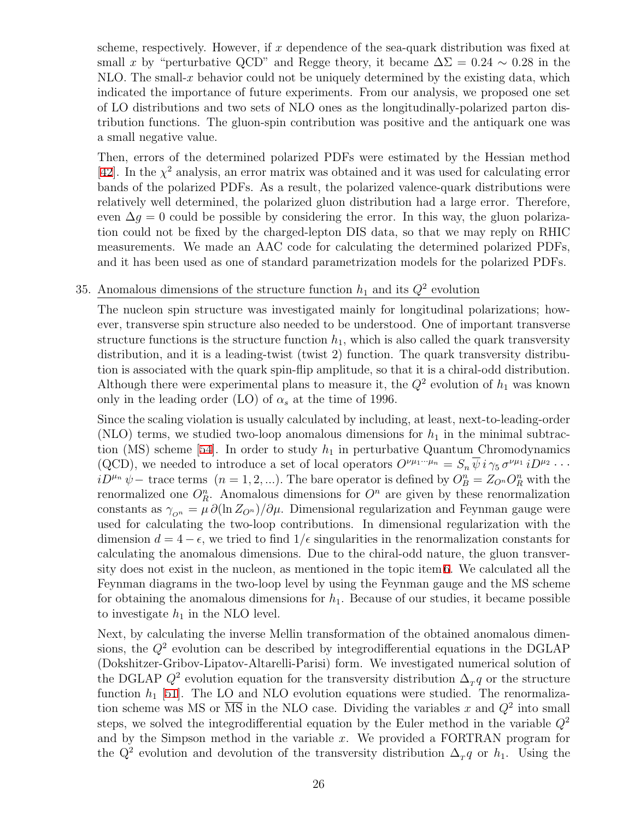scheme, respectively. However, if *x* dependence of the sea-quark distribution was fixed at small x by "perturbative QCD" and Regge theory, it became  $\Delta\Sigma = 0.24 \sim 0.28$  in the NLO. The small-*x* behavior could not be uniquely determined by the existing data, which indicated the importance of future experiments. From our analysis, we proposed one set of LO distributions and two sets of NLO ones as the longitudinally-polarized parton distribution functions. The gluon-spin contribution was positive and the antiquark one was a small negative value.

Then, errors of the determined polarized PDFs were estimated by the Hessian method [\[42](#page-39-9)]. In the  $\chi^2$  analysis, an error matrix was obtained and it was used for calculating error bands of the polarized PDFs. As a result, the polarized valence-quark distributions were relatively well determined, the polarized gluon distribution had a large error. Therefore, even  $\Delta q = 0$  could be possible by considering the error. In this way, the gluon polarization could not be fixed by the charged-lepton DIS data, so that we may reply on RHIC measurements. We made an AAC code for calculating the determined polarized PDFs, and it has been used as one of standard parametrization models for the polarized PDFs.

## <span id="page-25-0"></span>35. Anomalous dimensions of the structure function  $h_1$  and its  $Q^2$  evolution

The nucleon spin structure was investigated mainly for longitudinal polarizations; however, transverse spin structure also needed to be understood. One of important transverse structure functions is the structure function  $h_1$ , which is also called the quark transversity distribution, and it is a leading-twist (twist 2) function. The quark transversity distribution is associated with the quark spin-flip amplitude, so that it is a chiral-odd distribution. Although there were experimental plans to measure it, the  $Q^2$  evolution of  $h_1$  was known only in the leading order (LO) of  $\alpha_s$  at the time of 1996.

Since the scaling violation is usually calculated by including, at least, next-to-leading-order (NLO) terms, we studied two-loop anomalous dimensions for  $h_1$  in the minimal subtrac-tion (MS) scheme [[54\]](#page-40-1). In order to study  $h_1$  in perturbative Quantum Chromodynamics (QCD), we needed to introduce a set of local operators  $O^{\nu\mu_1\cdots\mu_n} = S_n \overline{\psi} i \gamma_5 \sigma^{\nu\mu_1} i D^{\mu_2} \cdots$  $iD^{\mu n}$   $\psi$  − trace terms  $(n = 1, 2, ...)$ . The bare operator is defined by  $O_B^n = Z_{O^n}O_R^n$  with the renormalized one  $O_R^n$ . Anomalous dimensions for  $O^n$  are given by these renormalization constants as  $\gamma_{\text{o}_n} = \mu \partial (\ln Z_{\text{o}_n})/\partial \mu$ . Dimensional regularization and Feynman gauge were used for calculating the two-loop contributions. In dimensional regularization with the dimension  $d = 4 - \epsilon$ , we tried to find  $1/\epsilon$  singularities in the renormalization constants for calculating the anomalous dimensions. Due to the chiral-odd nature, the gluon transversity does not exist in the nucleon, as mentioned in the topic item [6.](#page-2-0) We calculated all the Feynman diagrams in the two-loop level by using the Feynman gauge and the MS scheme for obtaining the anomalous dimensions for  $h_1$ . Because of our studies, it became possible to investigate  $h_1$  in the NLO level.

Next, by calculating the inverse Mellin transformation of the obtained anomalous dimensions, the *Q*<sup>2</sup> evolution can be described by integrodifferential equations in the DGLAP (Dokshitzer-Gribov-Lipatov-Altarelli-Parisi) form. We investigated numerical solution of the DGLAP  $Q^2$  evolution equation for the transversity distribution  $\Delta_T q$  or the structure function  $h_1$  [[51](#page-40-2)]. The LO and NLO evolution equations were studied. The renormalization scheme was MS or  $\overline{\text{MS}}$  in the NLO case. Dividing the variables x and  $Q^2$  into small steps, we solved the integrodifferential equation by the Euler method in the variable  $Q^2$ and by the Simpson method in the variable *x*. We provided a FORTRAN program for the  $Q^2$  evolution and devolution of the transversity distribution  $\Delta_T q$  or  $h_1$ . Using the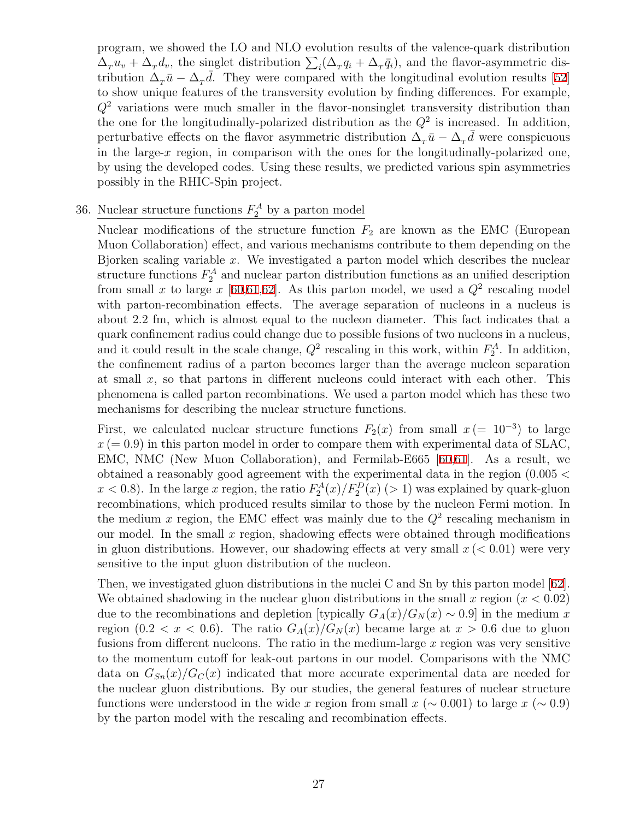program, we showed the LO and NLO evolution results of the valence-quark distribution  $\Delta_T u_v + \Delta_T d_v$ , the singlet distribution  $\sum_i (\Delta_T q_i + \Delta_T \bar{q}_i)$ , and the flavor-asymmetric distribution  $\Delta_T \bar{u} - \Delta_T \bar{d}$ . They were compared with the longitudinal evolution results [[52\]](#page-40-3) to show unique features of the transversity evolution by finding differences. For example, *Q*<sup>2</sup> variations were much smaller in the flavor-nonsinglet transversity distribution than the one for the longitudinally-polarized distribution as the  $Q^2$  is increased. In addition, perturbative effects on the flavor asymmetric distribution  $\Delta_T \bar{u} - \Delta_T \bar{d}$  were conspicuous in the large-*x* region, in comparison with the ones for the longitudinally-polarized one, by using the developed codes. Using these results, we predicted various spin asymmetries possibly in the RHIC-Spin project.

# <span id="page-26-0"></span>36. Nuclear structure functions  $F_2^A$  by a parton model

Nuclear modifications of the structure function  $F_2$  are known as the EMC (European Muon Collaboration) effect, and various mechanisms contribute to them depending on the Bjorken scaling variable *x*. We investigated a parton model which describes the nuclear structure functions  $F_2^A$  and nuclear parton distribution functions as an unified description from small x to large  $x$  [\[60](#page-40-4)[,61](#page-40-5)[,62\]](#page-40-6). As this parton model, we used a  $Q^2$  rescaling model with parton-recombination effects. The average separation of nucleons in a nucleus is about 2.2 fm, which is almost equal to the nucleon diameter. This fact indicates that a quark confinement radius could change due to possible fusions of two nucleons in a nucleus, and it could result in the scale change,  $Q^2$  rescaling in this work, within  $F_2^A$ . In addition, the confinement radius of a parton becomes larger than the average nucleon separation at small *x*, so that partons in different nucleons could interact with each other. This phenomena is called parton recombinations. We used a parton model which has these two mechanisms for describing the nuclear structure functions.

First, we calculated nuclear structure functions  $F_2(x)$  from small  $x = 10^{-3}$  to large  $x (= 0.9)$  in this parton model in order to compare them with experimental data of SLAC, EMC, NMC (New Muon Collaboration), and Fermilab-E665 [\[60](#page-40-4)[,61](#page-40-5)]. As a result, we obtained a reasonably good agreement with the experimental data in the region (0*.*005 *<*  $x < 0.8$ ). In the large *x* region, the ratio  $F_2^A(x)/F_2^D(x)$  ( $> 1$ ) was explained by quark-gluon recombinations, which produced results similar to those by the nucleon Fermi motion. In the medium  $x$  region, the EMC effect was mainly due to the  $Q^2$  rescaling mechanism in our model. In the small *x* region, shadowing effects were obtained through modifications in gluon distributions. However, our shadowing effects at very small *x* (*<* 0*.*01) were very sensitive to the input gluon distribution of the nucleon.

Then, we investigated gluon distributions in the nuclei C and Sn by this parton model [[62](#page-40-6)]. We obtained shadowing in the nuclear gluon distributions in the small *x* region (*x <* 0*.*02) due to the recombinations and depletion [typically  $G_A(x)/G_N(x) \sim 0.9$ ] in the medium *x* region  $(0.2 < x < 0.6)$ . The ratio  $G_A(x)/G_N(x)$  became large at  $x > 0.6$  due to gluon fusions from different nucleons. The ratio in the medium-large *x* region was very sensitive to the momentum cutoff for leak-out partons in our model. Comparisons with the NMC data on  $G_{Sn}(x)/G_C(x)$  indicated that more accurate experimental data are needed for the nuclear gluon distributions. By our studies, the general features of nuclear structure functions were understood in the wide x region from small  $x \approx 0.001$  to large  $x \approx 0.9$ by the parton model with the rescaling and recombination effects.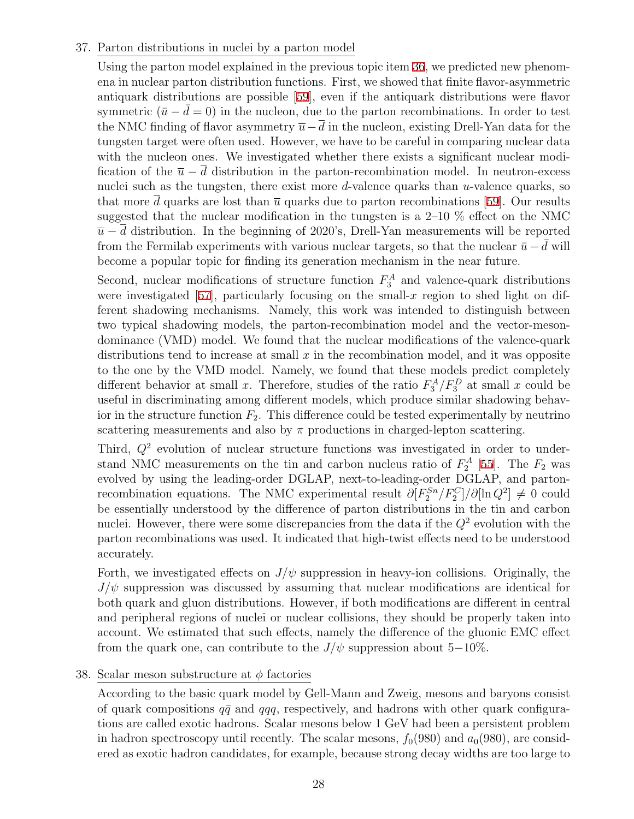### 37. Parton distributions in nuclei by a parton model

Using the parton model explained in the previous topic item [36](#page-26-0), we predicted new phenomena in nuclear parton distribution functions. First, we showed that finite flavor-asymmetric antiquark distributions are possible [[59](#page-40-7)], even if the antiquark distributions were flavor symmetric  $(\bar{u} - \bar{d} = 0)$  in the nucleon, due to the parton recombinations. In order to test the NMC finding of flavor asymmetry  $\overline{u}-\overline{d}$  in the nucleon, existing Drell-Yan data for the tungsten target were often used. However, we have to be careful in comparing nuclear data with the nucleon ones. We investigated whether there exists a significant nuclear modification of the  $\bar{u} - \bar{d}$  distribution in the parton-recombination model. In neutron-excess nuclei such as the tungsten, there exist more *d*-valence quarks than *u*-valence quarks, so that more  $\bar{d}$  quarks are lost than  $\bar{u}$  quarks due to parton recombinations [\[59\]](#page-40-7). Our results suggested that the nuclear modification in the tungsten is a  $2-10\%$  effect on the NMC  $\bar{u}$  *− d* distribution. In the beginning of 2020's, Drell-Yan measurements will be reported from the Fermilab experiments with various nuclear targets, so that the nuclear  $\bar{u} - d$  will become a popular topic for finding its generation mechanism in the near future.

Second, nuclear modifications of structure function  $F_3^A$  and valence-quark distributions were investigated [[57](#page-40-8)], particularly focusing on the small- $x$  region to shed light on different shadowing mechanisms. Namely, this work was intended to distinguish between two typical shadowing models, the parton-recombination model and the vector-mesondominance (VMD) model. We found that the nuclear modifications of the valence-quark distributions tend to increase at small *x* in the recombination model, and it was opposite to the one by the VMD model. Namely, we found that these models predict completely different behavior at small *x*. Therefore, studies of the ratio  $F_3^A/F_3^D$  at small *x* could be useful in discriminating among different models, which produce similar shadowing behavior in the structure function  $F_2$ . This difference could be tested experimentally by neutrino scattering measurements and also by  $\pi$  productions in charged-lepton scattering.

Third,  $Q^2$  evolution of nuclear structure functions was investigated in order to understand NMC measurements on the tin and carbon nucleus ratio of  $F_2^A$  [[55](#page-40-9)]. The  $F_2$  was evolved by using the leading-order DGLAP, next-to-leading-order DGLAP, and partonrecombination equations. The NMC experimental result  $\partial [F_2^{Sn}/F_2^C]/\partial [\ln Q^2] \neq 0$  could be essentially understood by the difference of parton distributions in the tin and carbon nuclei. However, there were some discrepancies from the data if the  $Q^2$  evolution with the parton recombinations was used. It indicated that high-twist effects need to be understood accurately.

Forth, we investigated effects on  $J/\psi$  suppression in heavy-ion collisions. Originally, the *J/ψ* suppression was discussed by assuming that nuclear modifications are identical for both quark and gluon distributions. However, if both modifications are different in central and peripheral regions of nuclei or nuclear collisions, they should be properly taken into account. We estimated that such effects, namely the difference of the gluonic EMC effect from the quark one, can contribute to the  $J/\psi$  suppression about 5–10%.

### 38. Scalar meson substructure at *ϕ* factories

According to the basic quark model by Gell-Mann and Zweig, mesons and baryons consist of quark compositions  $q\bar{q}$  and  $qqq$ , respectively, and hadrons with other quark configurations are called exotic hadrons. Scalar mesons below 1 GeV had been a persistent problem in hadron spectroscopy until recently. The scalar mesons,  $f_0(980)$  and  $a_0(980)$ , are considered as exotic hadron candidates, for example, because strong decay widths are too large to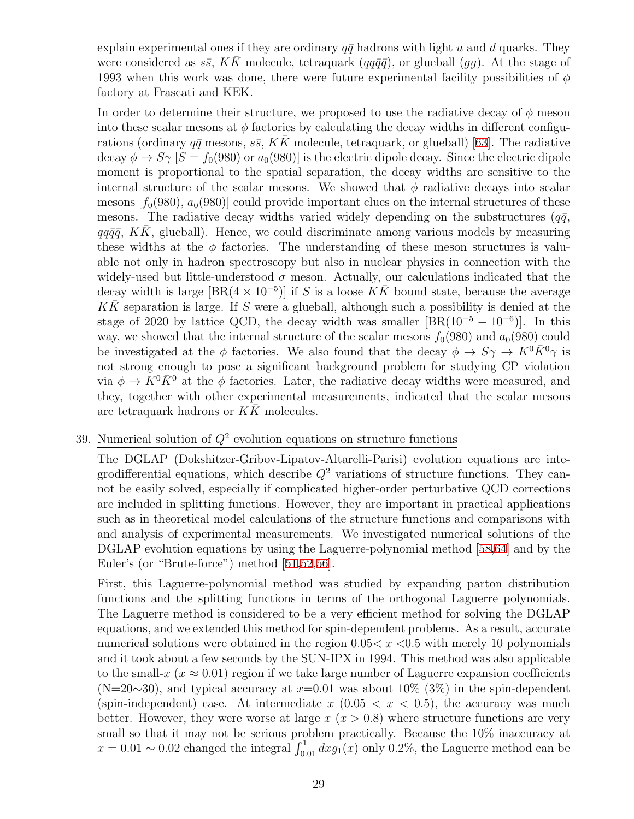explain experimental ones if they are ordinary  $q\bar{q}$  hadrons with light *u* and *d* quarks. They were considered as  $s\bar{s}$ , KK molecule, tetraquark ( $qq\bar{q}\bar{q}$ ), or glueball (*gg*). At the stage of 1993 when this work was done, there were future experimental facility possibilities of *ϕ* factory at Frascati and KEK.

In order to determine their structure, we proposed to use the radiative decay of  $\phi$  meson into these scalar mesons at  $\phi$  factories by calculating the decay widths in different configurations (ordinary  $q\bar{q}$  mesons,  $s\bar{s}$ ,  $K\bar{K}$  molecule, tetraquark, or glueball) [\[63](#page-40-0)]. The radiative decay  $\phi \to S\gamma$  [ $S = f_0(980)$  or  $a_0(980)$ ] is the electric dipole decay. Since the electric dipole moment is proportional to the spatial separation, the decay widths are sensitive to the internal structure of the scalar mesons. We showed that  $\phi$  radiative decays into scalar mesons  $[f_0(980), a_0(980)]$  could provide important clues on the internal structures of these mesons. The radiative decay widths varied widely depending on the substructures  $(q\bar{q},\bar{q})$  $qq\bar{q}\bar{q}$ , *KK*, glueball). Hence, we could discriminate among various models by measuring these widths at the  $\phi$  factories. The understanding of these meson structures is valuable not only in hadron spectroscopy but also in nuclear physics in connection with the widely-used but little-understood  $\sigma$  meson. Actually, our calculations indicated that the decay width is large  $[BR(4 \times 10^{-5})]$  if *S* is a loose  $K\overline{K}$  bound state, because the average *KK*¯ separation is large. If *S* were a glueball, although such a possibility is denied at the stage of 2020 by lattice QCD, the decay width was smaller  $[BR(10^{-5} – 10^{-6})]$ . In this way, we showed that the internal structure of the scalar mesons  $f_0(980)$  and  $a_0(980)$  could be investigated at the  $\phi$  factories. We also found that the decay  $\phi \to S\gamma \to K^0 \bar{K}^0 \gamma$  is not strong enough to pose a significant background problem for studying CP violation via  $\phi \to K^0 \bar{K}^0$  at the  $\phi$  factories. Later, the radiative decay widths were measured, and they, together with other experimental measurements, indicated that the scalar mesons are tetraquark hadrons or *KK* molecules.

### 39. Numerical solution of *Q*<sup>2</sup> evolution equations on structure functions

The DGLAP (Dokshitzer-Gribov-Lipatov-Altarelli-Parisi) evolution equations are integrodifferential equations, which describe  $Q^2$  variations of structure functions. They cannot be easily solved, especially if complicated higher-order perturbative QCD corrections are included in splitting functions. However, they are important in practical applications such as in theoretical model calculations of the structure functions and comparisons with and analysis of experimental measurements. We investigated numerical solutions of the DGLAP evolution equations by using the Laguerre-polynomial method [[58](#page-40-10),[64](#page-40-11)] and by the Euler's (or "Brute-force") method [[51](#page-40-2),[52](#page-40-3)[,56](#page-40-12)].

First, this Laguerre-polynomial method was studied by expanding parton distribution functions and the splitting functions in terms of the orthogonal Laguerre polynomials. The Laguerre method is considered to be a very efficient method for solving the DGLAP equations, and we extended this method for spin-dependent problems. As a result, accurate numerical solutions were obtained in the region 0.05*< x <*0.5 with merely 10 polynomials and it took about a few seconds by the SUN-IPX in 1994. This method was also applicable to the small-*x* ( $x \approx 0.01$ ) region if we take large number of Laguerre expansion coefficients (N=20*∼*30), and typical accuracy at *x*=0.01 was about 10% (3%) in the spin-dependent (spin-independent) case. At intermediate  $x$  (0.05  $< x < 0.5$ ), the accuracy was much better. However, they were worse at large  $x(x > 0.8)$  where structure functions are very small so that it may not be serious problem practically. Because the 10% inaccuracy at  $x = 0.01 \sim 0.02$  changed the integral  $\int_{0.01}^{1} dx g_1(x)$  only 0.2%, the Laguerre method can be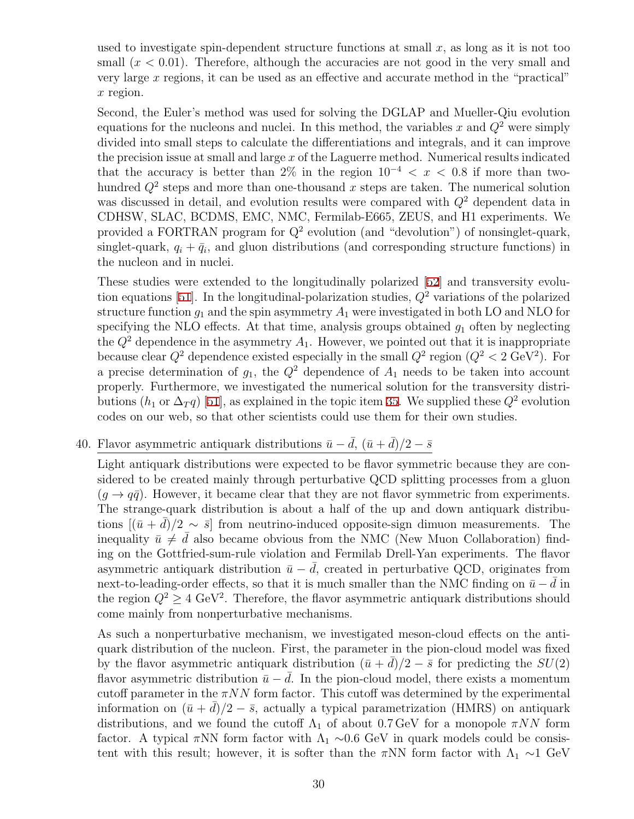used to investigate spin-dependent structure functions at small  $x$ , as long as it is not too small  $(x < 0.01)$ . Therefore, although the accuracies are not good in the very small and very large *x* regions, it can be used as an effective and accurate method in the "practical" *x* region.

Second, the Euler's method was used for solving the DGLAP and Mueller-Qiu evolution equations for the nucleons and nuclei. In this method, the variables  $x$  and  $Q^2$  were simply divided into small steps to calculate the differentiations and integrals, and it can improve the precision issue at small and large *x* of the Laguerre method. Numerical results indicated that the accuracy is better than 2% in the region  $10^{-4} < x < 0.8$  if more than twohundred *Q*<sup>2</sup> steps and more than one-thousand *x* steps are taken. The numerical solution was discussed in detail, and evolution results were compared with *Q*<sup>2</sup> dependent data in CDHSW, SLAC, BCDMS, EMC, NMC, Fermilab-E665, ZEUS, and H1 experiments. We provided a FORTRAN program for  $Q^2$  evolution (and "devolution") of nonsinglet-quark, singlet-quark,  $q_i + \bar{q}_i$ , and gluon distributions (and corresponding structure functions) in the nucleon and in nuclei.

These studies were extended to the longitudinally polarized [\[52](#page-40-3)] and transversity evolution equations [[51\]](#page-40-2). In the longitudinal-polarization studies, *Q*<sup>2</sup> variations of the polarized structure function  $g_1$  and the spin asymmetry  $A_1$  were investigated in both LO and NLO for specifying the NLO effects. At that time, analysis groups obtained *g*<sup>1</sup> often by neglecting the  $Q^2$  dependence in the asymmetry  $A_1$ . However, we pointed out that it is inappropriate because clear  $Q^2$  dependence existed especially in the small  $Q^2$  region  $(Q^2 < 2 \text{ GeV}^2)$ . For a precise determination of  $g_1$ , the  $Q^2$  dependence of  $A_1$  needs to be taken into account properly. Furthermore, we investigated the numerical solution for the transversity distributions ( $h_1$  or  $\Delta_T q$ ) [\[51](#page-40-2)], as explained in the topic item [35.](#page-25-0) We supplied these  $Q^2$  evolution codes on our web, so that other scientists could use them for their own studies.

# 40. Flavor asymmetric antiquark distributions  $\bar{u} - \bar{d}$ ,  $(\bar{u} + \bar{d})/2 - \bar{s}$

Light antiquark distributions were expected to be flavor symmetric because they are considered to be created mainly through perturbative QCD splitting processes from a gluon  $(q \rightarrow q\bar{q})$ . However, it became clear that they are not flavor symmetric from experiments. The strange-quark distribution is about a half of the up and down antiquark distributions  $[(\bar{u} + \bar{d})/2 \sim \bar{s}]$  from neutrino-induced opposite-sign dimuon measurements. The inequality  $\bar{u} \neq \bar{d}$  also became obvious from the NMC (New Muon Collaboration) finding on the Gottfried-sum-rule violation and Fermilab Drell-Yan experiments. The flavor asymmetric antiquark distribution  $\bar{u} - \bar{d}$ , created in perturbative QCD, originates from next-to-leading-order effects, so that it is much smaller than the NMC finding on  $\bar{u} - \bar{d}$  in the region  $Q^2 \geq 4$  GeV<sup>2</sup>. Therefore, the flavor asymmetric antiquark distributions should come mainly from nonperturbative mechanisms.

As such a nonperturbative mechanism, we investigated meson-cloud effects on the antiquark distribution of the nucleon. First, the parameter in the pion-cloud model was fixed by the flavor asymmetric antiquark distribution  $(\bar{u} + d)/2 - \bar{s}$  for predicting the *SU*(2) flavor asymmetric distribution  $\bar{u} - d$ . In the pion-cloud model, there exists a momentum cutoff parameter in the  $\pi NN$  form factor. This cutoff was determined by the experimental information on  $(\bar{u} + d)/2 - \bar{s}$ , actually a typical parametrization (HMRS) on antiquark distributions, and we found the cutoff  $\Lambda_1$  of about 0.7 GeV for a monopole  $\pi NN$  form factor. A typical  $\pi NN$  form factor with  $\Lambda_1 \sim 0.6$  GeV in quark models could be consistent with this result; however, it is softer than the  $\pi NN$  form factor with  $\Lambda_1 \sim 1$  GeV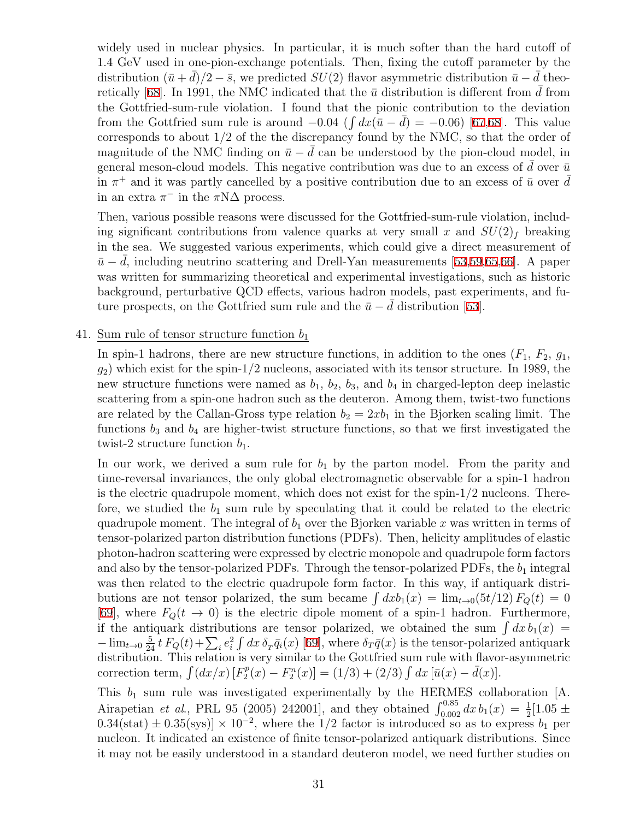widely used in nuclear physics. In particular, it is much softer than the hard cutoff of 1.4 GeV used in one-pion-exchange potentials. Then, fixing the cutoff parameter by the distribution  $(\bar{u} + d)/2 - \bar{s}$ , we predicted *SU*(2) flavor asymmetric distribution  $\bar{u} - d$  theo-retically [\[68](#page-41-3)]. In 1991, the NMC indicated that the  $\bar{u}$  distribution is different from d from the Gottfried-sum-rule violation. I found that the pionic contribution to the deviation from the Gottfried sum rule is around  $-0.04$  ( $\int dx(\bar{u}-\bar{d}) = -0.06$ ) [[67](#page-41-4),[68](#page-41-3)]. This value corresponds to about 1/2 of the the discrepancy found by the NMC, so that the order of magnitude of the NMC finding on  $\bar{u} - \bar{d}$  can be understood by the pion-cloud model, in general meson-cloud models. This negative contribution was due to an excess of  $\bar{d}$  over  $\bar{u}$ in  $\pi^+$  and it was partly cancelled by a positive contribution due to an excess of  $\bar{u}$  over  $\bar{d}$ in an extra  $\pi^-$  in the  $\pi N\Delta$  process.

Then, various possible reasons were discussed for the Gottfried-sum-rule violation, including significant contributions from valence quarks at very small x and  $SU(2)_f$  breaking in the sea. We suggested various experiments, which could give a direct measurement of  $\bar{u} - \bar{d}$ , including neutrino scattering and Drell-Yan measurements [[53,](#page-40-13)[59,](#page-40-7)[65,](#page-41-5)[66\]](#page-41-6). A paper was written for summarizing theoretical and experimental investigations, such as historic background, perturbative QCD effects, various hadron models, past experiments, and future prospects, on the Gottfried sum rule and the  $\bar{u} - \bar{d}$  distribution [[53\]](#page-40-13).

41. Sum rule of tensor structure function *b*<sup>1</sup>

In spin-1 hadrons, there are new structure functions, in addition to the ones  $(F_1, F_2, g_1,$ *g*2) which exist for the spin-1/2 nucleons, associated with its tensor structure. In 1989, the new structure functions were named as  $b_1$ ,  $b_2$ ,  $b_3$ , and  $b_4$  in charged-lepton deep inelastic scattering from a spin-one hadron such as the deuteron. Among them, twist-two functions are related by the Callan-Gross type relation  $b_2 = 2xb_1$  in the Bjorken scaling limit. The functions *b*<sup>3</sup> and *b*<sup>4</sup> are higher-twist structure functions, so that we first investigated the twist-2 structure function  $b_1$ .

In our work, we derived a sum rule for  $b_1$  by the parton model. From the parity and time-reversal invariances, the only global electromagnetic observable for a spin-1 hadron is the electric quadrupole moment, which does not exist for the spin-1/2 nucleons. Therefore, we studied the  $b_1$  sum rule by speculating that it could be related to the electric quadrupole moment. The integral of  $b_1$  over the Bjorken variable x was written in terms of tensor-polarized parton distribution functions (PDFs). Then, helicity amplitudes of elastic photon-hadron scattering were expressed by electric monopole and quadrupole form factors and also by the tensor-polarized PDFs. Through the tensor-polarized PDFs, the  $b_1$  integral was then related to the electric quadrupole form factor. In this way, if antiquark distributions are not tensor polarized, the sum became  $\int dx b_1(x) = \lim_{t\to 0} (5t/12) F_Q(t) = 0$ [\[69](#page-41-1)], where  $F_Q(t \to 0)$  is the electric dipole moment of a spin-1 hadron. Furthermore, if the antiquark distributions are tensor polarized, we obtained the sum  $\int dx b_1(x) =$  $-\lim_{t\to 0}\frac{5}{24}t F_Q(t)+\sum_i e_i^2 \int dx \,\delta_T \bar{q}_i(x)$  [\[69](#page-41-1)], where  $\delta_T \bar{q}(x)$  is the tensor-polarized antiquark distribution. This relation is very similar to the Gottfried sum rule with flavor-asymmetric correction term,  $\int (dx/x) [F_2^p]$  $\overline{P}_2^p(x) - F_2^n(x)$  = (1/3) + (2/3)  $\int dx \, [\bar{u}(x) - \bar{d}(x)].$ 

This  $b_1$  sum rule was investigated experimentally by the HERMES collaboration  $[A, B]$ . Airapetian *et al.*, PRL 95 (2005) 242001], and they obtained  $\int_{0.002}^{0.85} dx b_1(x) = \frac{1}{2} [1.05 \pm 1.05]$  $0.34(\text{stat}) \pm 0.35(\text{sys}) \times 10^{-2}$ , where the 1/2 factor is introduced so as to express  $b_1$  per nucleon. It indicated an existence of finite tensor-polarized antiquark distributions. Since it may not be easily understood in a standard deuteron model, we need further studies on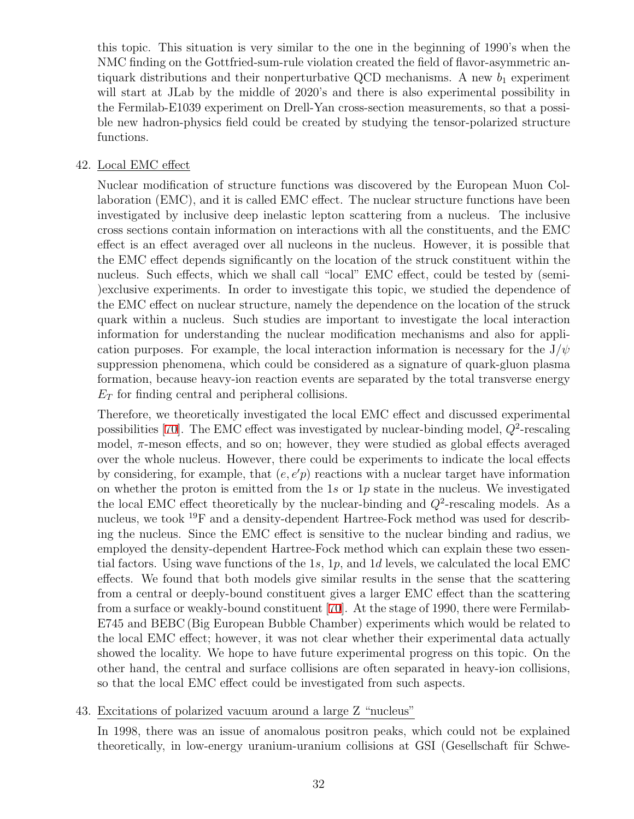this topic. This situation is very similar to the one in the beginning of 1990's when the NMC finding on the Gottfried-sum-rule violation created the field of flavor-asymmetric antiquark distributions and their nonperturbative QCD mechanisms. A new  $b_1$  experiment will start at JLab by the middle of 2020's and there is also experimental possibility in the Fermilab-E1039 experiment on Drell-Yan cross-section measurements, so that a possible new hadron-physics field could be created by studying the tensor-polarized structure functions.

### 42. Local EMC effect

Nuclear modification of structure functions was discovered by the European Muon Collaboration (EMC), and it is called EMC effect. The nuclear structure functions have been investigated by inclusive deep inelastic lepton scattering from a nucleus. The inclusive cross sections contain information on interactions with all the constituents, and the EMC effect is an effect averaged over all nucleons in the nucleus. However, it is possible that the EMC effect depends significantly on the location of the struck constituent within the nucleus. Such effects, which we shall call "local" EMC effect, could be tested by (semi- )exclusive experiments. In order to investigate this topic, we studied the dependence of the EMC effect on nuclear structure, namely the dependence on the location of the struck quark within a nucleus. Such studies are important to investigate the local interaction information for understanding the nuclear modification mechanisms and also for application purposes. For example, the local interaction information is necessary for the  $J/\psi$ suppression phenomena, which could be considered as a signature of quark-gluon plasma formation, because heavy-ion reaction events are separated by the total transverse energy *E<sup>T</sup>* for finding central and peripheral collisions.

Therefore, we theoretically investigated the local EMC effect and discussed experimental possibilities [[70](#page-41-7)]. The EMC effect was investigated by nuclear-binding model,  $Q^2$ -rescaling model, *π*-meson effects, and so on; however, they were studied as global effects averaged over the whole nucleus. However, there could be experiments to indicate the local effects by considering, for example, that  $(e, e'p)$  reactions with a nuclear target have information on whether the proton is emitted from the 1*s* or 1*p* state in the nucleus. We investigated the local EMC effect theoretically by the nuclear-binding and  $Q^2$ -rescaling models. As a nucleus, we took <sup>19</sup>F and a density-dependent Hartree-Fock method was used for describing the nucleus. Since the EMC effect is sensitive to the nuclear binding and radius, we employed the density-dependent Hartree-Fock method which can explain these two essential factors. Using wave functions of the 1*s*, 1*p*, and 1*d* levels, we calculated the local EMC effects. We found that both models give similar results in the sense that the scattering from a central or deeply-bound constituent gives a larger EMC effect than the scattering from a surface or weakly-bound constituent [[70\]](#page-41-7). At the stage of 1990, there were Fermilab-E745 and BEBC (Big European Bubble Chamber) experiments which would be related to the local EMC effect; however, it was not clear whether their experimental data actually showed the locality. We hope to have future experimental progress on this topic. On the other hand, the central and surface collisions are often separated in heavy-ion collisions, so that the local EMC effect could be investigated from such aspects.

### 43. Excitations of polarized vacuum around a large Z "nucleus"

In 1998, there was an issue of anomalous positron peaks, which could not be explained theoretically, in low-energy uranium-uranium collisions at GSI (Gesellschaft für Schwe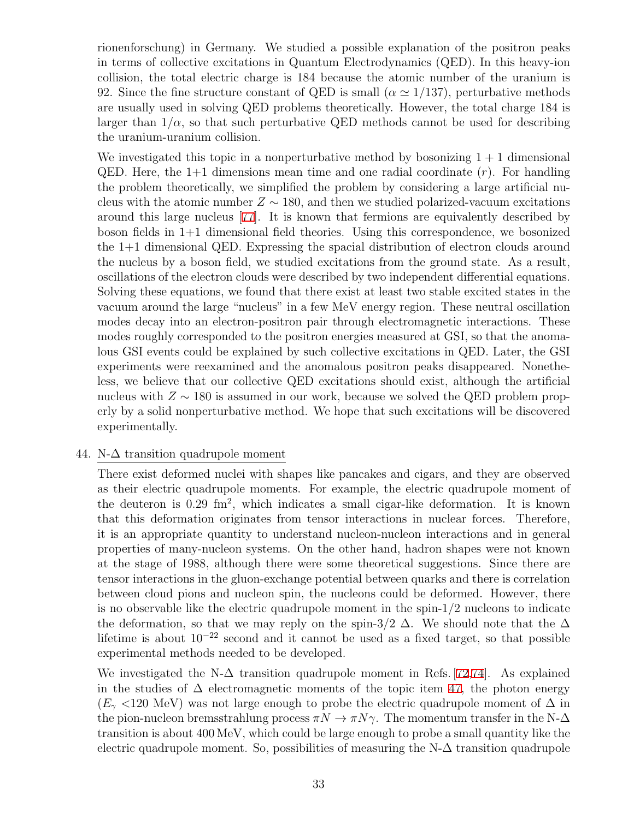rionenforschung) in Germany. We studied a possible explanation of the positron peaks in terms of collective excitations in Quantum Electrodynamics (QED). In this heavy-ion collision, the total electric charge is 184 because the atomic number of the uranium is 92. Since the fine structure constant of QED is small  $(\alpha \approx 1/137)$ , perturbative methods are usually used in solving QED problems theoretically. However, the total charge 184 is larger than  $1/\alpha$ , so that such perturbative QED methods cannot be used for describing the uranium-uranium collision.

We investigated this topic in a nonperturbative method by bosonizing  $1 + 1$  dimensional QED. Here, the 1+1 dimensions mean time and one radial coordinate (*r*). For handling the problem theoretically, we simplified the problem by considering a large artificial nucleus with the atomic number  $Z \sim 180$ , and then we studied polarized-vacuum excitations around this large nucleus [[77](#page-41-8)]. It is known that fermions are equivalently described by boson fields in 1+1 dimensional field theories. Using this correspondence, we bosonized the 1+1 dimensional QED. Expressing the spacial distribution of electron clouds around the nucleus by a boson field, we studied excitations from the ground state. As a result, oscillations of the electron clouds were described by two independent differential equations. Solving these equations, we found that there exist at least two stable excited states in the vacuum around the large "nucleus" in a few MeV energy region. These neutral oscillation modes decay into an electron-positron pair through electromagnetic interactions. These modes roughly corresponded to the positron energies measured at GSI, so that the anomalous GSI events could be explained by such collective excitations in QED. Later, the GSI experiments were reexamined and the anomalous positron peaks disappeared. Nonetheless, we believe that our collective QED excitations should exist, although the artificial nucleus with *Z ∼* 180 is assumed in our work, because we solved the QED problem properly by a solid nonperturbative method. We hope that such excitations will be discovered experimentally.

#### 44. N-∆ transition quadrupole moment

There exist deformed nuclei with shapes like pancakes and cigars, and they are observed as their electric quadrupole moments. For example, the electric quadrupole moment of the deuteron is 0.29 fm<sup>2</sup>, which indicates a small cigar-like deformation. It is known that this deformation originates from tensor interactions in nuclear forces. Therefore, it is an appropriate quantity to understand nucleon-nucleon interactions and in general properties of many-nucleon systems. On the other hand, hadron shapes were not known at the stage of 1988, although there were some theoretical suggestions. Since there are tensor interactions in the gluon-exchange potential between quarks and there is correlation between cloud pions and nucleon spin, the nucleons could be deformed. However, there is no observable like the electric quadrupole moment in the spin-1/2 nucleons to indicate the deformation, so that we may reply on the spin-3/2  $\Delta$ . We should note that the  $\Delta$ lifetime is about 10*−*<sup>22</sup> second and it cannot be used as a fixed target, so that possible experimental methods needed to be developed.

We investigated the N- $\Delta$  transition quadrupole moment in Refs. [[72,](#page-41-9)[74\]](#page-41-10). As explained in the studies of  $\Delta$  electromagnetic moments of the topic item [47](#page-34-0), the photon energy  $(E<sub>\gamma</sub>$  <120 MeV) was not large enough to probe the electric quadrupole moment of  $\Delta$  in the pion-nucleon bremsstrahlung process  $\pi N \to \pi N \gamma$ . The momentum transfer in the N- $\Delta$ transition is about 400 MeV, which could be large enough to probe a small quantity like the electric quadrupole moment. So, possibilities of measuring the  $N-\Delta$  transition quadrupole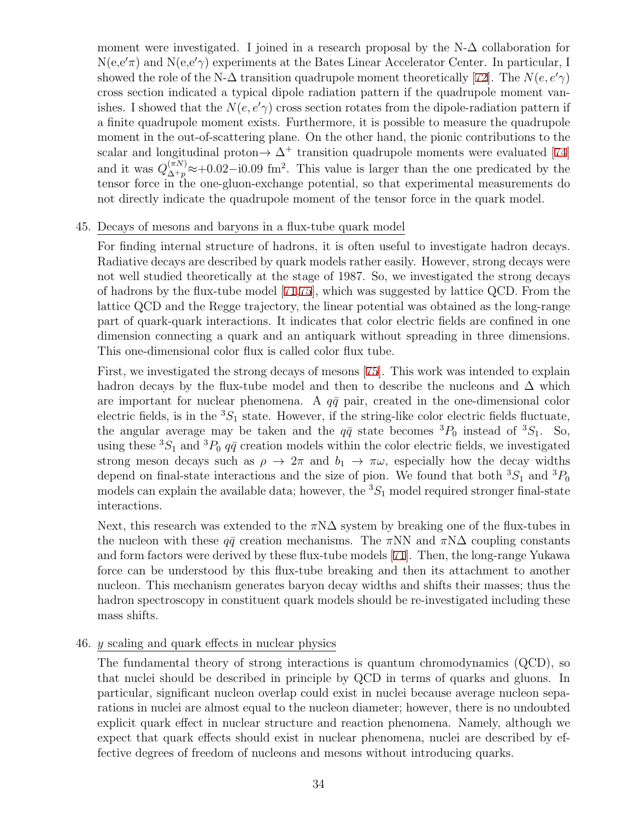moment were investigated. I joined in a research proposal by the  $N-\Delta$  collaboration for N(e,e*′π*) and N(e,e*′γ*) experiments at the Bates Linear Accelerator Center. In particular, I showed the role of the N- $\Delta$  transition quadrupole moment theoretically [[72\]](#page-41-9). The  $N(e, e'\gamma)$ cross section indicated a typical dipole radiation pattern if the quadrupole moment vanishes. I showed that the  $N(e, e'$ <sup> $\gamma$ </sup> cross section rotates from the dipole-radiation pattern if a finite quadrupole moment exists. Furthermore, it is possible to measure the quadrupole moment in the out-of-scattering plane. On the other hand, the pionic contributions to the scalar and longitudinal proton $\rightarrow \Delta^+$  transition quadrupole moments were evaluated [[74\]](#page-41-10) and it was  $Q_{\Lambda+\eta}^{(\pi N)}$  $\alpha^{(\pi N)}$  ≈+0.02−i0.09 fm<sup>2</sup>. This value is larger than the one predicated by the tensor force in the one-gluon-exchange potential, so that experimental measurements do not directly indicate the quadrupole moment of the tensor force in the quark model.

### 45. Decays of mesons and baryons in a flux-tube quark model

For finding internal structure of hadrons, it is often useful to investigate hadron decays. Radiative decays are described by quark models rather easily. However, strong decays were not well studied theoretically at the stage of 1987. So, we investigated the strong decays of hadrons by the flux-tube model [[71](#page-41-11)[,75](#page-41-2)], which was suggested by lattice QCD. From the lattice QCD and the Regge trajectory, the linear potential was obtained as the long-range part of quark-quark interactions. It indicates that color electric fields are confined in one dimension connecting a quark and an antiquark without spreading in three dimensions. This one-dimensional color flux is called color flux tube.

First, we investigated the strong decays of mesons [[75](#page-41-2)]. This work was intended to explain hadron decays by the flux-tube model and then to describe the nucleons and  $\Delta$  which are important for nuclear phenomena. A  $q\bar{q}$  pair, created in the one-dimensional color electric fields, is in the  ${}^{3}S_{1}$  state. However, if the string-like color electric fields fluctuate, the angular average may be taken and the  $q\bar{q}$  state becomes  ${}^{3}P_{0}$  instead of  ${}^{3}S_{1}$ . So, using these  ${}^{3}S_{1}$  and  ${}^{3}P_{0}$  *q* $\bar{q}$  creation models within the color electric fields, we investigated strong meson decays such as  $\rho \to 2\pi$  and  $b_1 \to \pi\omega$ , especially how the decay widths depend on final-state interactions and the size of pion. We found that both  ${}^{3}S_{1}$  and  ${}^{3}P_{0}$ models can explain the available data; however, the  ${}^{3}S_{1}$  model required stronger final-state interactions.

Next, this research was extended to the  $\pi N\Delta$  system by breaking one of the flux-tubes in the nucleon with these  $q\bar{q}$  creation mechanisms. The  $\pi NN$  and  $\pi N\Delta$  coupling constants and form factors were derived by these flux-tube models [[71\]](#page-41-11). Then, the long-range Yukawa force can be understood by this flux-tube breaking and then its attachment to another nucleon. This mechanism generates baryon decay widths and shifts their masses; thus the hadron spectroscopy in constituent quark models should be re-investigated including these mass shifts.

46. *y* scaling and quark effects in nuclear physics

The fundamental theory of strong interactions is quantum chromodynamics (QCD), so that nuclei should be described in principle by QCD in terms of quarks and gluons. In particular, significant nucleon overlap could exist in nuclei because average nucleon separations in nuclei are almost equal to the nucleon diameter; however, there is no undoubted explicit quark effect in nuclear structure and reaction phenomena. Namely, although we expect that quark effects should exist in nuclear phenomena, nuclei are described by effective degrees of freedom of nucleons and mesons without introducing quarks.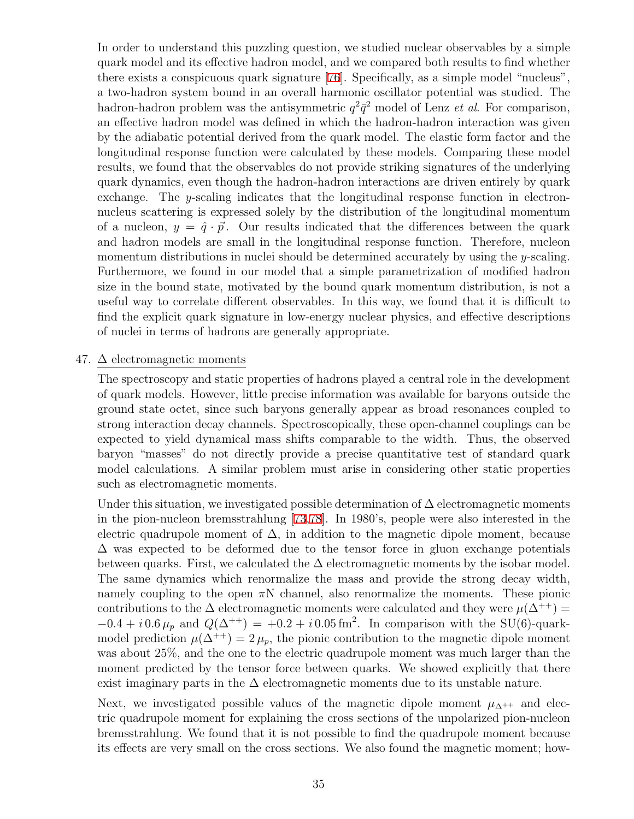In order to understand this puzzling question, we studied nuclear observables by a simple quark model and its effective hadron model, and we compared both results to find whether there exists a conspicuous quark signature [[76\]](#page-41-12). Specifically, as a simple model "nucleus", a two-hadron system bound in an overall harmonic oscillator potential was studied. The hadron-hadron problem was the antisymmetric  $q^2\bar{q}^2$  model of Lenz *et al.* For comparison, an effective hadron model was defined in which the hadron-hadron interaction was given by the adiabatic potential derived from the quark model. The elastic form factor and the longitudinal response function were calculated by these models. Comparing these model results, we found that the observables do not provide striking signatures of the underlying quark dynamics, even though the hadron-hadron interactions are driven entirely by quark exchange. The *y*-scaling indicates that the longitudinal response function in electronnucleus scattering is expressed solely by the distribution of the longitudinal momentum of a nucleon,  $y = \hat{q} \cdot \vec{p}$ . Our results indicated that the differences between the quark and hadron models are small in the longitudinal response function. Therefore, nucleon momentum distributions in nuclei should be determined accurately by using the *y*-scaling. Furthermore, we found in our model that a simple parametrization of modified hadron size in the bound state, motivated by the bound quark momentum distribution, is not a useful way to correlate different observables. In this way, we found that it is difficult to find the explicit quark signature in low-energy nuclear physics, and effective descriptions of nuclei in terms of hadrons are generally appropriate.

#### <span id="page-34-0"></span>47.  $\Delta$  electromagnetic moments

The spectroscopy and static properties of hadrons played a central role in the development of quark models. However, little precise information was available for baryons outside the ground state octet, since such baryons generally appear as broad resonances coupled to strong interaction decay channels. Spectroscopically, these open-channel couplings can be expected to yield dynamical mass shifts comparable to the width. Thus, the observed baryon "masses" do not directly provide a precise quantitative test of standard quark model calculations. A similar problem must arise in considering other static properties such as electromagnetic moments.

Under this situation, we investigated possible determination of  $\Delta$  electromagnetic moments in the pion-nucleon bremsstrahlung [\[73,](#page-41-13)[78\]](#page-41-0). In 1980's, people were also interested in the electric quadrupole moment of  $\Delta$ , in addition to the magnetic dipole moment, because  $\Delta$  was expected to be deformed due to the tensor force in gluon exchange potentials between quarks. First, we calculated the  $\Delta$  electromagnetic moments by the isobar model. The same dynamics which renormalize the mass and provide the strong decay width, namely coupling to the open  $\pi N$  channel, also renormalize the moments. These pionic contributions to the  $\Delta$  electromagnetic moments were calculated and they were  $\mu(\Delta^{++})$  $-0.4 + i 0.6 \,\mu_p$  and  $Q(\Delta^{++}) = +0.2 + i 0.05 \,\text{fm}^2$ . In comparison with the SU(6)-quarkmodel prediction  $\mu(\Delta^{++}) = 2 \mu_p$ , the pionic contribution to the magnetic dipole moment was about 25%, and the one to the electric quadrupole moment was much larger than the moment predicted by the tensor force between quarks. We showed explicitly that there exist imaginary parts in the  $\Delta$  electromagnetic moments due to its unstable nature.

Next, we investigated possible values of the magnetic dipole moment  $\mu_{\Delta^{++}}$  and electric quadrupole moment for explaining the cross sections of the unpolarized pion-nucleon bremsstrahlung. We found that it is not possible to find the quadrupole moment because its effects are very small on the cross sections. We also found the magnetic moment; how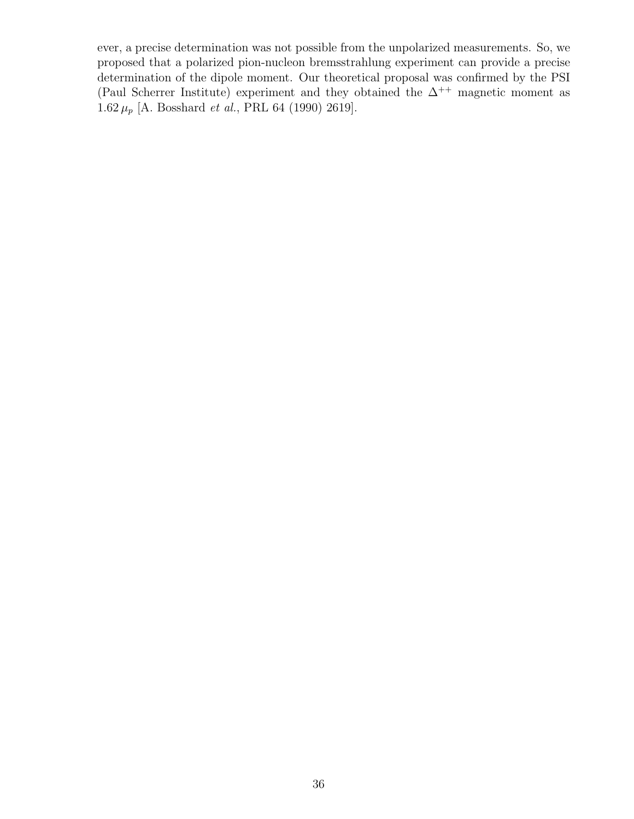ever, a precise determination was not possible from the unpolarized measurements. So, we proposed that a polarized pion-nucleon bremsstrahlung experiment can provide a precise determination of the dipole moment. Our theoretical proposal was confirmed by the PSI (Paul Scherrer Institute) experiment and they obtained the  $\Delta^{++}$  magnetic moment as 1.62 *µ<sup>p</sup>* [A. Bosshard *et al.*, PRL 64 (1990) 2619].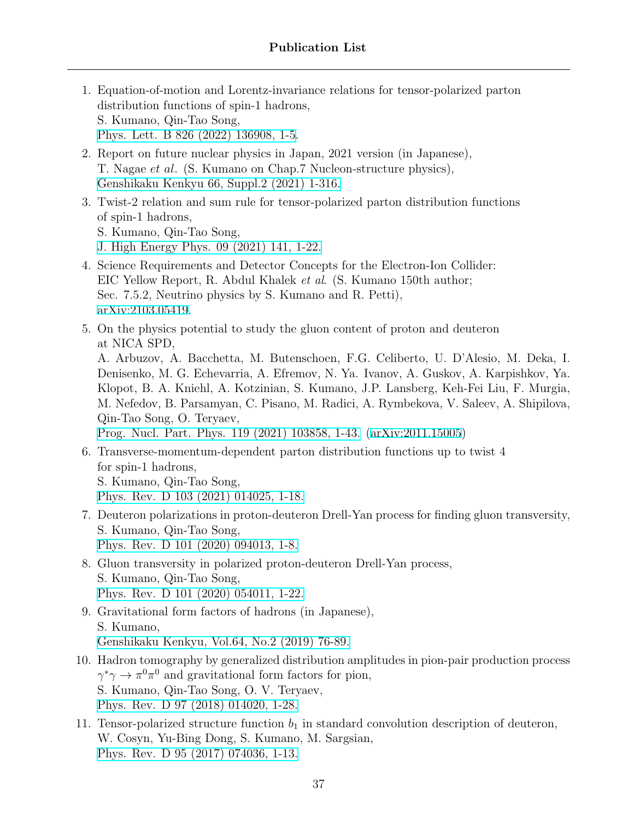- <span id="page-36-1"></span>1. Equation-of-motion and Lorentz-invariance relations for tensor-polarized parton distribution functions of spin-1 hadrons, S. Kumano, Qin-Tao Song, [Phys. Lett. B 826 \(2022\) 136908, 1-5](https://doi.org/10.1016/j.physletb.2022.136908).
- <span id="page-36-10"></span>2. Report on future nuclear physics in Japan, 2021 version (in Japanese), T. Nagae *et al*. (S. Kumano on Chap.7 Nucleon-structure physics), [Genshikaku Kenkyu 66, Suppl.2 \(2021\) 1-316.](http://genshikaku.jp/backnumber.php?vol=66&issue=sp2)
- <span id="page-36-2"></span>3. Twist-2 relation and sum rule for tensor-polarized parton distribution functions of spin-1 hadrons,
	- S. Kumano, Qin-Tao Song,
	- [J. High Energy Phys. 09 \(2021\) 141, 1-22.](https://link.springer.com/article/10.1007/JHEP09(2021)141)
- <span id="page-36-3"></span>4. Science Requirements and Detector Concepts for the Electron-Ion Collider: EIC Yellow Report, R. Abdul Khalek *et al*. (S. Kumano 150th author; Sec. 7.5.2, Neutrino physics by S. Kumano and R. Petti), [arXiv:2103.05419.](https://arxiv.org/abs/2103.05419)
- <span id="page-36-4"></span>5. On the physics potential to study the gluon content of proton and deuteron at NICA SPD,

A. Arbuzov, A. Bacchetta, M. Butenschoen, F.G. Celiberto, U. D'Alesio, M. Deka, I. Denisenko, M. G. Echevarria, A. Efremov, N. Ya. Ivanov, A. Guskov, A. Karpishkov, Ya. Klopot, B. A. Kniehl, A. Kotzinian, S. Kumano, J.P. Lansberg, Keh-Fei Liu, F. Murgia, M. Nefedov, B. Parsamyan, C. Pisano, M. Radici, A. Rymbekova, V. Saleev, A. Shipilova, Qin-Tao Song, O. Teryaev,

[Prog. Nucl. Part. Phys. 119 \(2021\) 103858, 1-43.](https://doi.org/10.1016/j.ppnp.2021.103858) ([arXiv:2011.15005\)](https://arxiv.org/abs/2011.15005)

<span id="page-36-0"></span>6. Transverse-momentum-dependent parton distribution functions up to twist 4 for spin-1 hadrons, S. Kumano, Qin-Tao Song,

[Phys. Rev. D 103 \(2021\) 014025, 1-18.](https://journals.aps.org/prd/abstract/10.1103/PhysRevD.103.014025)

- <span id="page-36-6"></span>7. Deuteron polarizations in proton-deuteron Drell-Yan process for finding gluon transversity, S. Kumano, Qin-Tao Song, [Phys. Rev. D 101 \(2020\) 094013, 1-8.](https://link.aps.org/doi/10.1103/PhysRevD.101.094013)
- <span id="page-36-7"></span>8. Gluon transversity in polarized proton-deuteron Drell-Yan process, S. Kumano, Qin-Tao Song, [Phys. Rev. D 101 \(2020\) 054011, 1-22.](https://journals.aps.org/prd/abstract/10.1103/PhysRevD.101.054011)
- <span id="page-36-8"></span>9. Gravitational form factors of hadrons (in Japanese), S. Kumano, [Genshikaku Kenkyu, Vol.64, No.2 \(2019\) 76-89.](http://www.genshikaku.jp/backnumber.php?vol=64&issue=01)
- <span id="page-36-9"></span>10. Hadron tomography by generalized distribution amplitudes in pion-pair production process  $\gamma^* \gamma \to \pi^0 \pi^0$  and gravitational form factors for pion, S. Kumano, Qin-Tao Song, O. V. Teryaev, [Phys. Rev. D 97 \(2018\) 014020, 1-28.](https://journals.aps.org/prd/abstract/10.1103/PhysRevD.97.014020)
- <span id="page-36-5"></span>11. Tensor-polarized structure function  $b_1$  in standard convolution description of deuteron, W. Cosyn, Yu-Bing Dong, S. Kumano, M. Sargsian, [Phys. Rev. D 95 \(2017\) 074036, 1-13.](https://journals.aps.org/prd/abstract/10.1103/PhysRevD.95.074036)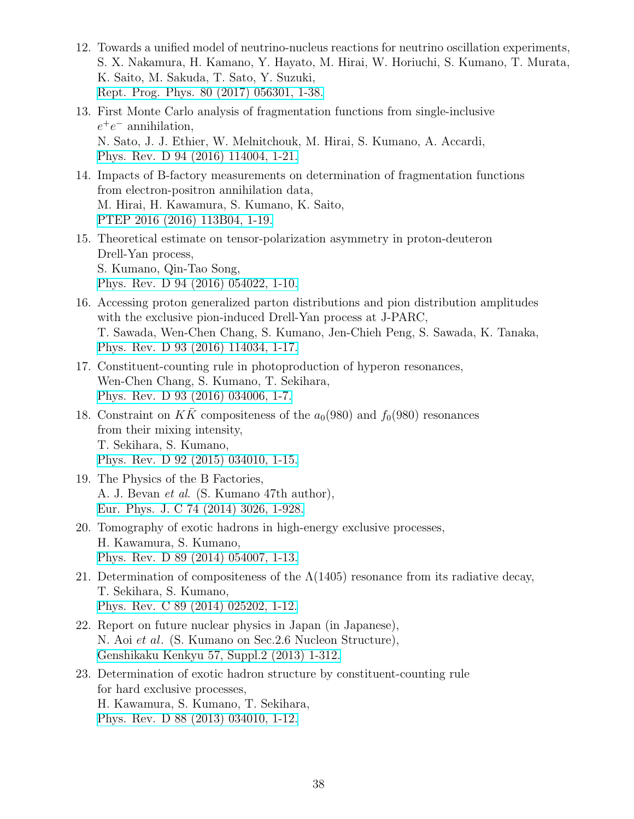- <span id="page-37-0"></span>12. Towards a unified model of neutrino-nucleus reactions for neutrino oscillation experiments, S. X. Nakamura, H. Kamano, Y. Hayato, M. Hirai, W. Horiuchi, S. Kumano, T. Murata, K. Saito, M. Sakuda, T. Sato, Y. Suzuki, [Rept. Prog. Phys. 80 \(2017\) 056301, 1-38.](http://iopscience.iop.org/article/10.1088/1361-6633/aa5e6c/meta)
- <span id="page-37-2"></span>13. First Monte Carlo analysis of fragmentation functions from single-inclusive *e* +*e <sup>−</sup>* annihilation, N. Sato, J. J. Ethier, W. Melnitchouk, M. Hirai, S. Kumano, A. Accardi, [Phys. Rev. D 94 \(2016\) 114004, 1-21.](https://journals.aps.org/prd/abstract/10.1103/PhysRevD.94.114004)
- <span id="page-37-1"></span>14. Impacts of B-factory measurements on determination of fragmentation functions from electron-positron annihilation data, M. Hirai, H. Kawamura, S. Kumano, K. Saito, [PTEP 2016 \(2016\) 113B04, 1-19.](https://academic.oup.com/ptep/article/2016/11/113B04/2624090)
- <span id="page-37-3"></span>15. Theoretical estimate on tensor-polarization asymmetry in proton-deuteron Drell-Yan process, S. Kumano, Qin-Tao Song, [Phys. Rev. D 94 \(2016\) 054022, 1-10.](https://journals.aps.org/prd/abstract/10.1103/PhysRevD.94.054022)
- <span id="page-37-4"></span>16. Accessing proton generalized parton distributions and pion distribution amplitudes with the exclusive pion-induced Drell-Yan process at J-PARC, T. Sawada, Wen-Chen Chang, S. Kumano, Jen-Chieh Peng, S. Sawada, K. Tanaka, [Phys. Rev. D 93 \(2016\) 114034, 1-17.](https://journals.aps.org/prd/abstract/10.1103/PhysRevD.93.114034)
- <span id="page-37-5"></span>17. Constituent-counting rule in photoproduction of hyperon resonances, Wen-Chen Chang, S. Kumano, T. Sekihara, [Phys. Rev. D 93 \(2016\) 034006, 1-7.](https://journals.aps.org/prd/abstract/10.1103/PhysRevD.93.034006)
- <span id="page-37-7"></span>18. Constraint on  $K\bar{K}$  compositeness of the  $a_0(980)$  and  $f_0(980)$  resonances from their mixing intensity, T. Sekihara, S. Kumano, [Phys. Rev. D 92 \(2015\) 034010, 1-15.](https://journals.aps.org/prd/abstract/10.1103/PhysRevD.92.034010)
- <span id="page-37-8"></span>19. The Physics of the B Factories, A. J. Bevan *et al*. (S. Kumano 47th author), [Eur. Phys. J. C 74 \(2014\) 3026, 1-928.](https://link.springer.com/article/10.1140%2Fepjc%2Fs10052-014-3026-9)
- <span id="page-37-9"></span>20. Tomography of exotic hadrons in high-energy exclusive processes, H. Kawamura, S. Kumano, [Phys. Rev. D 89 \(2014\) 054007, 1-13.](https://journals.aps.org/prd/abstract/10.1103/PhysRevD.89.054007)
- <span id="page-37-10"></span>21. Determination of compositeness of the  $\Lambda(1405)$  resonance from its radiative decay, T. Sekihara, S. Kumano, [Phys. Rev. C 89 \(2014\) 025202, 1-12.](https://journals.aps.org/prc/abstract/10.1103/PhysRevC.89.025202)
- <span id="page-37-11"></span>22. Report on future nuclear physics in Japan (in Japanese), N. Aoi *et al*. (S. Kumano on Sec.2.6 Nucleon Structure), [Genshikaku Kenkyu 57, Suppl.2 \(2013\) 1-312.](http://www.genshikaku.jp/backnumber.php?vol=57&issue=sp2)
- <span id="page-37-6"></span>23. Determination of exotic hadron structure by constituent-counting rule for hard exclusive processes, H. Kawamura, S. Kumano, T. Sekihara, [Phys. Rev. D 88 \(2013\) 034010, 1-12.](https://journals.aps.org/prd/abstract/10.1103/PhysRevD.88.034010)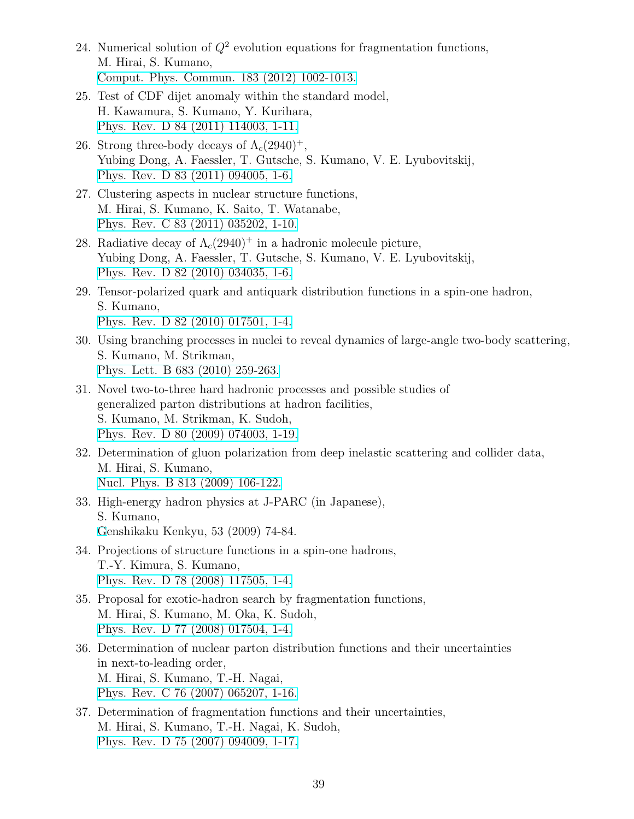- <span id="page-38-3"></span>24. Numerical solution of *Q*<sup>2</sup> evolution equations for fragmentation functions, M. Hirai, S. Kumano, [Comput. Phys. Commun. 183 \(2012\) 1002-1013.](https://www.sciencedirect.com/science/article/pii/S0010465511004103?via%3Dihub)
- <span id="page-38-4"></span>25. Test of CDF dijet anomaly within the standard model, H. Kawamura, S. Kumano, Y. Kurihara, [Phys. Rev. D 84 \(2011\) 114003, 1-11.](https://journals.aps.org/prd/abstract/10.1103/PhysRevD.84.114003)
- <span id="page-38-6"></span>26. Strong three-body decays of  $\Lambda_c(2940)^+$ , Yubing Dong, A. Faessler, T. Gutsche, S. Kumano, V. E. Lyubovitskij, [Phys. Rev. D 83 \(2011\) 094005, 1-6.](https://journals.aps.org/prd/abstract/10.1103/PhysRevD.83.094005)
- <span id="page-38-7"></span>27. Clustering aspects in nuclear structure functions, M. Hirai, S. Kumano, K. Saito, T. Watanabe, [Phys. Rev. C 83 \(2011\) 035202, 1-10.](https://journals.aps.org/prc/abstract/10.1103/PhysRevC.83.035202)
- <span id="page-38-5"></span>28. Radiative decay of  $\Lambda_c(2940)^+$  in a hadronic molecule picture, Yubing Dong, A. Faessler, T. Gutsche, S. Kumano, V. E. Lyubovitskij, [Phys. Rev. D 82 \(2010\) 034035, 1-6.](https://journals.aps.org/prd/abstract/10.1103/PhysRevD.82.034035)
- <span id="page-38-2"></span>29. Tensor-polarized quark and antiquark distribution functions in a spin-one hadron, S. Kumano, [Phys. Rev. D 82 \(2010\) 017501, 1-4.](https://journals.aps.org/prd/abstract/10.1103/PhysRevD.82.017501)
- <span id="page-38-10"></span>30. Using branching processes in nuclei to reveal dynamics of large-angle two-body scattering, S. Kumano, M. Strikman, [Phys. Lett. B 683 \(2010\) 259-263.](https://www.sciencedirect.com/science/article/pii/S0370269309014786?via%3Dihub)
- <span id="page-38-9"></span>31. Novel two-to-three hard hadronic processes and possible studies of generalized parton distributions at hadron facilities, S. Kumano, M. Strikman, K. Sudoh, [Phys. Rev. D 80 \(2009\) 074003, 1-19.](https://journals.aps.org/prd/abstract/10.1103/PhysRevD.80.074003)
- <span id="page-38-11"></span>32. Determination of gluon polarization from deep inelastic scattering and collider data, M. Hirai, S. Kumano, [Nucl. Phys. B 813 \(2009\) 106-122.](https://www.sciencedirect.com/science/article/pii/S0550321308007396?via%3Dihub)
- <span id="page-38-12"></span>33. High-energy hadron physics at J-PARC (in Japanese), S. Kumano, [G](http://www.genshikaku.jp/backnumber.php?vol=53&issue=02)enshikaku Kenkyu, 53 (2009) 74-84.
- <span id="page-38-8"></span>34. Projections of structure functions in a spin-one hadrons, T.-Y. Kimura, S. Kumano, [Phys. Rev. D 78 \(2008\) 117505, 1-4.](https://journals.aps.org/prd/abstract/10.1103/PhysRevD.78.117505)
- <span id="page-38-1"></span>35. Proposal for exotic-hadron search by fragmentation functions, M. Hirai, S. Kumano, M. Oka, K. Sudoh, [Phys. Rev. D 77 \(2008\) 017504, 1-4.](https://journals.aps.org/prd/abstract/10.1103/PhysRevD.77.017504)
- <span id="page-38-13"></span>36. Determination of nuclear parton distribution functions and their uncertainties in next-to-leading order, M. Hirai, S. Kumano, T.-H. Nagai, [Phys. Rev. C 76 \(2007\) 065207, 1-16.](https://journals.aps.org/prc/abstract/10.1103/PhysRevC.76.065207)
- <span id="page-38-0"></span>37. Determination of fragmentation functions and their uncertainties, M. Hirai, S. Kumano, T.-H. Nagai, K. Sudoh, [Phys. Rev. D 75 \(2007\) 094009, 1-17.](https://journals.aps.org/prd/abstract/10.1103/PhysRevD.75.094009)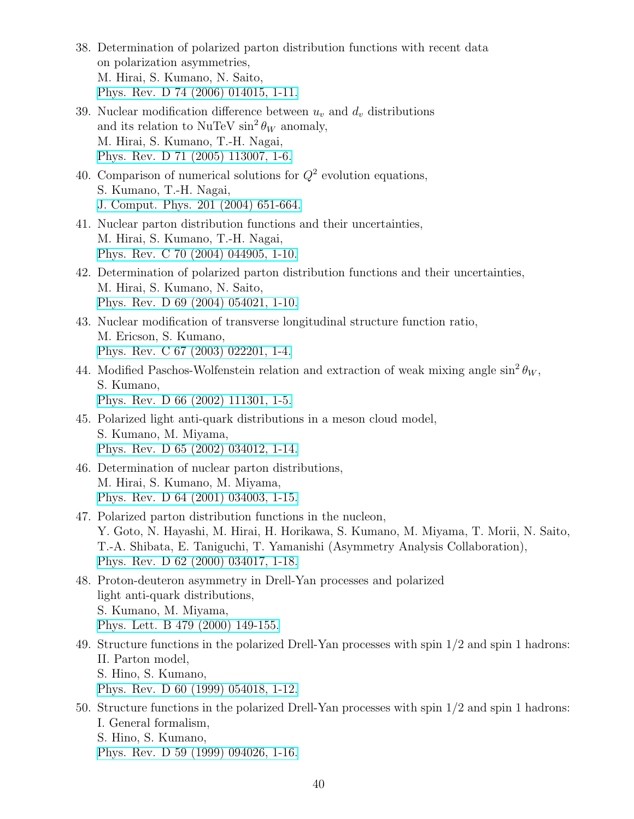- <span id="page-39-0"></span>38. Determination of polarized parton distribution functions with recent data on polarization asymmetries, M. Hirai, S. Kumano, N. Saito, [Phys. Rev. D 74 \(2006\) 014015, 1-11.](https://journals.aps.org/prd/abstract/10.1103/PhysRevD.74.014015)
- <span id="page-39-3"></span>39. Nuclear modification difference between *u<sup>v</sup>* and *d<sup>v</sup>* distributions and its relation to NuTeV  $\sin^2 \theta_W$  anomaly, M. Hirai, S. Kumano, T.-H. Nagai, [Phys. Rev. D 71 \(2005\) 113007, 1-6.](https://journals.aps.org/prd/abstract/10.1103/PhysRevD.71.113007)
- 40. Comparison of numerical solutions for  $Q^2$  evolution equations, S. Kumano, T.-H. Nagai, [J. Comput. Phys. 201 \(2004\) 651-664.](https://www.sciencedirect.com/science/article/pii/S0021999104002591?via%3Dihub)
- 41. Nuclear parton distribution functions and their uncertainties, M. Hirai, S. Kumano, T.-H. Nagai, [Phys. Rev. C 70 \(2004\) 044905, 1-10.](https://journals.aps.org/prc/abstract/10.1103/PhysRevC.70.044905)
- <span id="page-39-9"></span>42. Determination of polarized parton distribution functions and their uncertainties, M. Hirai, S. Kumano, N. Saito, [Phys. Rev. D 69 \(2004\) 054021, 1-10.](https://journals.aps.org/prd/abstract/10.1103/PhysRevD.69.054021)
- <span id="page-39-1"></span>43. Nuclear modification of transverse longitudinal structure function ratio, M. Ericson, S. Kumano, [Phys. Rev. C 67 \(2003\) 022201, 1-4.](https://journals.aps.org/prc/abstract/10.1103/PhysRevC.67.022201)
- <span id="page-39-2"></span>44. Modified Paschos-Wolfenstein relation and extraction of weak mixing angle  $\sin^2 \theta_W$ , S. Kumano, [Phys. Rev. D 66 \(2002\) 111301, 1-5.](https://journals.aps.org/prd/abstract/10.1103/PhysRevD.66.111301)
- <span id="page-39-4"></span>45. Polarized light anti-quark distributions in a meson cloud model, S. Kumano, M. Miyama, [Phys. Rev. D 65 \(2002\) 034012, 1-14.](https://journals.aps.org/prd/abstract/10.1103/PhysRevD.65.034012)
- <span id="page-39-6"></span>46. Determination of nuclear parton distributions, M. Hirai, S. Kumano, M. Miyama, [Phys. Rev. D 64 \(2001\) 034003, 1-15.](https://journals.aps.org/prd/abstract/10.1103/PhysRevD.64.034003)
- <span id="page-39-10"></span>47. Polarized parton distribution functions in the nucleon, Y. Goto, N. Hayashi, M. Hirai, H. Horikawa, S. Kumano, M. Miyama, T. Morii, N. Saito, T.-A. Shibata, E. Taniguchi, T. Yamanishi (Asymmetry Analysis Collaboration), [Phys. Rev. D 62 \(2000\) 034017, 1-18.](https://journals.aps.org/prd/abstract/10.1103/PhysRevD.62.034017)
- <span id="page-39-5"></span>48. Proton-deuteron asymmetry in Drell-Yan processes and polarized light anti-quark distributions, S. Kumano, M. Miyama, [Phys. Lett. B 479 \(2000\) 149-155.](https://www.sciencedirect.com/science/article/pii/S0370269300003087?via%3Dihub)
- <span id="page-39-7"></span>49. Structure functions in the polarized Drell-Yan processes with spin 1/2 and spin 1 hadrons: II. Parton model, S. Hino, S. Kumano, [Phys. Rev. D 60 \(1999\) 054018, 1-12.](https://journals.aps.org/prd/abstract/10.1103/PhysRevD.60.054018)
- <span id="page-39-8"></span>50. Structure functions in the polarized Drell-Yan processes with spin 1/2 and spin 1 hadrons: I. General formalism, S. Hino, S. Kumano, [Phys. Rev. D 59 \(1999\) 094026, 1-16.](https://journals.aps.org/prd/abstract/10.1103/PhysRevD.59.094026)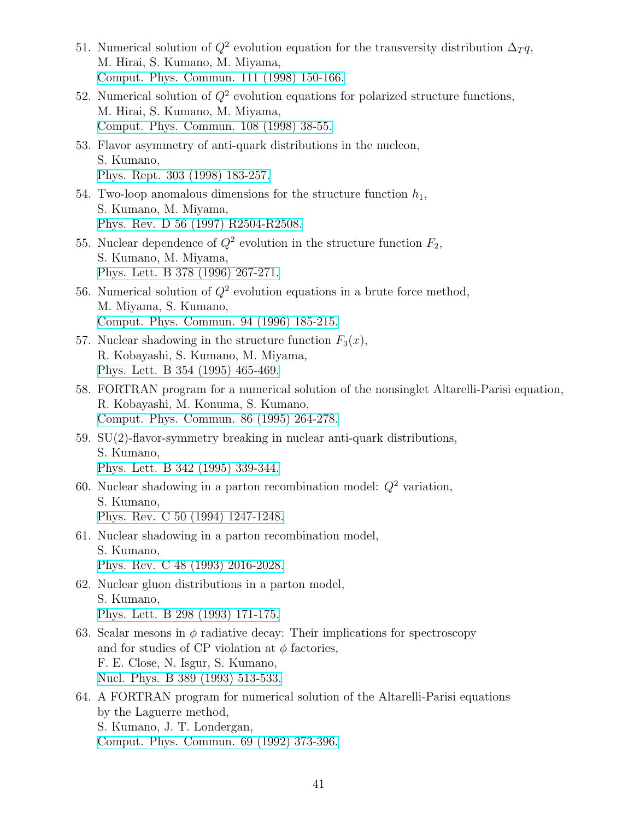- <span id="page-40-2"></span>51. Numerical solution of  $Q^2$  evolution equation for the transversity distribution  $\Delta_T q$ , M. Hirai, S. Kumano, M. Miyama, [Comput. Phys. Commun. 111 \(1998\) 150-166.](https://www.sciencedirect.com/science/article/pii/S0010465598000289?via%3Dihub)
- <span id="page-40-3"></span>52. Numerical solution of  $Q^2$  evolution equations for polarized structure functions, M. Hirai, S. Kumano, M. Miyama, [Comput. Phys. Commun. 108 \(1998\) 38-55.](https://www.sciencedirect.com/science/article/pii/S001046559700129X?via%3Dihub)
- <span id="page-40-13"></span>53. Flavor asymmetry of anti-quark distributions in the nucleon, S. Kumano, [Phys. Rept. 303 \(1998\) 183-257.](https://www.sciencedirect.com/science/article/pii/S0370157398000167?via%3Dihub)
- <span id="page-40-1"></span>54. Two-loop anomalous dimensions for the structure function  $h_1$ , S. Kumano, M. Miyama, [Phys. Rev. D 56 \(1997\) R2504-R2508.](https://journals.aps.org/prd/abstract/10.1103/PhysRevD.56.R2504)
- <span id="page-40-9"></span>55. Nuclear dependence of  $Q^2$  evolution in the structure function  $F_2$ , S. Kumano, M. Miyama, [Phys. Lett. B 378 \(1996\) 267-271.](https://www.sciencedirect.com/science/article/pii/0370269396004297?via%3Dihub)
- <span id="page-40-12"></span>56. Numerical solution of *Q*<sup>2</sup> evolution equations in a brute force method, M. Miyama, S. Kumano, [Comput. Phys. Commun. 94 \(1996\) 185-215.](https://www.sciencedirect.com/science/article/pii/0010465596000136?via%3Dihub)
- <span id="page-40-8"></span>57. Nuclear shadowing in the structure function  $F_3(x)$ , R. Kobayashi, S. Kumano, M. Miyama, [Phys. Lett. B 354 \(1995\) 465-469.](https://www.sciencedirect.com/science/article/pii/0370269395006407?via%3Dihub)
- <span id="page-40-10"></span>58. FORTRAN program for a numerical solution of the nonsinglet Altarelli-Parisi equation, R. Kobayashi, M. Konuma, S. Kumano, [Comput. Phys. Commun. 86 \(1995\) 264-278.](https://www.sciencedirect.com/science/article/pii/001046559400159Y?via%3Dihub)
- <span id="page-40-7"></span>59. SU(2)-flavor-symmetry breaking in nuclear anti-quark distributions, S. Kumano, [Phys. Lett. B 342 \(1995\) 339-344.](https://www.sciencedirect.com/science/article/pii/037026939401366K?via%3Dihub)
- <span id="page-40-4"></span>60. Nuclear shadowing in a parton recombination model:  $Q^2$  variation, S. Kumano, [Phys. Rev. C 50 \(1994\) 1247-1248.](https://journals.aps.org/prc/abstract/10.1103/PhysRevC.50.1247)
- <span id="page-40-5"></span>61. Nuclear shadowing in a parton recombination model, S. Kumano, [Phys. Rev. C 48 \(1993\) 2016-2028.](https://journals.aps.org/prc/abstract/10.1103/PhysRevC.48.2016)
- <span id="page-40-6"></span>62. Nuclear gluon distributions in a parton model, S. Kumano, [Phys. Lett. B 298 \(1993\) 171-175.](https://www.sciencedirect.com/science/article/pii/0370269393917253?via%3Dihub)
- <span id="page-40-0"></span>63. Scalar mesons in  $\phi$  radiative decay: Their implications for spectroscopy and for studies of CP violation at  $\phi$  factories, F. E. Close, N. Isgur, S. Kumano, [Nucl. Phys. B 389 \(1993\) 513-533.](https://www.sciencedirect.com/science/article/pii/055032139390329N?via%3Dihub)
- <span id="page-40-11"></span>64. A FORTRAN program for numerical solution of the Altarelli-Parisi equations by the Laguerre method, S. Kumano, J. T. Londergan, [Comput. Phys. Commun. 69 \(1992\) 373-396.](https://www.sciencedirect.com/science/article/pii/001046559290176Y?via%3Dihub)